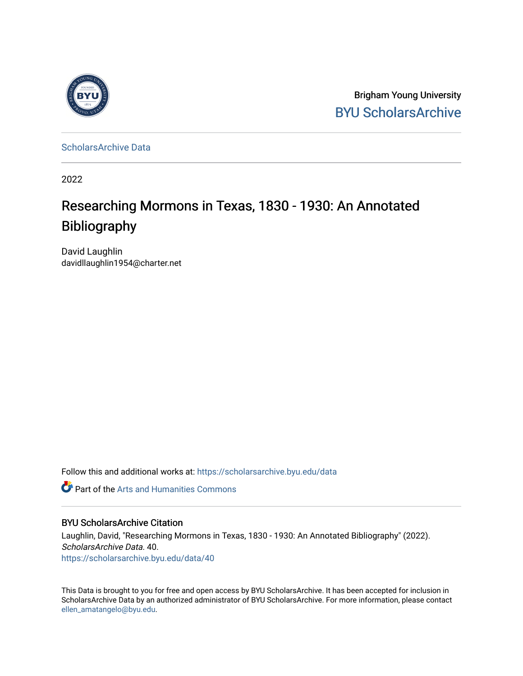

Brigham Young University [BYU ScholarsArchive](https://scholarsarchive.byu.edu/) 

[ScholarsArchive Data](https://scholarsarchive.byu.edu/data) 

2022

# Researching Mormons in Texas, 1830 - 1930: An Annotated Bibliography

David Laughlin davidllaughlin1954@charter.net

Follow this and additional works at: [https://scholarsarchive.byu.edu/data](https://scholarsarchive.byu.edu/data?utm_source=scholarsarchive.byu.edu%2Fdata%2F40&utm_medium=PDF&utm_campaign=PDFCoverPages) 

Part of the [Arts and Humanities Commons](https://network.bepress.com/hgg/discipline/438?utm_source=scholarsarchive.byu.edu%2Fdata%2F40&utm_medium=PDF&utm_campaign=PDFCoverPages) 

## BYU ScholarsArchive Citation

Laughlin, David, "Researching Mormons in Texas, 1830 - 1930: An Annotated Bibliography" (2022). ScholarsArchive Data. 40. [https://scholarsarchive.byu.edu/data/40](https://scholarsarchive.byu.edu/data/40?utm_source=scholarsarchive.byu.edu%2Fdata%2F40&utm_medium=PDF&utm_campaign=PDFCoverPages)

This Data is brought to you for free and open access by BYU ScholarsArchive. It has been accepted for inclusion in ScholarsArchive Data by an authorized administrator of BYU ScholarsArchive. For more information, please contact [ellen\\_amatangelo@byu.edu](mailto:ellen_amatangelo@byu.edu).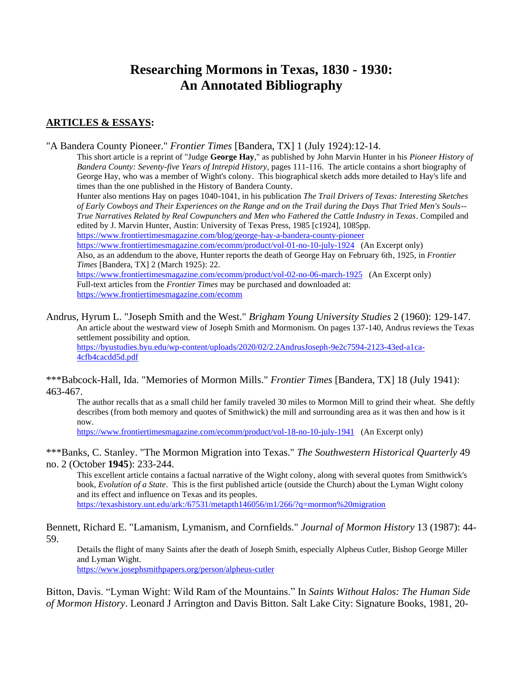## **Researching Mormons in Texas, 1830 - 1930: An Annotated Bibliography**

## **ARTICLES & ESSAYS:**

"A Bandera County Pioneer." *Frontier Times* [Bandera, TX] 1 (July 1924):12-14.

This short article is a reprint of "Judge **George Hay**," as published by John Marvin Hunter in his *Pioneer History of Bandera County: Seventy-five Years of Intrepid History*, pages 111-116. The article contains a short biography of George Hay, who was a member of Wight's colony. This biographical sketch adds more detailed to Hay's life and times than the one published in the History of Bandera County.

Hunter also mentions Hay on pages 1040-1041, in his publication *The Trail Drivers of Texas: Interesting Sketches of Early Cowboys and Their Experiences on the Range and on the Trail during the Days That Tried Men's Souls-- True Narratives Related by Real Cowpunchers and Men who Fathered the Cattle Industry in Texas*. Compiled and edited by J. Marvin Hunter, Austin: University of Texas Press, 1985 [c1924], 1085pp.

<https://www.frontiertimesmagazine.com/blog/george-hay-a-bandera-county-pioneer>

<https://www.frontiertimesmagazine.com/ecomm/product/vol-01-no-10-july-1924>(An Excerpt only) Also, as an addendum to the above, Hunter reports the death of George Hay on February 6th, 1925, in *Frontier Times* [Bandera, TX] 2 (March 1925): 22.

<https://www.frontiertimesmagazine.com/ecomm/product/vol-02-no-06-march-1925>(An Excerpt only) Full-text articles from the *Frontier Times* may be purchased and downloaded at: <https://www.frontiertimesmagazine.com/ecomm>

Andrus, Hyrum L. "Joseph Smith and the West." *Brigham Young University Studies* 2 (1960): 129-147. An article about the westward view of Joseph Smith and Mormonism. On pages 137-140, Andrus reviews the Texas settlement possibility and option. [https://byustudies.byu.edu/wp-content/uploads/2020/02/2.2AndrusJoseph-9e2c7594-2123-43ed-a1ca-](https://byustudies.byu.edu/wp-content/uploads/2020/02/2.2AndrusJoseph-9e2c7594-2123-43ed-a1ca-4cfb4cacdd5d.pdf)[4cfb4cacdd5d.pdf](https://byustudies.byu.edu/wp-content/uploads/2020/02/2.2AndrusJoseph-9e2c7594-2123-43ed-a1ca-4cfb4cacdd5d.pdf)

\*\*\*Babcock-Hall, Ida. "Memories of Mormon Mills." *Frontier Times* [Bandera, TX] 18 (July 1941): 463-467.

The author recalls that as a small child her family traveled 30 miles to Mormon Mill to grind their wheat. She deftly describes (from both memory and quotes of Smithwick) the mill and surrounding area as it was then and how is it now.

<https://www.frontiertimesmagazine.com/ecomm/product/vol-18-no-10-july-1941>(An Excerpt only)

\*\*\*Banks, C. Stanley. "The Mormon Migration into Texas." *The Southwestern Historical Quarterly* 49 no. 2 (October **1945**): 233-244.

This excellent article contains a factual narrative of the Wight colony, along with several quotes from Smithwick's book, *Evolution of a State*. This is the first published article (outside the Church) about the Lyman Wight colony and its effect and influence on Texas and its peoples. <https://texashistory.unt.edu/ark:/67531/metapth146056/m1/266/?q=mormon%20migration>

Bennett, Richard E. "Lamanism, Lymanism, and Cornfields." *Journal of Mormon History* 13 (1987): 44- 59.

Details the flight of many Saints after the death of Joseph Smith, especially Alpheus Cutler, Bishop George Miller and Lyman Wight. <https://www.josephsmithpapers.org/person/alpheus-cutler>

Bitton, Davis. "Lyman Wight: Wild Ram of the Mountains." In *Saints Without Halos: The Human Side of Mormon History*. Leonard J Arrington and Davis Bitton. Salt Lake City: Signature Books, 1981, 20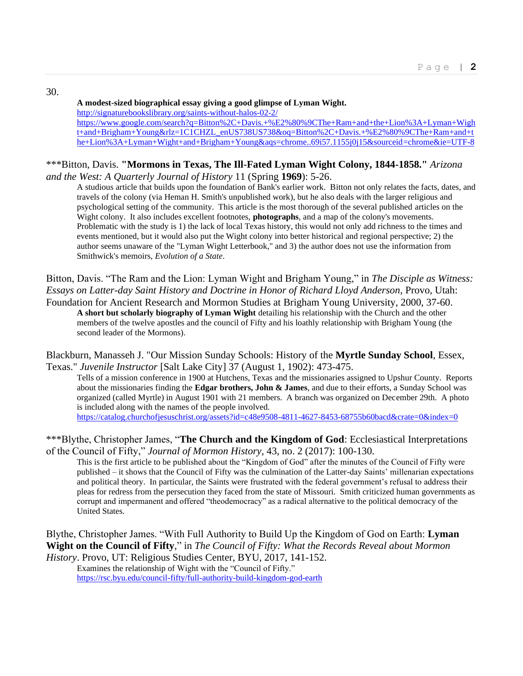30.

#### **A modest-sized biographical essay giving a good glimpse of Lyman Wight.**

<http://signaturebookslibrary.org/saints-without-halos-02-2/>

[https://www.google.com/search?q=Bitton%2C+Davis.+%E2%80%9CThe+Ram+and+the+Lion%3A+Lyman+Wigh](https://www.google.com/search?q=Bitton%2C+Davis.+%E2%80%9CThe+Ram+and+the+Lion%3A+Lyman+Wight+and+Brigham+Young&rlz=1C1CHZL_enUS738US738&oq=Bitton%2C+Davis.+%E2%80%9CThe+Ram+and+the+Lion%3A+Lyman+Wight+and+Brigham+Young&aqs=chrome..69i57.1155j0j15&sourceid=chrome&ie=UTF-8) [t+and+Brigham+Young&rlz=1C1CHZL\\_enUS738US738&oq=Bitton%2C+Davis.+%E2%80%9CThe+Ram+and+t](https://www.google.com/search?q=Bitton%2C+Davis.+%E2%80%9CThe+Ram+and+the+Lion%3A+Lyman+Wight+and+Brigham+Young&rlz=1C1CHZL_enUS738US738&oq=Bitton%2C+Davis.+%E2%80%9CThe+Ram+and+the+Lion%3A+Lyman+Wight+and+Brigham+Young&aqs=chrome..69i57.1155j0j15&sourceid=chrome&ie=UTF-8) [he+Lion%3A+Lyman+Wight+and+Brigham+Young&aqs=chrome..69i57.1155j0j15&sourceid=chrome&ie=UTF-8](https://www.google.com/search?q=Bitton%2C+Davis.+%E2%80%9CThe+Ram+and+the+Lion%3A+Lyman+Wight+and+Brigham+Young&rlz=1C1CHZL_enUS738US738&oq=Bitton%2C+Davis.+%E2%80%9CThe+Ram+and+the+Lion%3A+Lyman+Wight+and+Brigham+Young&aqs=chrome..69i57.1155j0j15&sourceid=chrome&ie=UTF-8)

#### \*\*\*Bitton, Davis. **"Mormons in Texas, The Ill-Fated Lyman Wight Colony, 1844-1858."** *Arizona and the West: A Quarterly Journal of History* 11 (Spring **1969**): 5-26.

A studious article that builds upon the foundation of Bank's earlier work. Bitton not only relates the facts, dates, and travels of the colony (via Heman H. Smith's unpublished work), but he also deals with the larger religious and psychological setting of the community. This article is the most thorough of the several published articles on the Wight colony. It also includes excellent footnotes, **photographs**, and a map of the colony's movements. Problematic with the study is 1) the lack of local Texas history, this would not only add richness to the times and events mentioned, but it would also put the Wight colony into better historical and regional perspective; 2) the author seems unaware of the "Lyman Wight Letterbook," and 3) the author does not use the information from Smithwick's memoirs, *Evolution of a State*.

Bitton, Davis. "The Ram and the Lion: Lyman Wight and Brigham Young," in *The Disciple as Witness: Essays on Latter-day Saint History and Doctrine in Honor of Richard Lloyd Anderson*, Provo, Utah: Foundation for Ancient Research and Mormon Studies at Brigham Young University, 2000, 37-60. **A short but scholarly biography of Lyman Wight** detailing his relationship with the Church and the other members of the twelve apostles and the council of Fifty and his loathly relationship with Brigham Young (the

second leader of the Mormons).

Blackburn, Manasseh J. "Our Mission Sunday Schools: History of the **Myrtle Sunday School**, Essex, Texas." *Juvenile Instructor* [Salt Lake City] 37 (August 1, 1902): 473-475.

Tells of a mission conference in 1900 at Hutchens, Texas and the missionaries assigned to Upshur County. Reports about the missionaries finding the **Edgar brothers, John & James**, and due to their efforts, a Sunday School was organized (called Myrtle) in August 1901 with 21 members. A branch was organized on December 29th. A photo is included along with the names of the people involved. <https://catalog.churchofjesuschrist.org/assets?id=c48e9508-4811-4627-8453-68755b60bacd&crate=0&index=0>

\*\*\*Blythe, Christopher James, "**The Church and the Kingdom of God**: Ecclesiastical Interpretations of the Council of Fifty," *Journal of Mormon History*, 43, no. 2 (2017): 100-130.

This is the first article to be published about the "Kingdom of God" after the minutes of the Council of Fifty were published – it shows that the Council of Fifty was the culmination of the Latter-day Saints' millenarian expectations and political theory. In particular, the Saints were frustrated with the federal government's refusal to address their pleas for redress from the persecution they faced from the state of Missouri. Smith criticized human governments as corrupt and impermanent and offered "theodemocracy" as a radical alternative to the political democracy of the United States.

Blythe, Christopher James. "With Full Authority to Build Up the Kingdom of God on Earth: **Lyman Wight on the Council of Fifty**," in *The Council of Fifty: What the Records Reveal about Mormon History*. Provo, UT: Religious Studies Center, BYU, 2017, 141-152.

Examines the relationship of Wight with the "Council of Fifty." <https://rsc.byu.edu/council-fifty/full-authority-build-kingdom-god-earth>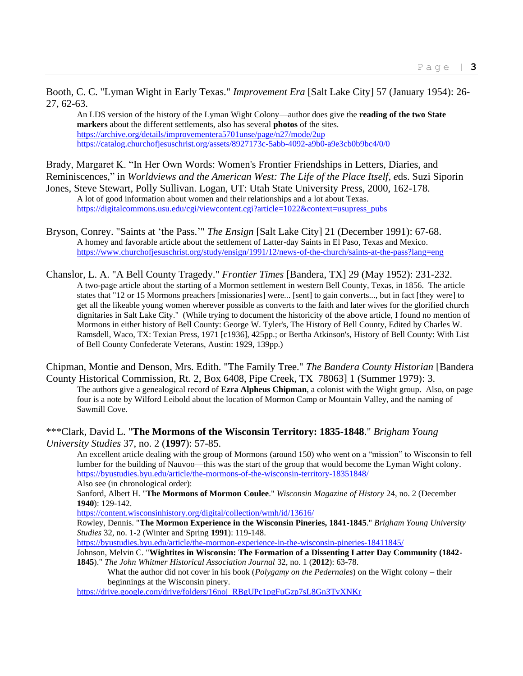Booth, C. C. "Lyman Wight in Early Texas." *Improvement Era* [Salt Lake City] 57 (January 1954): 26- 27, 62-63.

An LDS version of the history of the Lyman Wight Colony—author does give the **reading of the two State markers** about the different settlements, also has several **photos** of the sites. <https://archive.org/details/improvementera5701unse/page/n27/mode/2up> <https://catalog.churchofjesuschrist.org/assets/8927173c-5abb-4092-a9b0-a9e3cb0b9bc4/0/0>

Brady, Margaret K. "In Her Own Words: Women's Frontier Friendships in Letters, Diaries, and Reminiscences," in *Worldviews and the American West: The Life of the Place Itself, e*ds. Suzi Siporin Jones, Steve Stewart, Polly Sullivan. Logan, UT: Utah State University Press, 2000, 162-178.

A lot of good information about women and their relationships and a lot about Texas. [https://digitalcommons.usu.edu/cgi/viewcontent.cgi?article=1022&context=usupress\\_pubs](https://digitalcommons.usu.edu/cgi/viewcontent.cgi?article=1022&context=usupress_pubs)

Bryson, Conrey. "Saints at 'the Pass.'" *The Ensign* [Salt Lake City] 21 (December 1991): 67-68. A homey and favorable article about the settlement of Latter-day Saints in El Paso, Texas and Mexico. <https://www.churchofjesuschrist.org/study/ensign/1991/12/news-of-the-church/saints-at-the-pass?lang=eng>

Chanslor, L. A. "A Bell County Tragedy." *Frontier Times* [Bandera, TX] 29 (May 1952): 231-232. A two-page article about the starting of a Mormon settlement in western Bell County, Texas, in 1856. The article states that "12 or 15 Mormons preachers [missionaries] were... [sent] to gain converts..., but in fact [they were] to get all the likeable young women wherever possible as converts to the faith and later wives for the glorified church dignitaries in Salt Lake City." (While trying to document the historicity of the above article, I found no mention of Mormons in either history of Bell County: George W. Tyler's, The History of Bell County, Edited by Charles W. Ramsdell, Waco, TX: Texian Press, 1971 [c1936], 425pp.; or Bertha Atkinson's, History of Bell County: With List of Bell County Confederate Veterans, Austin: 1929, 139pp.)

Chipman, Montie and Denson, Mrs. Edith. "The Family Tree." *The Bandera County Historian* [Bandera

County Historical Commission, Rt. 2, Box 6408, Pipe Creek, TX 78063] 1 (Summer 1979): 3. The authors give a genealogical record of **Ezra Alpheus Chipman**, a colonist with the Wight group. Also, on page four is a note by Wilford Leibold about the location of Mormon Camp or Mountain Valley, and the naming of Sawmill Cove.

\*\*\*Clark, David L. "**The Mormons of the Wisconsin Territory: 1835-1848**." *Brigham Young University Studies* 37, no. 2 (**1997**): 57-85.

An excellent article dealing with the group of Mormons (around 150) who went on a "mission" to Wisconsin to fell lumber for the building of Nauvoo—this was the start of the group that would become the Lyman Wight colony. <https://byustudies.byu.edu/article/the-mormons-of-the-wisconsin-territory-18351848/> Also see (in chronological order):

Sanford, Albert H. "**The Mormons of Mormon Coulee**." *Wisconsin Magazine of History* 24, no. 2 (December **1940**): 129-142.

<https://content.wisconsinhistory.org/digital/collection/wmh/id/13616/>

Rowley, Dennis. "**The Mormon Experience in the Wisconsin Pineries, 1841-1845**." *Brigham Young University Studies* 32, no. 1-2 (Winter and Spring **1991**): 119-148.

<https://byustudies.byu.edu/article/the-mormon-experience-in-the-wisconsin-pineries-18411845/>

Johnson, Melvin C. "**Wightites in Wisconsin: The Formation of a Dissenting Latter Day Community (1842- 1845**)." *The John Whitmer Historical Association Journal* 32, no. 1 (**2012**): 63-78.

What the author did not cover in his book (*Polygamy on the Pedernales*) on the Wight colony – their beginnings at the Wisconsin pinery.

[https://drive.google.com/drive/folders/16noj\\_RBgUPc1pgFuGzp7sL8Gn3TvXNKr](https://drive.google.com/drive/folders/16noj_RBgUPc1pgFuGzp7sL8Gn3TvXNKr)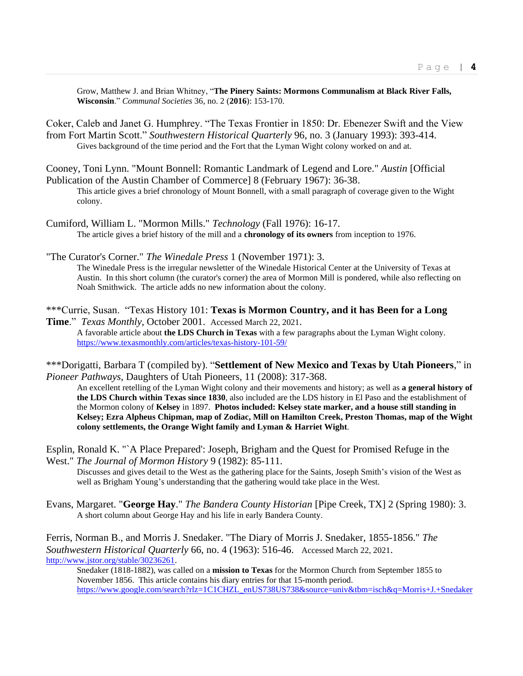Grow, Matthew J. and Brian Whitney, "**The Pinery Saints: Mormons Communalism at Black River Falls, Wisconsin**." *Communal Societies* 36, no. 2 (**2016**): 153-170.

Coker, Caleb and Janet G. Humphrey. "The Texas Frontier in 1850: Dr. Ebenezer Swift and the View from Fort Martin Scott." *Southwestern Historical Quarterly* 96, no. 3 (January 1993): 393-414. Gives background of the time period and the Fort that the Lyman Wight colony worked on and at.

- Cooney, Toni Lynn. "Mount Bonnell: Romantic Landmark of Legend and Lore." *Austin* [Official Publication of the Austin Chamber of Commerce] 8 (February 1967): 36-38. This article gives a brief chronology of Mount Bonnell, with a small paragraph of coverage given to the Wight
- colony.
- Cumiford, William L. "Mormon Mills." *Technology* (Fall 1976): 16-17. The article gives a brief history of the mill and a **chronology of its owners** from inception to 1976.

"The Curator's Corner." *The Winedale Press* 1 (November 1971): 3. The Winedale Press is the irregular newsletter of the Winedale Historical Center at the University of Texas at Austin. In this short column (the curator's corner) the area of Mormon Mill is pondered, while also reflecting on Noah Smithwick. The article adds no new information about the colony.

\*\*\*Currie, Susan. "Texas History 101: **Texas is Mormon Country, and it has Been for a Long** 

**Time**." *Texas Monthly*, October 2001. Accessed March 22, 2021. A favorable article about **the LDS Church in Texas** with a few paragraphs about the Lyman Wight colony. <https://www.texasmonthly.com/articles/texas-history-101-59/>

\*\*\*Dorigatti, Barbara T (compiled by). "**Settlement of New Mexico and Texas by Utah Pioneers**," in *Pioneer Pathways,* Daughters of Utah Pioneers*,* 11 (2008): 317-368.

An excellent retelling of the Lyman Wight colony and their movements and history; as well as **a general history of the LDS Church within Texas since 1830**, also included are the LDS history in El Paso and the establishment of the Mormon colony of **Kelsey** in 1897. **Photos included: Kelsey state marker, and a house still standing in Kelsey; Ezra Alpheus Chipman, map of Zodiac, Mill on Hamilton Creek, Preston Thomas, map of the Wight colony settlements, the Orange Wight family and Lyman & Harriet Wight**.

Esplin, Ronald K. "`A Place Prepared': Joseph, Brigham and the Quest for Promised Refuge in the West." *The Journal of Mormon History* 9 (1982): 85-111.

Discusses and gives detail to the West as the gathering place for the Saints, Joseph Smith's vision of the West as well as Brigham Young's understanding that the gathering would take place in the West.

Evans, Margaret. "**George Hay**." *The Bandera County Historian* [Pipe Creek, TX] 2 (Spring 1980): 3. A short column about George Hay and his life in early Bandera County.

Ferris, Norman B., and Morris J. Snedaker. "The Diary of Morris J. Snedaker, 1855-1856." *The Southwestern Historical Quarterly* 66, no. 4 (1963): 516-46. Accessed March 22, 2021. [http://www.jstor.org/stable/30236261.](http://www.jstor.org/stable/30236261)

Snedaker (1818-1882), was called on a **mission to Texas** for the Mormon Church from September 1855 to November 1856. This article contains his diary entries for that 15-month period. [https://www.google.com/search?rlz=1C1CHZL\\_enUS738US738&source=univ&tbm=isch&q=Morris+J.+Snedaker](https://www.google.com/search?rlz=1C1CHZL_enUS738US738&source=univ&tbm=isch&q=Morris+J.+Snedaker+mormon&sa=X&ved=2ahUKEwi4gezZ5ezvAhXaZc0KHVdJC8AQ7Al6BAgMEBE&biw=1318&bih=714&dpr=1.25)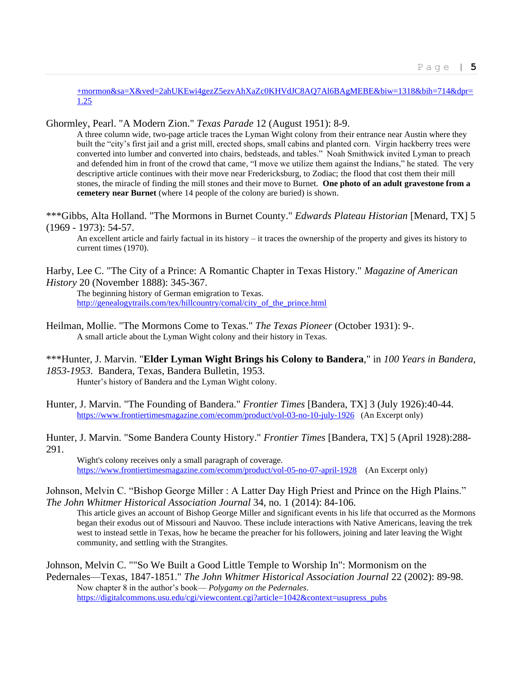[+mormon&sa=X&ved=2ahUKEwi4gezZ5ezvAhXaZc0KHVdJC8AQ7Al6BAgMEBE&biw=1318&bih=714&dpr=](https://www.google.com/search?rlz=1C1CHZL_enUS738US738&source=univ&tbm=isch&q=Morris+J.+Snedaker+mormon&sa=X&ved=2ahUKEwi4gezZ5ezvAhXaZc0KHVdJC8AQ7Al6BAgMEBE&biw=1318&bih=714&dpr=1.25) [1.25](https://www.google.com/search?rlz=1C1CHZL_enUS738US738&source=univ&tbm=isch&q=Morris+J.+Snedaker+mormon&sa=X&ved=2ahUKEwi4gezZ5ezvAhXaZc0KHVdJC8AQ7Al6BAgMEBE&biw=1318&bih=714&dpr=1.25)

## Ghormley, Pearl. "A Modern Zion." *Texas Parade* 12 (August 1951): 8-9.

A three column wide, two-page article traces the Lyman Wight colony from their entrance near Austin where they built the "city's first jail and a grist mill, erected shops, small cabins and planted corn. Virgin hackberry trees were converted into lumber and converted into chairs, bedsteads, and tables." Noah Smithwick invited Lyman to preach and defended him in front of the crowd that came, "I move we utilize them against the Indians," he stated. The very descriptive article continues with their move near Fredericksburg, to Zodiac; the flood that cost them their mill stones, the miracle of finding the mill stones and their move to Burnet. **One photo of an adult gravestone from a cemetery near Burnet** (where 14 people of the colony are buried) is shown.

\*\*\*Gibbs, Alta Holland. "The Mormons in Burnet County." *Edwards Plateau Historian* [Menard, TX] 5 (1969 - 1973): 54-57.

An excellent article and fairly factual in its history – it traces the ownership of the property and gives its history to current times (1970).

Harby, Lee C. "The City of a Prince: A Romantic Chapter in Texas History." *Magazine of American History* 20 (November 1888): 345-367.

The beginning history of German emigration to Texas. [http://genealogytrails.com/tex/hillcountry/comal/city\\_of\\_the\\_prince.html](http://genealogytrails.com/tex/hillcountry/comal/city_of_the_prince.html)

- Heilman, Mollie. "The Mormons Come to Texas." *The Texas Pioneer* (October 1931): 9-. A small article about the Lyman Wight colony and their history in Texas.
- \*\*\*Hunter, J. Marvin. "**Elder Lyman Wight Brings his Colony to Bandera**," in *100 Years in Bandera, 1853-1953*. Bandera, Texas, Bandera Bulletin, 1953.

Hunter's history of Bandera and the Lyman Wight colony.

- Hunter, J. Marvin. "The Founding of Bandera." *Frontier Times* [Bandera, TX] 3 (July 1926):40-44. <https://www.frontiertimesmagazine.com/ecomm/product/vol-03-no-10-july-1926>(An Excerpt only)
- Hunter, J. Marvin. "Some Bandera County History." *Frontier Times* [Bandera, TX] 5 (April 1928):288- 291.

Wight's colony receives only a small paragraph of coverage. <https://www.frontiertimesmagazine.com/ecomm/product/vol-05-no-07-april-1928>(An Excerpt only)

## Johnson, Melvin C. "Bishop George Miller : A Latter Day High Priest and Prince on the High Plains." *The John Whitmer Historical Association Journal* 34, no. 1 (2014): 84-106.

This article gives an account of Bishop George Miller and significant events in his life that occurred as the Mormons began their exodus out of Missouri and Nauvoo. These include interactions with Native Americans, leaving the trek west to instead settle in Texas, how he became the preacher for his followers, joining and later leaving the Wight community, and settling with the Strangites.

Johnson, Melvin C. ""So We Built a Good Little Temple to Worship In": Mormonism on the

Pedernales—Texas, 1847-1851." *The John Whitmer Historical Association Journal* 22 (2002): 89-98. Now chapter 8 in the author's book— *Polygamy on the Pedernales*. [https://digitalcommons.usu.edu/cgi/viewcontent.cgi?article=1042&context=usupress\\_pubs](https://digitalcommons.usu.edu/cgi/viewcontent.cgi?article=1042&context=usupress_pubs)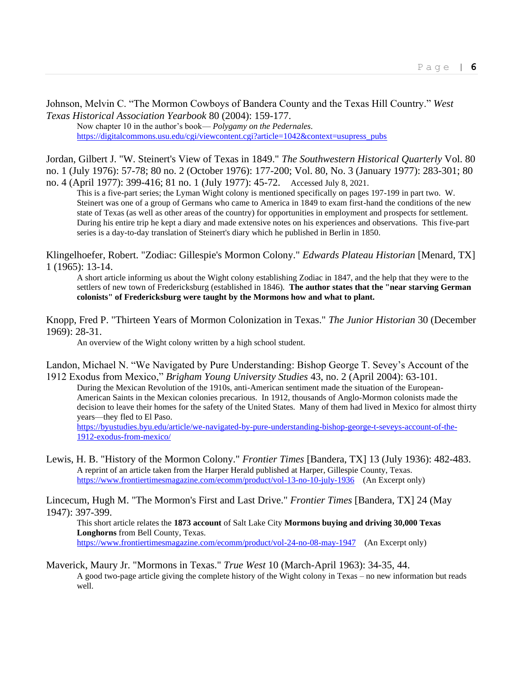Johnson, Melvin C. "The Mormon Cowboys of Bandera County and the Texas Hill Country." *West Texas Historical Association Yearbook* 80 (2004): 159-177.

Now chapter 10 in the author's book— *Polygamy on the Pedernales*. [https://digitalcommons.usu.edu/cgi/viewcontent.cgi?article=1042&context=usupress\\_pubs](https://digitalcommons.usu.edu/cgi/viewcontent.cgi?article=1042&context=usupress_pubs)

Jordan, Gilbert J. "W. Steinert's View of Texas in 1849." *The Southwestern Historical Quarterly* Vol. 80 no. 1 (July 1976): 57-78; 80 no. 2 (October 1976): 177-200; Vol. 80, No. 3 (January 1977): 283-301; 80 no. 4 (April 1977): 399-416; 81 no. 1 (July 1977): 45-72. Accessed July 8, 2021.

This is a five-part series; the Lyman Wight colony is mentioned specifically on pages 197-199 in part two. W. Steinert was one of a group of Germans who came to America in 1849 to exam first-hand the conditions of the new state of Texas (as well as other areas of the country) for opportunities in employment and prospects for settlement. During his entire trip he kept a diary and made extensive notes on his experiences and observations. This five-part series is a day-to-day translation of Steinert's diary which he published in Berlin in 1850.

Klingelhoefer, Robert. "Zodiac: Gillespie's Mormon Colony." *Edwards Plateau Historian* [Menard, TX] 1 (1965): 13-14.

A short article informing us about the Wight colony establishing Zodiac in 1847, and the help that they were to the settlers of new town of Fredericksburg (established in 1846). **The author states that the "near starving German colonists" of Fredericksburg were taught by the Mormons how and what to plant.**

Knopp, Fred P. "Thirteen Years of Mormon Colonization in Texas." *The Junior Historian* 30 (December 1969): 28-31.

An overview of the Wight colony written by a high school student.

Landon, Michael N. "We Navigated by Pure Understanding: Bishop George T. Sevey's Account of the 1912 Exodus from Mexico," *Brigham Young University Studies* 43, no. 2 (April 2004): 63-101.

During the Mexican Revolution of the 1910s, anti-American sentiment made the situation of the European-American Saints in the Mexican colonies precarious. In 1912, thousands of Anglo-Mormon colonists made the decision to leave their homes for the safety of the United States. Many of them had lived in Mexico for almost thirty years—they fled to El Paso. [https://byustudies.byu.edu/article/we-navigated-by-pure-understanding-bishop-george-t-seveys-account-of-the-](https://byustudies.byu.edu/article/we-navigated-by-pure-understanding-bishop-george-t-seveys-account-of-the-1912-exodus-from-mexico/)[1912-exodus-from-mexico/](https://byustudies.byu.edu/article/we-navigated-by-pure-understanding-bishop-george-t-seveys-account-of-the-1912-exodus-from-mexico/)

Lewis, H. B. "History of the Mormon Colony." *Frontier Times* [Bandera, TX] 13 (July 1936): 482-483. A reprint of an article taken from the Harper Herald published at Harper, Gillespie County, Texas. <https://www.frontiertimesmagazine.com/ecomm/product/vol-13-no-10-july-1936>(An Excerpt only)

Lincecum, Hugh M. "The Mormon's First and Last Drive." *Frontier Times* [Bandera, TX] 24 (May 1947): 397-399.

This short article relates the **1873 account** of Salt Lake City **Mormons buying and driving 30,000 Texas Longhorns** from Bell County, Texas. <https://www.frontiertimesmagazine.com/ecomm/product/vol-24-no-08-may-1947>(An Excerpt only)

Maverick, Maury Jr. "Mormons in Texas." *True West* 10 (March-April 1963): 34-35, 44. A good two-page article giving the complete history of the Wight colony in Texas – no new information but reads well.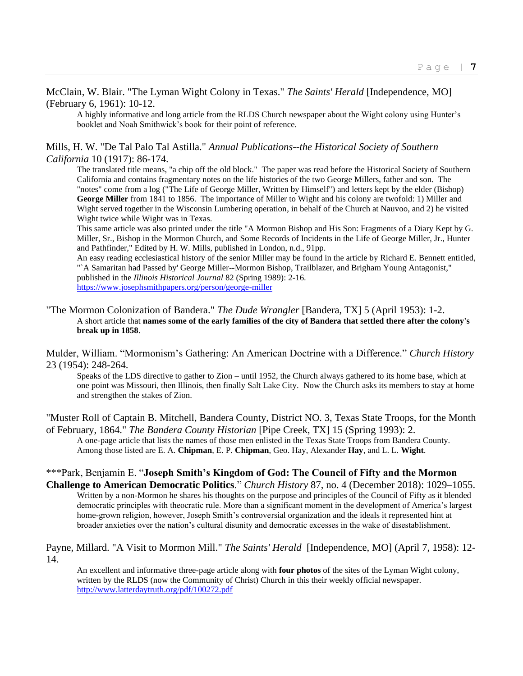McClain, W. Blair. "The Lyman Wight Colony in Texas." *The Saints' Herald* [Independence, MO] (February 6, 1961): 10-12.

A highly informative and long article from the RLDS Church newspaper about the Wight colony using Hunter's booklet and Noah Smithwick's book for their point of reference.

#### Mills, H. W. "De Tal Palo Tal Astilla." *Annual Publications--the Historical Society of Southern California* 10 (1917): 86-174.

The translated title means, "a chip off the old block." The paper was read before the Historical Society of Southern California and contains fragmentary notes on the life histories of the two George Millers, father and son. The "notes" come from a log ("The Life of George Miller, Written by Himself") and letters kept by the elder (Bishop) **George Miller** from 1841 to 1856. The importance of Miller to Wight and his colony are twofold: 1) Miller and Wight served together in the Wisconsin Lumbering operation, in behalf of the Church at Nauvoo, and 2) he visited Wight twice while Wight was in Texas.

This same article was also printed under the title "A Mormon Bishop and His Son: Fragments of a Diary Kept by G. Miller, Sr., Bishop in the Mormon Church, and Some Records of Incidents in the Life of George Miller, Jr., Hunter and Pathfinder," Edited by H. W. Mills, published in London, n.d., 91pp.

An easy reading ecclesiastical history of the senior Miller may be found in the article by Richard E. Bennett entitled, "`A Samaritan had Passed by' George Miller--Mormon Bishop, Trailblazer, and Brigham Young Antagonist," published in the *Illinois Historical Journal* 82 (Spring 1989): 2-16. <https://www.josephsmithpapers.org/person/george-miller>

#### "The Mormon Colonization of Bandera." *The Dude Wrangler* [Bandera, TX] 5 (April 1953): 1-2. A short article that **names some of the early families of the city of Bandera that settled there after the colony's break up in 1858**.

Mulder, William. "Mormonism's Gathering: An American Doctrine with a Difference." *Church History* 23 (1954): 248-264.

Speaks of the LDS directive to gather to Zion – until 1952, the Church always gathered to its home base, which at one point was Missouri, then Illinois, then finally Salt Lake City. Now the Church asks its members to stay at home and strengthen the stakes of Zion.

"Muster Roll of Captain B. Mitchell, Bandera County, District NO. 3, Texas State Troops, for the Month of February, 1864." *The Bandera County Historian* [Pipe Creek, TX] 15 (Spring 1993): 2.

A one-page article that lists the names of those men enlisted in the Texas State Troops from Bandera County. Among those listed are E. A. **Chipman**, E. P. **Chipman**, Geo. Hay, Alexander **Hay**, and L. L. **Wight**.

#### \*\*\*Park, Benjamin E. "**Joseph Smith's Kingdom of God: The Council of Fifty and the Mormon Challenge to American Democratic Politics**." *Church History* 87, no. 4 (December 2018): 1029–1055.

Written by a non-Mormon he shares his thoughts on the purpose and principles of the Council of Fifty as it blended democratic principles with theocratic rule. More than a significant moment in the development of America's largest home-grown religion, however, Joseph Smith's controversial organization and the ideals it represented hint at broader anxieties over the nation's cultural disunity and democratic excesses in the wake of disestablishment.

#### Payne, Millard. "A Visit to Mormon Mill." *The Saints' Herald* [Independence, MO] (April 7, 1958): 12- 14.

An excellent and informative three-page article along with **four photos** of the sites of the Lyman Wight colony, written by the RLDS (now the Community of Christ) Church in this their weekly official newspaper. <http://www.latterdaytruth.org/pdf/100272.pdf>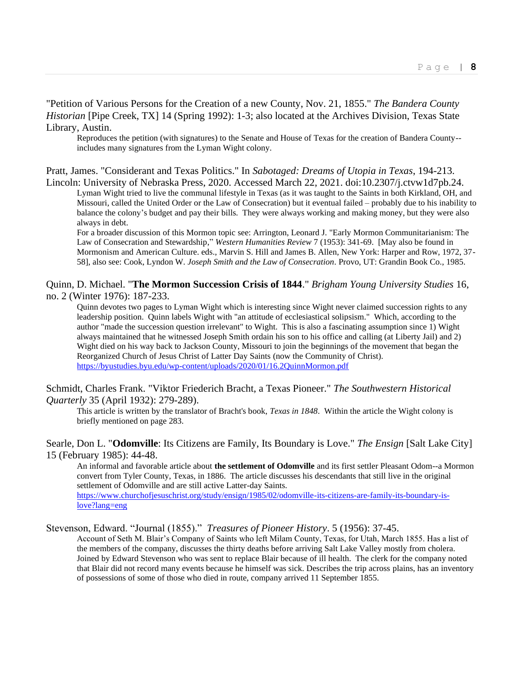"Petition of Various Persons for the Creation of a new County, Nov. 21, 1855." *The Bandera County Historian* [Pipe Creek, TX] 14 (Spring 1992): 1-3; also located at the Archives Division, Texas State Library, Austin.

Reproduces the petition (with signatures) to the Senate and House of Texas for the creation of Bandera County- includes many signatures from the Lyman Wight colony.

Pratt, James. "Considerant and Texas Politics." In *Sabotaged: Dreams of Utopia in Texas*, 194-213. Lincoln: University of Nebraska Press, 2020. Accessed March 22, 2021. doi:10.2307/j.ctvw1d7pb.24.

Lyman Wight tried to live the communal lifestyle in Texas (as it was taught to the Saints in both Kirkland, OH, and Missouri, called the United Order or the Law of Consecration) but it eventual failed – probably due to his inability to balance the colony's budget and pay their bills. They were always working and making money, but they were also always in debt.

For a broader discussion of this Mormon topic see: Arrington, Leonard J. "Early Mormon Communitarianism: The Law of Consecration and Stewardship," *Western Humanities Review* 7 (1953): 341-69. [May also be found in Mormonism and American Culture. eds., Marvin S. Hill and James B. Allen, New York: Harper and Row, 1972, 37- 58], also see: Cook, Lyndon W. *Joseph Smith and the Law of Consecration*. Provo, UT: Grandin Book Co., 1985.

## Quinn, D. Michael. "**The Mormon Succession Crisis of 1844**." *Brigham Young University Studies* 16, no. 2 (Winter 1976): 187-233.

Quinn devotes two pages to Lyman Wight which is interesting since Wight never claimed succession rights to any leadership position. Quinn labels Wight with "an attitude of ecclesiastical solipsism." Which, according to the author "made the succession question irrelevant" to Wight. This is also a fascinating assumption since 1) Wight always maintained that he witnessed Joseph Smith ordain his son to his office and calling (at Liberty Jail) and 2) Wight died on his way back to Jackson County, Missouri to join the beginnings of the movement that began the Reorganized Church of Jesus Christ of Latter Day Saints (now the Community of Christ). <https://byustudies.byu.edu/wp-content/uploads/2020/01/16.2QuinnMormon.pdf>

Schmidt, Charles Frank. "Viktor Friederich Bracht, a Texas Pioneer." *The Southwestern Historical Quarterly* 35 (April 1932): 279-289).

This article is written by the translator of Bracht's book, *Texas in 1848*. Within the article the Wight colony is briefly mentioned on page 283.

Searle, Don L. "**Odomville**: Its Citizens are Family, Its Boundary is Love." *The Ensign* [Salt Lake City] 15 (February 1985): 44-48.

An informal and favorable article about **the settlement of Odomville** and its first settler Pleasant Odom--a Mormon convert from Tyler County, Texas, in 1886. The article discusses his descendants that still live in the original settlement of Odomville and are still active Latter-day Saints. [https://www.churchofjesuschrist.org/study/ensign/1985/02/odomville-its-citizens-are-family-its-boundary-is](https://www.churchofjesuschrist.org/study/ensign/1985/02/odomville-its-citizens-are-family-its-boundary-is-love?lang=eng)[love?lang=eng](https://www.churchofjesuschrist.org/study/ensign/1985/02/odomville-its-citizens-are-family-its-boundary-is-love?lang=eng)

Stevenson, Edward. "Journal (1855)." *Treasures of Pioneer History*. 5 (1956): 37-45.

Account of Seth M. Blair's Company of Saints who left Milam County, Texas, for Utah, March 1855. Has a list of the members of the company, discusses the thirty deaths before arriving Salt Lake Valley mostly from cholera. Joined by Edward Stevenson who was sent to replace Blair because of ill health. The clerk for the company noted that Blair did not record many events because he himself was sick. Describes the trip across plains, has an inventory of possessions of some of those who died in route, company arrived 11 September 1855.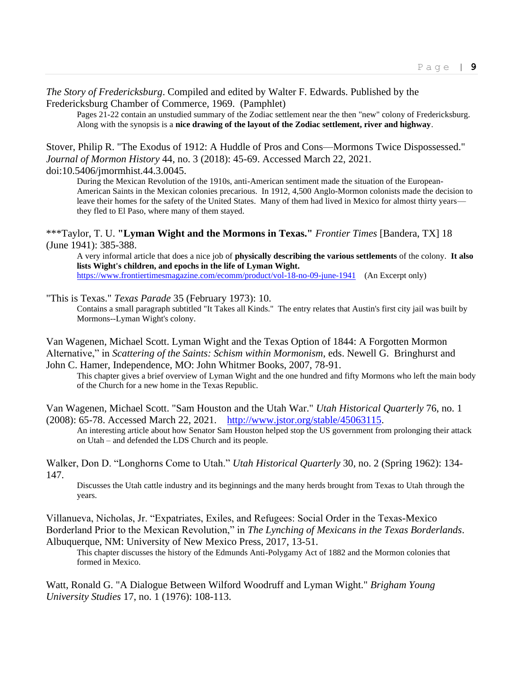*The Story of Fredericksburg*. Compiled and edited by Walter F. Edwards. Published by the Fredericksburg Chamber of Commerce, 1969. (Pamphlet)

Pages 21-22 contain an unstudied summary of the Zodiac settlement near the then "new" colony of Fredericksburg. Along with the synopsis is a **nice drawing of the layout of the Zodiac settlement, river and highway**.

Stover, Philip R. "The Exodus of 1912: A Huddle of Pros and Cons—Mormons Twice Dispossessed." *Journal of Mormon History* 44, no. 3 (2018): 45-69. Accessed March 22, 2021.

doi:10.5406/jmormhist.44.3.0045.

During the Mexican Revolution of the 1910s, anti-American sentiment made the situation of the European-American Saints in the Mexican colonies precarious. In 1912, 4,500 Anglo-Mormon colonists made the decision to leave their homes for the safety of the United States. Many of them had lived in Mexico for almost thirty years they fled to El Paso, where many of them stayed.

\*\*\*Taylor, T. U. **"Lyman Wight and the Mormons in Texas."** *Frontier Times* [Bandera, TX] 18 (June 1941): 385-388.

A very informal article that does a nice job of **physically describing the various settlements** of the colony. **It also lists Wight's children, and epochs in the life of Lyman Wight.** <https://www.frontiertimesmagazine.com/ecomm/product/vol-18-no-09-june-1941>(An Excerpt only)

"This is Texas." *Texas Parade* 35 (February 1973): 10.

Contains a small paragraph subtitled "It Takes all Kinds." The entry relates that Austin's first city jail was built by Mormons--Lyman Wight's colony.

Van Wagenen, Michael Scott. Lyman Wight and the Texas Option of 1844: A Forgotten Mormon Alternative," in *Scattering of the Saints: Schism within Mormonism*, eds. Newell G. Bringhurst and John C. Hamer, Independence, MO: John Whitmer Books, 2007, 78-91.

This chapter gives a brief overview of Lyman Wight and the one hundred and fifty Mormons who left the main body of the Church for a new home in the Texas Republic.

Van Wagenen, Michael Scott. "Sam Houston and the Utah War." *Utah Historical Quarterly* 76, no. 1 (2008): 65-78. Accessed March 22, 2021. [http://www.jstor.org/stable/45063115.](http://www.jstor.org/stable/45063115)

An interesting article about how Senator Sam Houston helped stop the US government from prolonging their attack on Utah – and defended the LDS Church and its people.

Walker, Don D. "Longhorns Come to Utah." *Utah Historical Quarterly* 30, no. 2 (Spring 1962): 134- 147.

Discusses the Utah cattle industry and its beginnings and the many herds brought from Texas to Utah through the years.

Villanueva, Nicholas, Jr. "Expatriates, Exiles, and Refugees: Social Order in the Texas-Mexico Borderland Prior to the Mexican Revolution," in *The Lynching of Mexicans in the Texas Borderlands*. Albuquerque, NM: University of New Mexico Press, 2017, 13-51.

This chapter discusses the history of the Edmunds Anti-Polygamy Act of 1882 and the Mormon colonies that formed in Mexico.

Watt, Ronald G. "A Dialogue Between Wilford Woodruff and Lyman Wight." *Brigham Young University Studies* 17, no. 1 (1976): 108-113.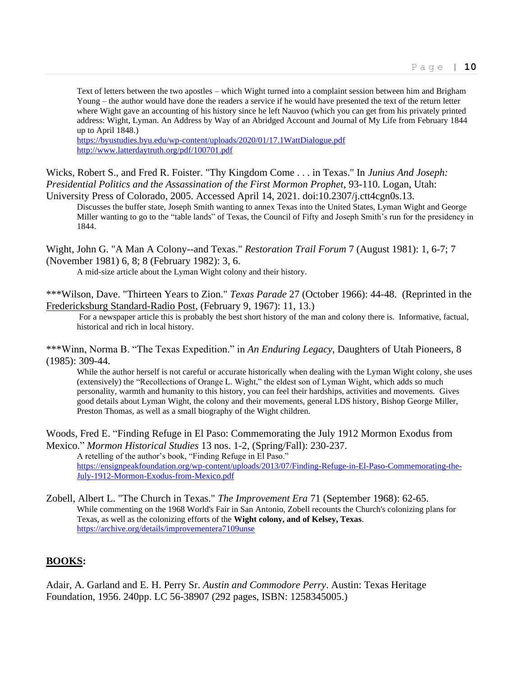Text of letters between the two apostles – which Wight turned into a complaint session between him and Brigham Young – the author would have done the readers a service if he would have presented the text of the return letter where Wight gave an accounting of his history since he left Nauvoo (which you can get from his privately printed address: Wight, Lyman. An Address by Way of an Abridged Account and Journal of My Life from February 1844 up to April 1848.)

<https://byustudies.byu.edu/wp-content/uploads/2020/01/17.1WattDialogue.pdf> <http://www.latterdaytruth.org/pdf/100701.pdf>

Wicks, Robert S., and Fred R. Foister. "Thy Kingdom Come . . . in Texas." In *Junius And Joseph: Presidential Politics and the Assassination of the First Mormon Prophet*, 93-110. Logan, Utah:

University Press of Colorado, 2005. Accessed April 14, 2021. doi:10.2307/j.ctt4cgn0s.13. Discusses the buffer state, Joseph Smith wanting to annex Texas into the United States, Lyman Wight and George Miller wanting to go to the "table lands" of Texas, the Council of Fifty and Joseph Smith's run for the presidency in 1844.

Wight, John G. "A Man A Colony--and Texas." *Restoration Trail Forum* 7 (August 1981): 1, 6-7; 7 (November 1981) 6, 8; 8 (February 1982): 3, 6.

A mid-size article about the Lyman Wight colony and their history.

\*\*\*Wilson, Dave. "Thirteen Years to Zion." *Texas Parade* 27 (October 1966): 44-48. (Reprinted in the Fredericksburg Standard-Radio Post, (February 9, 1967): 11, 13.)

For a newspaper article this is probably the best short history of the man and colony there is. Informative, factual, historical and rich in local history.

\*\*\*Winn, Norma B. "The Texas Expedition." in *An Enduring Legacy*, Daughters of Utah Pioneers, 8 (1985): 309-44.

While the author herself is not careful or accurate historically when dealing with the Lyman Wight colony, she uses (extensively) the "Recollections of Orange L. Wight," the eldest son of Lyman Wight, which adds so much personality, warmth and humanity to this history, you can feel their hardships, activities and movements. Gives good details about Lyman Wight, the colony and their movements, general LDS history, Bishop George Miller, Preston Thomas, as well as a small biography of the Wight children.

Woods, Fred E. "Finding Refuge in El Paso: Commemorating the July 1912 Mormon Exodus from Mexico." *Mormon Historical Studies* 13 nos. 1-2, (Spring/Fall): 230-237.

A retelling of the author's book, "Finding Refuge in El Paso." [https://ensignpeakfoundation.org/wp-content/uploads/2013/07/Finding-Refuge-in-El-Paso-Commemorating-the-](https://ensignpeakfoundation.org/wp-content/uploads/2013/07/Finding-Refuge-in-El-Paso-Commemorating-the-July-1912-Mormon-Exodus-from-Mexico.pdf)[July-1912-Mormon-Exodus-from-Mexico.pdf](https://ensignpeakfoundation.org/wp-content/uploads/2013/07/Finding-Refuge-in-El-Paso-Commemorating-the-July-1912-Mormon-Exodus-from-Mexico.pdf)

Zobell, Albert L. "The Church in Texas." *The Improvement Era* 71 (September 1968): 62-65. While commenting on the 1968 World's Fair in San Antonio, Zobell recounts the Church's colonizing plans for Texas, as well as the colonizing efforts of the **Wight colony, and of Kelsey, Texas**. <https://archive.org/details/improvementera7109unse>

## **BOOKS:**

Adair, A. Garland and E. H. Perry Sr. *Austin and Commodore Perry*. Austin: Texas Heritage Foundation, 1956. 240pp. LC 56-38907 (292 pages, ISBN: 1258345005.)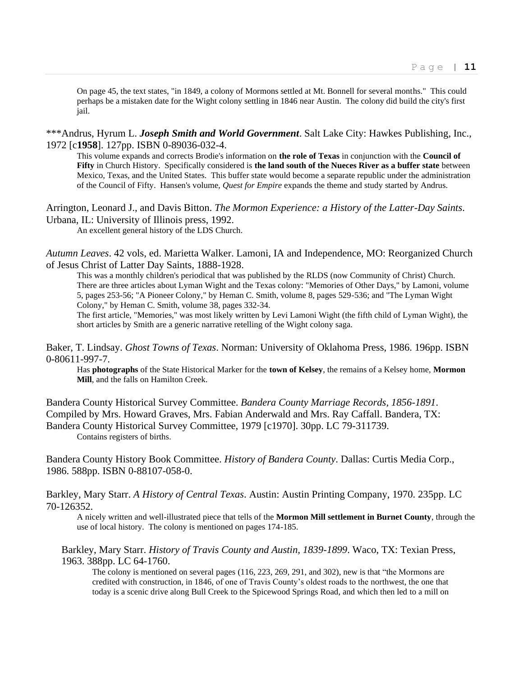On page 45, the text states, "in 1849, a colony of Mormons settled at Mt. Bonnell for several months." This could perhaps be a mistaken date for the Wight colony settling in 1846 near Austin. The colony did build the city's first jail.

\*\*\*Andrus, Hyrum L. *Joseph Smith and World Government*. Salt Lake City: Hawkes Publishing, Inc., 1972 [c**1958**]. 127pp. ISBN 0-89036-032-4.

This volume expands and corrects Brodie's information on **the role of Texas** in conjunction with the **Council of Fifty** in Church History. Specifically considered is **the land south of the Nueces River as a buffer state** between Mexico, Texas, and the United States. This buffer state would become a separate republic under the administration of the Council of Fifty. Hansen's volume, *Quest for Empire* expands the theme and study started by Andrus.

Arrington, Leonard J., and Davis Bitton. *The Mormon Experience: a History of the Latter-Day Saints*. Urbana, IL: University of Illinois press, 1992.

An excellent general history of the LDS Church.

*Autumn Leaves*. 42 vols, ed. Marietta Walker. Lamoni, IA and Independence, MO: Reorganized Church of Jesus Christ of Latter Day Saints, 1888-1928.

This was a monthly children's periodical that was published by the RLDS (now Community of Christ) Church. There are three articles about Lyman Wight and the Texas colony: "Memories of Other Days," by Lamoni, volume 5, pages 253-56; "A Pioneer Colony," by Heman C. Smith, volume 8, pages 529-536; and "The Lyman Wight Colony," by Heman C. Smith, volume 38, pages 332-34.

The first article, "Memories," was most likely written by Levi Lamoni Wight (the fifth child of Lyman Wight), the short articles by Smith are a generic narrative retelling of the Wight colony saga.

Baker, T. Lindsay. *Ghost Towns of Texas*. Norman: University of Oklahoma Press, 1986. 196pp. ISBN 0-80611-997-7.

Has **photographs** of the State Historical Marker for the **town of Kelsey**, the remains of a Kelsey home, **Mormon Mill**, and the falls on Hamilton Creek.

Bandera County Historical Survey Committee. *Bandera County Marriage Records, 1856-1891*. Compiled by Mrs. Howard Graves, Mrs. Fabian Anderwald and Mrs. Ray Caffall. Bandera, TX: Bandera County Historical Survey Committee, 1979 [c1970]. 30pp. LC 79-311739. Contains registers of births.

Bandera County History Book Committee. *History of Bandera County*. Dallas: Curtis Media Corp., 1986. 588pp. ISBN 0-88107-058-0.

Barkley, Mary Starr. *A History of Central Texas*. Austin: Austin Printing Company, 1970. 235pp. LC 70-126352.

A nicely written and well-illustrated piece that tells of the **Mormon Mill settlement in Burnet County**, through the use of local history. The colony is mentioned on pages 174-185.

Barkley, Mary Starr. *History of Travis County and Austin, 1839-1899*. Waco, TX: Texian Press, 1963. 388pp. LC 64-1760.

The colony is mentioned on several pages (116, 223, 269, 291, and 302), new is that "the Mormons are credited with construction, in 1846, of one of Travis County's oldest roads to the northwest, the one that today is a scenic drive along Bull Creek to the Spicewood Springs Road, and which then led to a mill on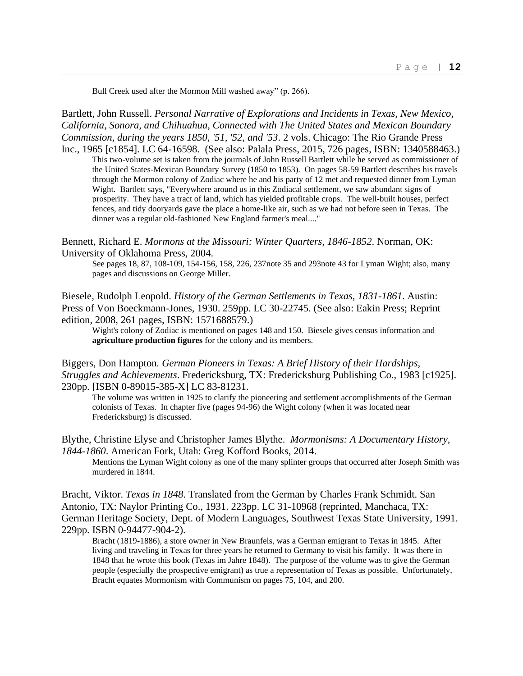Bull Creek used after the Mormon Mill washed away" (p. 266).

Bartlett, John Russell. *Personal Narrative of Explorations and Incidents in Texas, New Mexico, California, Sonora, and Chihuahua, Connected with The United States and Mexican Boundary Commission, during the years 1850, '51, '52, and '53*. 2 vols. Chicago: The Rio Grande Press Inc., 1965 [c1854]. LC 64-16598. (See also: Palala Press, 2015, 726 pages, ISBN: 1340588463.)

This two-volume set is taken from the journals of John Russell Bartlett while he served as commissioner of the United States-Mexican Boundary Survey (1850 to 1853). On pages 58-59 Bartlett describes his travels through the Mormon colony of Zodiac where he and his party of 12 met and requested dinner from Lyman Wight. Bartlett says, "Everywhere around us in this Zodiacal settlement, we saw abundant signs of prosperity. They have a tract of land, which has yielded profitable crops. The well-built houses, perfect fences, and tidy dooryards gave the place a home-like air, such as we had not before seen in Texas. The dinner was a regular old-fashioned New England farmer's meal...."

Bennett, Richard E. *Mormons at the Missouri: Winter Quarters, 1846-1852*. Norman, OK: University of Oklahoma Press, 2004.

See pages 18, 87, 108-109, 154-156, 158, 226, 237note 35 and 293note 43 for Lyman Wight; also, many pages and discussions on George Miller.

Biesele, Rudolph Leopold. *History of the German Settlements in Texas, 1831-1861*. Austin: Press of Von Boeckmann-Jones, 1930. 259pp. LC 30-22745. (See also: Eakin Press; Reprint edition, 2008, 261 pages, ISBN: 1571688579.)

Wight's colony of Zodiac is mentioned on pages 148 and 150. Biesele gives census information and **agriculture production figures** for the colony and its members.

Biggers, Don Hampton*. German Pioneers in Texas: A Brief History of their Hardships, Struggles and Achievements*. Fredericksburg, TX: Fredericksburg Publishing Co., 1983 [c1925]. 230pp. [ISBN 0-89015-385-X] LC 83-81231.

The volume was written in 1925 to clarify the pioneering and settlement accomplishments of the German colonists of Texas. In chapter five (pages 94-96) the Wight colony (when it was located near Fredericksburg) is discussed.

Blythe, Christine Elyse and Christopher James Blythe. *Mormonisms: A Documentary History, 1844-1860*. American Fork, Utah: Greg Kofford Books, 2014.

Mentions the Lyman Wight colony as one of the many splinter groups that occurred after Joseph Smith was murdered in 1844.

Bracht, Viktor. *Texas in 1848*. Translated from the German by Charles Frank Schmidt. San Antonio, TX: Naylor Printing Co., 1931. 223pp. LC 31-10968 (reprinted, Manchaca, TX: German Heritage Society, Dept. of Modern Languages, Southwest Texas State University, 1991. 229pp. ISBN 0-94477-904-2).

Bracht (1819-1886), a store owner in New Braunfels, was a German emigrant to Texas in 1845. After living and traveling in Texas for three years he returned to Germany to visit his family. It was there in 1848 that he wrote this book (Texas im Jahre 1848). The purpose of the volume was to give the German people (especially the prospective emigrant) as true a representation of Texas as possible. Unfortunately, Bracht equates Mormonism with Communism on pages 75, 104, and 200.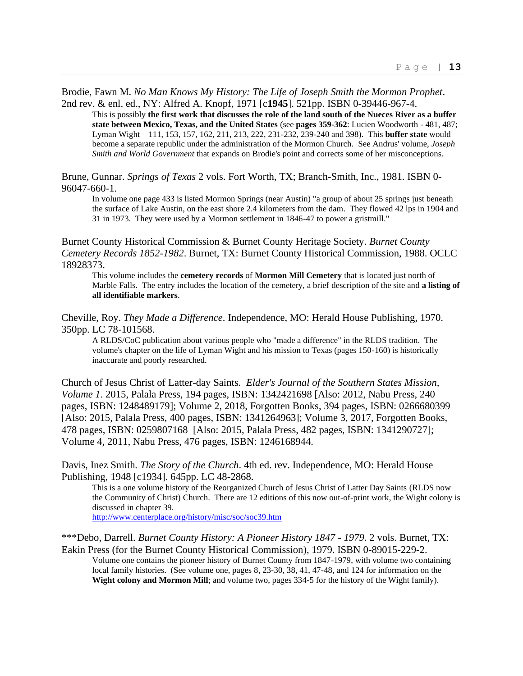## Brodie, Fawn M. *No Man Knows My History: The Life of Joseph Smith the Mormon Prophet*. 2nd rev. & enl. ed., NY: Alfred A. Knopf, 1971 [c**1945**]. 521pp. ISBN 0-39446-967-4.

This is possibly **the first work that discusses the role of the land south of the Nueces River as a buffer state between Mexico, Texas, and the United States** (see **pages 359-362**: Lucien Woodworth - 481, 487; Lyman Wight – 111, 153, 157, 162, 211, 213, 222, 231-232, 239-240 and 398). This **buffer state** would become a separate republic under the administration of the Mormon Church. See Andrus' volume, *Joseph Smith and World Government* that expands on Brodie's point and corrects some of her misconceptions.

Brune, Gunnar. *Springs of Texas* 2 vols. Fort Worth, TX; Branch-Smith, Inc., 1981. ISBN 0- 96047-660-1.

In volume one page 433 is listed Mormon Springs (near Austin) "a group of about 25 springs just beneath the surface of Lake Austin, on the east shore 2.4 kilometers from the dam. They flowed 42 lps in 1904 and 31 in 1973. They were used by a Mormon settlement in 1846-47 to power a gristmill."

Burnet County Historical Commission & Burnet County Heritage Society. *Burnet County Cemetery Records 1852-1982*. Burnet, TX: Burnet County Historical Commission, 1988. OCLC 18928373.

This volume includes the **cemetery records** of **Mormon Mill Cemetery** that is located just north of Marble Falls. The entry includes the location of the cemetery, a brief description of the site and **a listing of all identifiable markers**.

Cheville, Roy. *They Made a Difference*. Independence, MO: Herald House Publishing, 1970. 350pp. LC 78-101568.

A RLDS/CoC publication about various people who "made a difference" in the RLDS tradition. The volume's chapter on the life of Lyman Wight and his mission to Texas (pages 150-160) is historically inaccurate and poorly researched.

Church of Jesus Christ of Latter-day Saints. *Elder's Journal of the Southern States Mission, Volume 1*. 2015, Palala Press, 194 pages, ISBN: 1342421698 [Also: 2012, Nabu Press, 240 pages, ISBN: 1248489179]; Volume 2, 2018, Forgotten Books, 394 pages, ISBN: 0266680399 [Also: 2015, Palala Press, 400 pages, ISBN: 1341264963]; Volume 3, 2017, Forgotten Books, 478 pages, ISBN: 0259807168 [Also: 2015, Palala Press, 482 pages, ISBN: 1341290727]; Volume 4, 2011, Nabu Press, 476 pages, ISBN: 1246168944.

Davis, Inez Smith*. The Story of the Church*. 4th ed. rev. Independence, MO: Herald House Publishing, 1948 [c1934]. 645pp. LC 48-2868.

This is a one volume history of the Reorganized Church of Jesus Christ of Latter Day Saints (RLDS now the Community of Christ) Church. There are 12 editions of this now out-of-print work, the Wight colony is discussed in chapter 39.

<http://www.centerplace.org/history/misc/soc/soc39.htm>

\*\*\*Debo, Darrell. *Burnet County History: A Pioneer History 1847 - 1979.* 2 vols. Burnet, TX: Eakin Press (for the Burnet County Historical Commission), 1979. ISBN 0-89015-229-2.

Volume one contains the pioneer history of Burnet County from 1847-1979, with volume two containing local family histories. (See volume one, pages 8, 23-30, 38, 41, 47-48, and 124 for information on the **Wight colony and Mormon Mill**; and volume two, pages 334-5 for the history of the Wight family).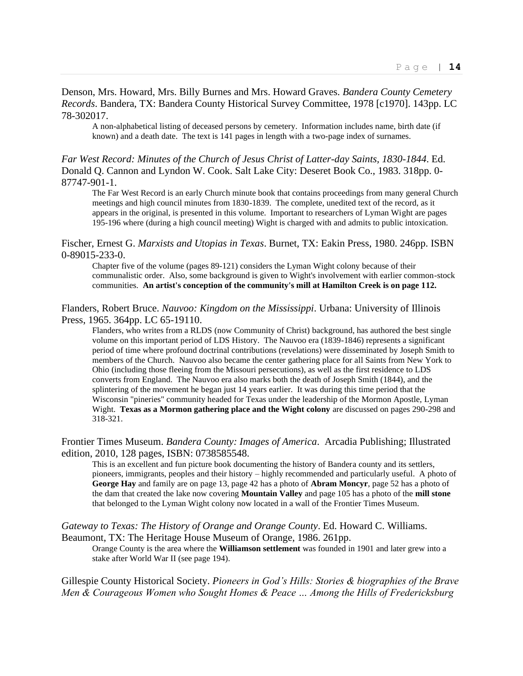## Denson, Mrs. Howard, Mrs. Billy Burnes and Mrs. Howard Graves. *Bandera County Cemetery Records*. Bandera, TX: Bandera County Historical Survey Committee, 1978 [c1970]. 143pp. LC 78-302017.

A non-alphabetical listing of deceased persons by cemetery. Information includes name, birth date (if known) and a death date. The text is 141 pages in length with a two-page index of surnames.

## *Far West Record: Minutes of the Church of Jesus Christ of Latter-day Saints, 1830-1844*. Ed. Donald Q. Cannon and Lyndon W. Cook. Salt Lake City: Deseret Book Co., 1983. 318pp. 0- 87747-901-1.

The Far West Record is an early Church minute book that contains proceedings from many general Church meetings and high council minutes from 1830-1839. The complete, unedited text of the record, as it appears in the original, is presented in this volume. Important to researchers of Lyman Wight are pages 195-196 where (during a high council meeting) Wight is charged with and admits to public intoxication.

#### Fischer, Ernest G. *Marxists and Utopias in Texas*. Burnet, TX: Eakin Press, 1980. 246pp. ISBN 0-89015-233-0.

Chapter five of the volume (pages 89-121) considers the Lyman Wight colony because of their communalistic order. Also, some background is given to Wight's involvement with earlier common-stock communities. **An artist's conception of the community's mill at Hamilton Creek is on page 112.**

#### Flanders, Robert Bruce. *Nauvoo: Kingdom on the Mississippi*. Urbana: University of Illinois Press, 1965. 364pp. LC 65-19110.

Flanders, who writes from a RLDS (now Community of Christ) background, has authored the best single volume on this important period of LDS History. The Nauvoo era (1839-1846) represents a significant period of time where profound doctrinal contributions (revelations) were disseminated by Joseph Smith to members of the Church. Nauvoo also became the center gathering place for all Saints from New York to Ohio (including those fleeing from the Missouri persecutions), as well as the first residence to LDS converts from England. The Nauvoo era also marks both the death of Joseph Smith (1844), and the splintering of the movement he began just 14 years earlier. It was during this time period that the Wisconsin "pineries" community headed for Texas under the leadership of the Mormon Apostle, Lyman Wight. **Texas as a Mormon gathering place and the Wight colony** are discussed on pages 290-298 and 318-321.

Frontier Times Museum. *Bandera County: Images of America*. Arcadia Publishing; Illustrated edition, 2010, 128 pages, ISBN: 0738585548.

This is an excellent and fun picture book documenting the history of Bandera county and its settlers, pioneers, immigrants, peoples and their history – highly recommended and particularly useful. A photo of **George Hay** and family are on page 13, page 42 has a photo of **Abram Moncyr**, page 52 has a photo of the dam that created the lake now covering **Mountain Valley** and page 105 has a photo of the **mill stone** that belonged to the Lyman Wight colony now located in a wall of the Frontier Times Museum.

## *Gateway to Texas: The History of Orange and Orange County*. Ed. Howard C. Williams. Beaumont, TX: The Heritage House Museum of Orange, 1986. 261pp.

Orange County is the area where the **Williamson settlement** was founded in 1901 and later grew into a stake after World War II (see page 194).

Gillespie County Historical Society. *Pioneers in God's Hills: Stories & biographies of the Brave Men & Courageous Women who Sought Homes & Peace … Among the Hills of Fredericksburg*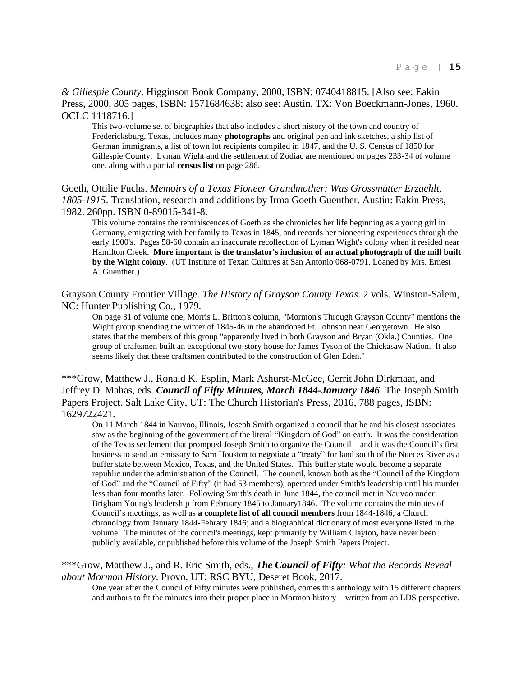*& Gillespie County*. Higginson Book Company, 2000, ISBN: 0740418815. [Also see: Eakin Press, 2000, 305 pages, ISBN: 1571684638; also see: Austin, TX: Von Boeckmann-Jones, 1960. OCLC 1118716.]

This two-volume set of biographies that also includes a short history of the town and country of Fredericksburg, Texas, includes many **photographs** and original pen and ink sketches, a ship list of German immigrants, a list of town lot recipients compiled in 1847, and the U. S. Census of 1850 for Gillespie County. Lyman Wight and the settlement of Zodiac are mentioned on pages 233-34 of volume one, along with a partial **census list** on page 286.

Goeth, Ottilie Fuchs. *Memoirs of a Texas Pioneer Grandmother: Was Grossmutter Erzaehlt, 1805-1915*. Translation, research and additions by Irma Goeth Guenther. Austin: Eakin Press, 1982. 260pp. ISBN 0-89015-341-8.

This volume contains the reminiscences of Goeth as she chronicles her life beginning as a young girl in Germany, emigrating with her family to Texas in 1845, and records her pioneering experiences through the early 1900's. Pages 58-60 contain an inaccurate recollection of Lyman Wight's colony when it resided near Hamilton Creek. **More important is the translator's inclusion of an actual photograph of the mill built by the Wight colony**. (UT Institute of Texan Cultures at San Antonio 068-0791. Loaned by Mrs. Ernest A. Guenther.)

Grayson County Frontier Village. *The History of Grayson County Texas*. 2 vols. Winston-Salem, NC: Hunter Publishing Co., 1979.

On page 31 of volume one, Morris L. Britton's column, "Mormon's Through Grayson County" mentions the Wight group spending the winter of 1845-46 in the abandoned Ft. Johnson near Georgetown. He also states that the members of this group "apparently lived in both Grayson and Bryan (Okla.) Counties. One group of craftsmen built an exceptional two-story house for James Tyson of the Chickasaw Nation. It also seems likely that these craftsmen contributed to the construction of Glen Eden."

\*\*\*Grow, Matthew J., Ronald K. Esplin, Mark Ashurst-McGee, Gerrit John Dirkmaat, and Jeffrey D. Mahas, eds. *Council of Fifty Minutes, March 1844-January 1846*. The Joseph Smith Papers Project. Salt Lake City, UT: The Church Historian's Press, 2016, 788 pages, ISBN: 1629722421.

On 11 March 1844 in Nauvoo, Illinois, Joseph Smith organized a council that he and his closest associates saw as the beginning of the government of the literal "Kingdom of God" on earth. It was the consideration of the Texas settlement that prompted Joseph Smith to organize the Council – and it was the Council's first business to send an emissary to Sam Houston to negotiate a "treaty" for land south of the Nueces River as a buffer state between Mexico, Texas, and the United States. This buffer state would become a separate republic under the administration of the Council. The council, known both as the "Council of the Kingdom of God" and the "Council of Fifty" (it had 53 members), operated under Smith's leadership until his murder less than four months later. Following Smith's death in June 1844, the council met in Nauvoo under Brigham Young's leadership from February 1845 to January1846. The volume contains the minutes of Council's meetings, as well as **a complete list of all council members** from 1844-1846; a Church chronology from January 1844-Febrary 1846; and a biographical dictionary of most everyone listed in the volume. The minutes of the council's meetings, kept primarily by William Clayton, have never been publicly available, or published before this volume of the Joseph Smith Papers Project.

## \*\*\*Grow, Matthew J., and R. Eric Smith, eds., *The Council of Fifty: What the Records Reveal about Mormon History*. Provo, UT: RSC BYU, Deseret Book, 2017.

One year after the Council of Fifty minutes were published, comes this anthology with 15 different chapters and authors to fit the minutes into their proper place in Mormon history – written from an LDS perspective.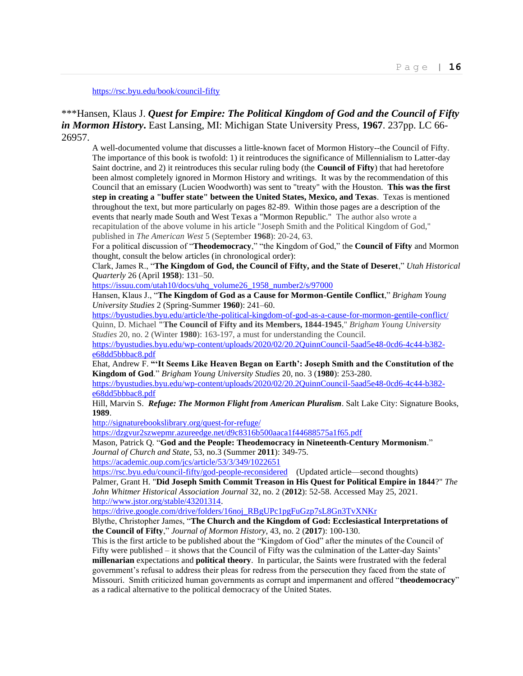#### <https://rsc.byu.edu/book/council-fifty>

## \*\*\*Hansen, Klaus J. *Quest for Empire: The Political Kingdom of God and the Council of Fifty in Mormon History***.** East Lansing, MI: Michigan State University Press, **1967**. 237pp. LC 66- 26957.

A well-documented volume that discusses a little-known facet of Mormon History--the Council of Fifty. The importance of this book is twofold: 1) it reintroduces the significance of Millennialism to Latter-day Saint doctrine, and 2) it reintroduces this secular ruling body (the **Council of Fifty**) that had heretofore been almost completely ignored in Mormon History and writings. It was by the recommendation of this Council that an emissary (Lucien Woodworth) was sent to "treaty" with the Houston. **This was the first step in creating a "buffer state" between the United States, Mexico, and Texas**. Texas is mentioned throughout the text, but more particularly on pages 82-89. Within those pages are a description of the events that nearly made South and West Texas a "Mormon Republic." The author also wrote a recapitulation of the above volume in his article "Joseph Smith and the Political Kingdom of God," published in *The American West* 5 (September **1968**): 20-24, 63.

For a political discussion of "**Theodemocracy**," "the Kingdom of God," the **Council of Fifty** and Mormon thought, consult the below articles (in chronological order):

Clark, James R., "**The Kingdom of God, the Council of Fifty, and the State of Deseret**," *Utah Historical Quarterly* 26 (April **1958**): 131–50.

[https://issuu.com/utah10/docs/uhq\\_volume26\\_1958\\_number2/s/97000](https://issuu.com/utah10/docs/uhq_volume26_1958_number2/s/97000)

Hansen, Klaus J., "**The Kingdom of God as a Cause for Mormon-Gentile Conflict**," *Brigham Young University Studies* 2 (Spring-Summer **1960**): 241–60.

<https://byustudies.byu.edu/article/the-political-kingdom-of-god-as-a-cause-for-mormon-gentile-conflict/> Quinn, D. Michael **"The Council of Fifty and its Members, 1844-1945**," *Brigham Young University Studies* 20, no. 2 (Winter **1980**): 163-197, a must for understanding the Council. [https://byustudies.byu.edu/wp-content/uploads/2020/02/20.2QuinnCouncil-5aad5e48-0cd6-4c44-b382-](https://byustudies.byu.edu/wp-content/uploads/2020/02/20.2QuinnCouncil-5aad5e48-0cd6-4c44-b382-e68dd5bbbac8.pdf)

[e68dd5bbbac8.pdf](https://byustudies.byu.edu/wp-content/uploads/2020/02/20.2QuinnCouncil-5aad5e48-0cd6-4c44-b382-e68dd5bbbac8.pdf)

Ehat, Andrew F. **"'It Seems Like Heaven Began on Earth': Joseph Smith and the Constitution of the Kingdom of God**." *Brigham Young University Studies* 20, no. 3 (**1980**): 253-280.

[https://byustudies.byu.edu/wp-content/uploads/2020/02/20.2QuinnCouncil-5aad5e48-0cd6-4c44-b382](https://byustudies.byu.edu/wp-content/uploads/2020/02/20.2QuinnCouncil-5aad5e48-0cd6-4c44-b382-e68dd5bbbac8.pdf) [e68dd5bbbac8.pdf](https://byustudies.byu.edu/wp-content/uploads/2020/02/20.2QuinnCouncil-5aad5e48-0cd6-4c44-b382-e68dd5bbbac8.pdf)

Hill, Marvin S. *Refuge: The Mormon Flight from American Pluralism*. Salt Lake City: Signature Books, **1989**.

<http://signaturebookslibrary.org/quest-for-refuge/>

<https://dzgvur2szwepmr.azureedge.net/d9c8316b500aaca1f44688575a1f65.pdf>

Mason, Patrick Q. "**God and the People: Theodemocracy in Nineteenth-Century Mormonism**." *Journal of Church and State*, 53, no.3 (Summer **2011**): 349-75. <https://academic.oup.com/jcs/article/53/3/349/1022651>

<https://rsc.byu.edu/council-fifty/god-people-reconsidered>(Updated article—second thoughts) Palmer, Grant H. "**Did Joseph Smith Commit Treason in His Quest for Political Empire in 1844**?" *The John Whitmer Historical Association Journal* 32, no. 2 (**2012**): 52-58. Accessed May 25, 2021. [http://www.jstor.org/stable/43201314.](http://www.jstor.org/stable/43201314)

[https://drive.google.com/drive/folders/16noj\\_RBgUPc1pgFuGzp7sL8Gn3TvXNKr](https://drive.google.com/drive/folders/16noj_RBgUPc1pgFuGzp7sL8Gn3TvXNKr)

Blythe, Christopher James, "**The Church and the Kingdom of God: Ecclesiastical Interpretations of the Council of Fifty**," *Journal of Mormon History*, 43, no. 2 (**2017**): 100-130.

This is the first article to be published about the "Kingdom of God" after the minutes of the Council of Fifty were published – it shows that the Council of Fifty was the culmination of the Latter-day Saints' **millenarian** expectations and **political theory**. In particular, the Saints were frustrated with the federal government's refusal to address their pleas for redress from the persecution they faced from the state of Missouri. Smith criticized human governments as corrupt and impermanent and offered "**theodemocracy**" as a radical alternative to the political democracy of the United States.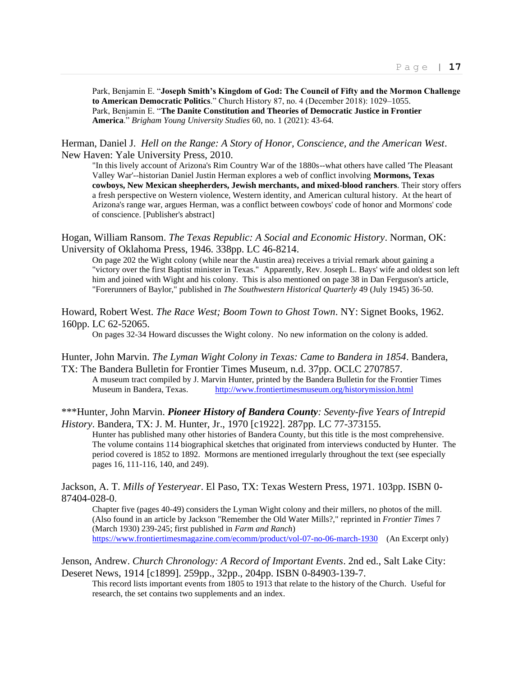Park, Benjamin E. "**Joseph Smith's Kingdom of God: The Council of Fifty and the Mormon Challenge to American Democratic Politics**." Church History 87, no. 4 (December 2018): 1029–1055. Park, Benjamin E. "**The Danite Constitution and Theories of Democratic Justice in Frontier America**." *Brigham Young University Studies* 60, no. 1 (2021): 43-64.

Herman, Daniel J. *Hell on the Range: A Story of Honor, Conscience, and the American West*. New Haven: Yale University Press, 2010.

"In this lively account of Arizona's Rim Country War of the 1880s--what others have called 'The Pleasant Valley War'--historian Daniel Justin Herman explores a web of conflict involving **Mormons, Texas cowboys, New Mexican sheepherders, Jewish merchants, and mixed-blood ranchers**. Their story offers a fresh perspective on Western violence, Western identity, and American cultural history. At the heart of Arizona's range war, argues Herman, was a conflict between cowboys' code of honor and Mormons' code of conscience. [Publisher's abstract]

Hogan, William Ransom. *The Texas Republic: A Social and Economic History*. Norman, OK: University of Oklahoma Press, 1946. 338pp. LC 46-8214.

On page 202 the Wight colony (while near the Austin area) receives a trivial remark about gaining a "victory over the first Baptist minister in Texas." Apparently, Rev. Joseph L. Bays' wife and oldest son left him and joined with Wight and his colony. This is also mentioned on page 38 in Dan Ferguson's article, "Forerunners of Baylor," published in *The Southwestern Historical Quarterly* 49 (July 1945) 36-50.

Howard, Robert West. *The Race West; Boom Town to Ghost Town*. NY: Signet Books, 1962. 160pp. LC 62-52065.

On pages 32-34 Howard discusses the Wight colony. No new information on the colony is added.

Hunter, John Marvin. *The Lyman Wight Colony in Texas: Came to Bandera in 1854*. Bandera, TX: The Bandera Bulletin for Frontier Times Museum, n.d. 37pp. OCLC 2707857.

A museum tract compiled by J. Marvin Hunter, printed by the Bandera Bulletin for the Frontier Times Museum in Bandera, Texas. <http://www.frontiertimesmuseum.org/historymission.html>

\*\*\*Hunter, John Marvin. *Pioneer History of Bandera County: Seventy-five Years of Intrepid History*. Bandera, TX: J. M. Hunter, Jr., 1970 [c1922]. 287pp. LC 77-373155.

Hunter has published many other histories of Bandera County, but this title is the most comprehensive. The volume contains 114 biographical sketches that originated from interviews conducted by Hunter. The period covered is 1852 to 1892. Mormons are mentioned irregularly throughout the text (see especially pages 16, 111-116, 140, and 249).

Jackson, A. T. *Mills of Yesteryear*. El Paso, TX: Texas Western Press, 1971. 103pp. ISBN 0- 87404-028-0.

Chapter five (pages 40-49) considers the Lyman Wight colony and their millers, no photos of the mill. (Also found in an article by Jackson "Remember the Old Water Mills?," reprinted in *Frontier Times* 7 (March 1930) 239-245; first published in *Farm and Ranch*) <https://www.frontiertimesmagazine.com/ecomm/product/vol-07-no-06-march-1930>(An Excerpt only)

Jenson, Andrew. *Church Chronology: A Record of Important Events*. 2nd ed., Salt Lake City: Deseret News, 1914 [c1899]. 259pp., 32pp., 204pp. ISBN 0-84903-139-7.

This record lists important events from 1805 to 1913 that relate to the history of the Church. Useful for research, the set contains two supplements and an index.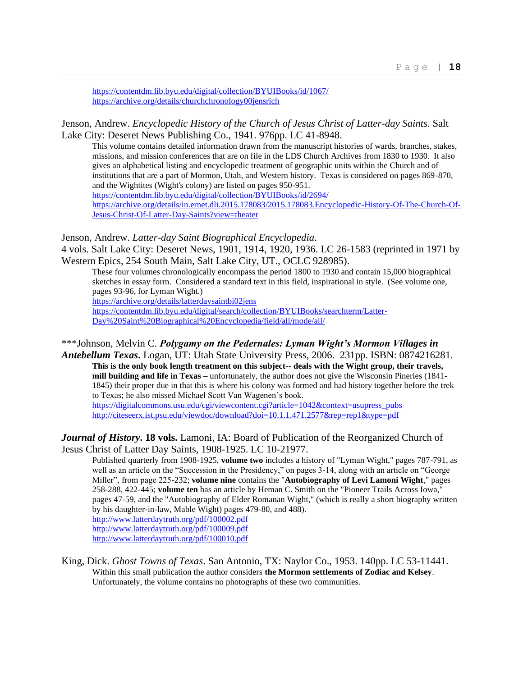<https://contentdm.lib.byu.edu/digital/collection/BYUIBooks/id/1067/> <https://archive.org/details/churchchronology00jensrich>

Jenson, Andrew. *Encyclopedic History of the Church of Jesus Christ of Latter-day Saints*. Salt Lake City: Deseret News Publishing Co., 1941. 976pp. LC 41-8948.

This volume contains detailed information drawn from the manuscript histories of wards, branches, stakes, missions, and mission conferences that are on file in the LDS Church Archives from 1830 to 1930. It also gives an alphabetical listing and encyclopedic treatment of geographic units within the Church and of institutions that are a part of Mormon, Utah, and Western history. Texas is considered on pages 869-870, and the Wightites (Wight's colony) are listed on pages 950-951. <https://contentdm.lib.byu.edu/digital/collection/BYUIBooks/id/2694/> [https://archive.org/details/in.ernet.dli.2015.178083/2015.178083.Encyclopedic-History-Of-The-Church-Of-](https://archive.org/details/in.ernet.dli.2015.178083/2015.178083.Encyclopedic-History-Of-The-Church-Of-Jesus-Christ-Of-Latter-Day-Saints?view=theater)[Jesus-Christ-Of-Latter-Day-Saints?view=theater](https://archive.org/details/in.ernet.dli.2015.178083/2015.178083.Encyclopedic-History-Of-The-Church-Of-Jesus-Christ-Of-Latter-Day-Saints?view=theater)

Jenson, Andrew. *Latter-day Saint Biographical Encyclopedia*.

4 vols. Salt Lake City: Deseret News, 1901, 1914, 1920, 1936. LC 26-1583 (reprinted in 1971 by Western Epics, 254 South Main, Salt Lake City, UT., OCLC 928985).

These four volumes chronologically encompass the period 1800 to 1930 and contain 15,000 biographical sketches in essay form. Considered a standard text in this field, inspirational in style. (See volume one, pages 93-96, for Lyman Wight.)

<https://archive.org/details/latterdaysaintbi02jens>

[https://contentdm.lib.byu.edu/digital/search/collection/BYUIBooks/searchterm/Latter-](https://contentdm.lib.byu.edu/digital/search/collection/BYUIBooks/searchterm/Latter-Day%20Saint%20Biographical%20Encyclopedia/field/all/mode/all/)[Day%20Saint%20Biographical%20Encyclopedia/field/all/mode/all/](https://contentdm.lib.byu.edu/digital/search/collection/BYUIBooks/searchterm/Latter-Day%20Saint%20Biographical%20Encyclopedia/field/all/mode/all/)

#### \*\*\*Johnson, Melvin C. *Polygamy on the Pedernales: Lyman Wight's Mormon Villages in*

*Antebellum Texas***.** Logan, UT: Utah State University Press, 2006. 231pp. ISBN: 0874216281. **This is the only book length treatment on this subject-- deals with the Wight group, their travels, mill building and life in Texas –** unfortunately, the author does not give the Wisconsin Pineries (1841- 1845) their proper due in that this is where his colony was formed and had history together before the trek to Texas; he also missed Michael Scott Van Wagenen's book. [https://digitalcommons.usu.edu/cgi/viewcontent.cgi?article=1042&context=usupress\\_pubs](https://digitalcommons.usu.edu/cgi/viewcontent.cgi?article=1042&context=usupress_pubs)

<http://citeseerx.ist.psu.edu/viewdoc/download?doi=10.1.1.471.2577&rep=rep1&type=pdf>

*Journal of History***. 18 vols.** Lamoni, IA: Board of Publication of the Reorganized Church of Jesus Christ of Latter Day Saints, 1908-1925. LC 10-21977.

Published quarterly from 1908-1925, **volume two** includes a history of "Lyman Wight," pages 787-791, as well as an article on the "Succession in the Presidency," on pages 3-14, along with an article on "George Miller", from page 225-232; **volume nine** contains the "**Autobiography of Levi Lamoni Wight**," pages 258-288, 422-445; **volume ten** has an article by Heman C. Smith on the "Pioneer Trails Across Iowa," pages 47-59, and the "Autobiography of Elder Romanan Wight," (which is really a short biography written by his daughter-in-law, Mable Wight) pages 479-80, and 488). <http://www.latterdaytruth.org/pdf/100002.pdf>

<http://www.latterdaytruth.org/pdf/100009.pdf>

<http://www.latterdaytruth.org/pdf/100010.pdf>

King, Dick. *Ghost Towns of Texas*. San Antonio, TX: Naylor Co., 1953. 140pp. LC 53-11441. Within this small publication the author considers **the Mormon settlements of Zodiac and Kelsey**. Unfortunately, the volume contains no photographs of these two communities.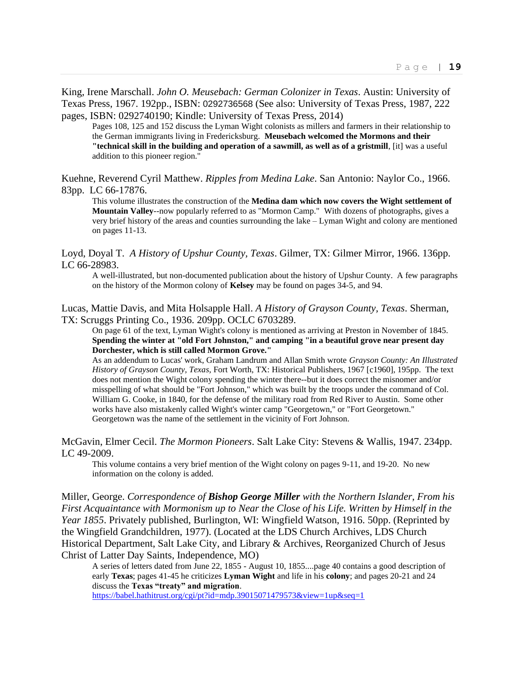King, Irene Marschall. *John O. Meusebach: German Colonizer in Texas*. Austin: University of Texas Press, 1967. 192pp., ISBN: 0292736568 (See also: University of Texas Press, 1987, 222 pages, ISBN: 0292740190; Kindle: University of Texas Press, 2014)

Pages 108, 125 and 152 discuss the Lyman Wight colonists as millers and farmers in their relationship to the German immigrants living in Fredericksburg. **Meusebach welcomed the Mormons and their "technical skill in the building and operation of a sawmill, as well as of a gristmill**, [it] was a useful addition to this pioneer region."

Kuehne, Reverend Cyril Matthew. *Ripples from Medina Lake*. San Antonio: Naylor Co., 1966. 83pp. LC 66-17876.

This volume illustrates the construction of the **Medina dam which now covers the Wight settlement of Mountain Valley**--now popularly referred to as "Mormon Camp." With dozens of photographs, gives a very brief history of the areas and counties surrounding the lake – Lyman Wight and colony are mentioned on pages 11-13.

Loyd, Doyal T. *A History of Upshur County, Texas*. Gilmer, TX: Gilmer Mirror, 1966. 136pp. LC 66-28983.

A well-illustrated, but non-documented publication about the history of Upshur County. A few paragraphs on the history of the Mormon colony of **Kelsey** may be found on pages 34-5, and 94.

Lucas, Mattie Davis, and Mita Holsapple Hall. *A History of Grayson County, Texas*. Sherman, TX: Scruggs Printing Co., 1936. 209pp. OCLC 6703289.

On page 61 of the text, Lyman Wight's colony is mentioned as arriving at Preston in November of 1845. **Spending the winter at "old Fort Johnston," and camping "in a beautiful grove near present day Dorchester, which is still called Mormon Grove."**

As an addendum to Lucas' work, Graham Landrum and Allan Smith wrote *Grayson County: An Illustrated History of Grayson County, Texas,* Fort Worth, TX: Historical Publishers, 1967 [c1960], 195pp. The text does not mention the Wight colony spending the winter there--but it does correct the misnomer and/or misspelling of what should be "Fort Johnson," which was built by the troops under the command of Col. William G. Cooke, in 1840, for the defense of the military road from Red River to Austin. Some other works have also mistakenly called Wight's winter camp "Georgetown," or "Fort Georgetown." Georgetown was the name of the settlement in the vicinity of Fort Johnson.

McGavin, Elmer Cecil. *The Mormon Pioneers*. Salt Lake City: Stevens & Wallis, 1947. 234pp. LC 49-2009.

This volume contains a very brief mention of the Wight colony on pages 9-11, and 19-20. No new information on the colony is added.

Miller, George. *Correspondence of Bishop George Miller with the Northern Islander, From his First Acquaintance with Mormonism up to Near the Close of his Life. Written by Himself in the Year 1855*. Privately published, Burlington, WI: Wingfield Watson, 1916. 50pp. (Reprinted by the Wingfield Grandchildren, 1977). (Located at the LDS Church Archives, LDS Church Historical Department, Salt Lake City, and Library & Archives, Reorganized Church of Jesus Christ of Latter Day Saints, Independence, MO)

A series of letters dated from June 22, 1855 - August 10, 1855....page 40 contains a good description of early **Texas**; pages 41-45 he criticizes **Lyman Wight** and life in his **colony**; and pages 20-21 and 24 discuss the **Texas "treaty" and migration**.

<https://babel.hathitrust.org/cgi/pt?id=mdp.39015071479573&view=1up&seq=1>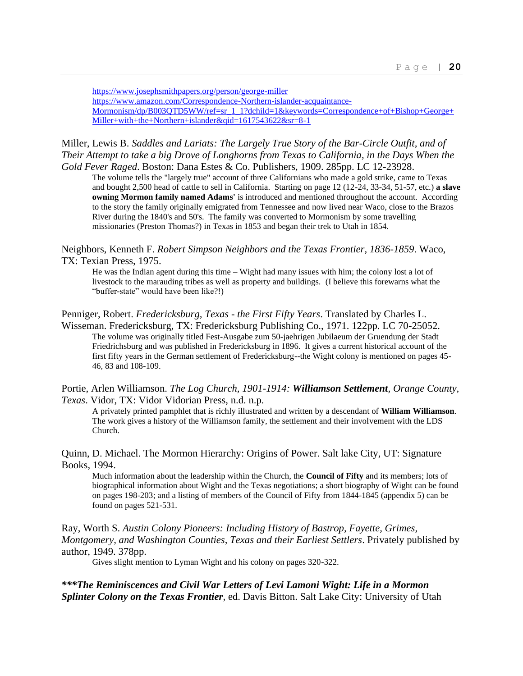<https://www.josephsmithpapers.org/person/george-miller> [https://www.amazon.com/Correspondence-Northern-islander-acquaintance-](https://www.amazon.com/Correspondence-Northern-islander-acquaintance-Mormonism/dp/B003QTD5WW/ref=sr_1_1?dchild=1&keywords=Correspondence+of+Bishop+George+Miller+with+the+Northern+islander&qid=1617543622&sr=8-1)[Mormonism/dp/B003QTD5WW/ref=sr\\_1\\_1?dchild=1&keywords=Correspondence+of+Bishop+George+](https://www.amazon.com/Correspondence-Northern-islander-acquaintance-Mormonism/dp/B003QTD5WW/ref=sr_1_1?dchild=1&keywords=Correspondence+of+Bishop+George+Miller+with+the+Northern+islander&qid=1617543622&sr=8-1) [Miller+with+the+Northern+islander&qid=1617543622&sr=8-1](https://www.amazon.com/Correspondence-Northern-islander-acquaintance-Mormonism/dp/B003QTD5WW/ref=sr_1_1?dchild=1&keywords=Correspondence+of+Bishop+George+Miller+with+the+Northern+islander&qid=1617543622&sr=8-1)

## Miller, Lewis B. *Saddles and Lariats: The Largely True Story of the Bar-Circle Outfit, and of Their Attempt to take a big Drove of Longhorns from Texas to California, in the Days When the Gold Fever Raged*. Boston: Dana Estes & Co. Publishers, 1909. 285pp. LC 12-23928.

The volume tells the "largely true" account of three Californians who made a gold strike, came to Texas and bought 2,500 head of cattle to sell in California. Starting on page 12 (12-24, 33-34, 51-57, etc.) **a slave owning Mormon family named Adams'** is introduced and mentioned throughout the account. According to the story the family originally emigrated from Tennessee and now lived near Waco, close to the Brazos River during the 1840's and 50's. The family was converted to Mormonism by some travelling missionaries (Preston Thomas?) in Texas in 1853 and began their trek to Utah in 1854.

Neighbors, Kenneth F. *Robert Simpson Neighbors and the Texas Frontier, 1836-1859*. Waco, TX: Texian Press, 1975.

He was the Indian agent during this time – Wight had many issues with him; the colony lost a lot of livestock to the marauding tribes as well as property and buildings. (I believe this forewarns what the "buffer-state" would have been like?!)

Penniger, Robert. *Fredericksburg, Texas - the First Fifty Years*. Translated by Charles L. Wisseman. Fredericksburg, TX: Fredericksburg Publishing Co., 1971. 122pp. LC 70-25052. The volume was originally titled Fest-Ausgabe zum 50-jaehrigen Jubilaeum der Gruendung der Stadt Friedrichsburg and was published in Fredericksburg in 1896. It gives a current historical account of the first fifty years in the German settlement of Fredericksburg--the Wight colony is mentioned on pages 45- 46, 83 and 108-109.

Portie, Arlen Williamson. *The Log Church, 1901-1914: Williamson Settlement, Orange County, Texas*. Vidor, TX: Vidor Vidorian Press, n.d. n.p.

A privately printed pamphlet that is richly illustrated and written by a descendant of **William Williamson**. The work gives a history of the Williamson family, the settlement and their involvement with the LDS Church.

Quinn, D. Michael. The Mormon Hierarchy: Origins of Power. Salt lake City, UT: Signature Books, 1994.

Much information about the leadership within the Church, the **Council of Fifty** and its members; lots of biographical information about Wight and the Texas negotiations; a short biography of Wight can be found on pages 198-203; and a listing of members of the Council of Fifty from 1844-1845 (appendix 5) can be found on pages 521-531.

Ray, Worth S. *Austin Colony Pioneers: Including History of Bastrop, Fayette, Grimes, Montgomery, and Washington Counties, Texas and their Earliest Settlers*. Privately published by author, 1949. 378pp.

Gives slight mention to Lyman Wight and his colony on pages 320-322.

*\*\*\*The Reminiscences and Civil War Letters of Levi Lamoni Wight: Life in a Mormon Splinter Colony on the Texas Frontier,* ed. Davis Bitton. Salt Lake City: University of Utah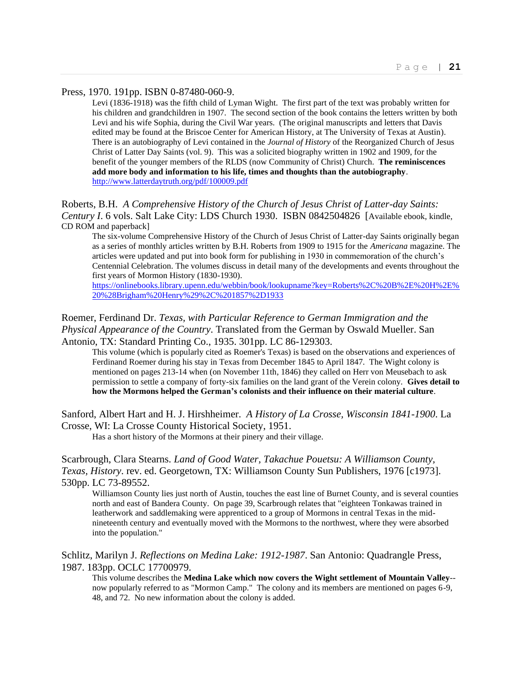#### Press, 1970. 191pp. ISBN 0-87480-060-9.

Levi (1836-1918) was the fifth child of Lyman Wight. The first part of the text was probably written for his children and grandchildren in 1907. The second section of the book contains the letters written by both Levi and his wife Sophia, during the Civil War years. (The original manuscripts and letters that Davis edited may be found at the Briscoe Center for American History, at The University of Texas at Austin). There is an autobiography of Levi contained in the *Journal of History* of the Reorganized Church of Jesus Christ of Latter Day Saints (vol. 9). This was a solicited biography written in 1902 and 1909, for the benefit of the younger members of the RLDS (now Community of Christ) Church. **The reminiscences add more body and information to his life, times and thoughts than the autobiography**. <http://www.latterdaytruth.org/pdf/100009.pdf>

Roberts, B.H. *A Comprehensive History of the Church of Jesus Christ of Latter-day Saints: Century I*. 6 vols. Salt Lake City: LDS Church 1930. ISBN 0842504826 [Available ebook, kindle, CD ROM and paperback]

The six-volume Comprehensive History of the Church of Jesus Christ of Latter-day Saints originally began as a series of monthly articles written by B.H. Roberts from 1909 to 1915 for the *Americana* magazine. The articles were updated and put into book form for publishing in 1930 in commemoration of the church's Centennial Celebration. The volumes discuss in detail many of the developments and events throughout the first years of Mormon History (1830-1930).

[https://onlinebooks.library.upenn.edu/webbin/book/lookupname?key=Roberts%2C%20B%2E%20H%2E%](https://onlinebooks.library.upenn.edu/webbin/book/lookupname?key=Roberts%2C%20B%2E%20H%2E%20%28Brigham%20Henry%29%2C%201857%2D1933) [20%28Brigham%20Henry%29%2C%201857%2D1933](https://onlinebooks.library.upenn.edu/webbin/book/lookupname?key=Roberts%2C%20B%2E%20H%2E%20%28Brigham%20Henry%29%2C%201857%2D1933)

Roemer, Ferdinand Dr. *Texas, with Particular Reference to German Immigration and the Physical Appearance of the Country*. Translated from the German by Oswald Mueller. San Antonio, TX: Standard Printing Co., 1935. 301pp. LC 86-129303.

This volume (which is popularly cited as Roemer's Texas) is based on the observations and experiences of Ferdinand Roemer during his stay in Texas from December 1845 to April 1847. The Wight colony is mentioned on pages 213-14 when (on November 11th, 1846) they called on Herr von Meusebach to ask permission to settle a company of forty-six families on the land grant of the Verein colony. **Gives detail to how the Mormons helped the German's colonists and their influence on their material culture**.

Sanford, Albert Hart and H. J. Hirshheimer. *A History of La Crosse, Wisconsin 1841-1900*. La Crosse, WI: La Crosse County Historical Society, 1951.

Has a short history of the Mormons at their pinery and their village.

Scarbrough, Clara Stearns. *Land of Good Water, Takachue Pouetsu: A Williamson County, Texas, History*. rev. ed. Georgetown, TX: Williamson County Sun Publishers, 1976 [c1973]. 530pp. LC 73-89552.

Williamson County lies just north of Austin, touches the east line of Burnet County, and is several counties north and east of Bandera County. On page 39, Scarbrough relates that "eighteen Tonkawas trained in leatherwork and saddlemaking were apprenticed to a group of Mormons in central Texas in the midnineteenth century and eventually moved with the Mormons to the northwest, where they were absorbed into the population."

Schlitz, Marilyn J. *Reflections on Medina Lake: 1912-1987*. San Antonio: Quadrangle Press, 1987. 183pp. OCLC 17700979.

This volume describes the **Medina Lake which now covers the Wight settlement of Mountain Valley**- now popularly referred to as "Mormon Camp." The colony and its members are mentioned on pages 6-9, 48, and 72. No new information about the colony is added.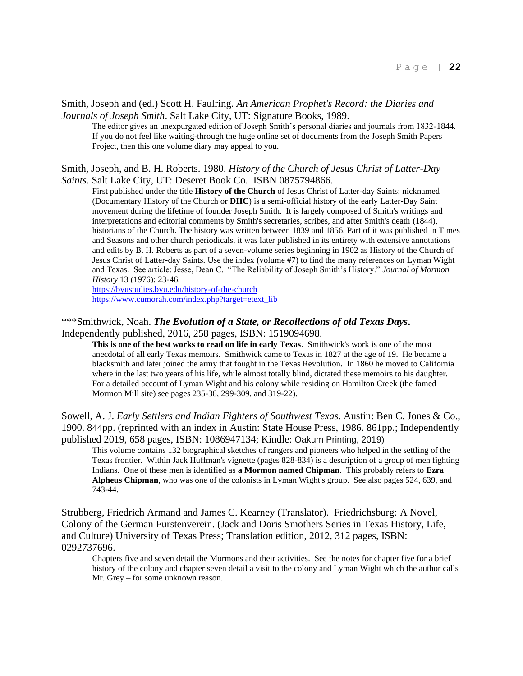#### Smith, Joseph and (ed.) Scott H. Faulring. *An American Prophet's Record: the Diaries and Journals of Joseph Smith*. Salt Lake City, UT: Signature Books, 1989.

The editor gives an unexpurgated edition of Joseph Smith's personal diaries and journals from 1832-1844. If you do not feel like waiting-through the huge online set of documents from the Joseph Smith Papers Project, then this one volume diary may appeal to you.

#### Smith, Joseph, and B. H. Roberts. 1980. *History of the Church of Jesus Christ of Latter-Day Saints*. Salt Lake City, UT: Deseret Book Co. ISBN 0875794866.

First published under the title **History of the Church** of Jesus Christ of Latter-day Saints; nicknamed (Documentary History of the Church or **DHC**) is a semi-official history of the early Latter-Day Saint movement during the lifetime of founder Joseph Smith. It is largely composed of Smith's writings and interpretations and editorial comments by Smith's secretaries, scribes, and after Smith's death (1844), historians of the Church. The history was written between 1839 and 1856. Part of it was published in Times and Seasons and other church periodicals, it was later published in its entirety with extensive annotations and edits by B. H. Roberts as part of a seven-volume series beginning in 1902 as History of the Church of Jesus Christ of Latter-day Saints. Use the index (volume #7) to find the many references on Lyman Wight and Texas. See article: Jesse, Dean C. "The Reliability of Joseph Smith's History." *Journal of Mormon History* 13 (1976): 23-46.

<https://byustudies.byu.edu/history-of-the-church> [https://www.cumorah.com/index.php?target=etext\\_lib](https://www.cumorah.com/index.php?target=etext_lib)

\*\*\*Smithwick, Noah. *The Evolution of a State, or Recollections of old Texas Days***.** 

Independently published, 2016, 258 pages, ISBN: 1519094698.

**This is one of the best works to read on life in early Texas**. Smithwick's work is one of the most anecdotal of all early Texas memoirs. Smithwick came to Texas in 1827 at the age of 19. He became a blacksmith and later joined the army that fought in the Texas Revolution. In 1860 he moved to California where in the last two years of his life, while almost totally blind, dictated these memoirs to his daughter. For a detailed account of Lyman Wight and his colony while residing on Hamilton Creek (the famed Mormon Mill site) see pages 235-36, 299-309, and 319-22).

Sowell, A. J. *Early Settlers and Indian Fighters of Southwest Texas.* Austin: Ben C. Jones & Co., 1900. 844pp. (reprinted with an index in Austin: State House Press, 1986. 861pp.; Independently published 2019, 658 pages, ISBN: 1086947134; Kindle: Oakum Printing, 2019)

This volume contains 132 biographical sketches of rangers and pioneers who helped in the settling of the Texas frontier. Within Jack Huffman's vignette (pages 828-834) is a description of a group of men fighting Indians. One of these men is identified as **a Mormon named Chipman**. This probably refers to **Ezra Alpheus Chipman**, who was one of the colonists in Lyman Wight's group. See also pages 524, 639, and 743-44.

Strubberg, Friedrich Armand and James C. Kearney (Translator). Friedrichsburg: A Novel, Colony of the German Furstenverein. (Jack and Doris Smothers Series in Texas History, Life, and Culture) University of Texas Press; Translation edition, 2012, 312 pages, ISBN: 0292737696.

Chapters five and seven detail the Mormons and their activities. See the notes for chapter five for a brief history of the colony and chapter seven detail a visit to the colony and Lyman Wight which the author calls Mr. Grey – for some unknown reason.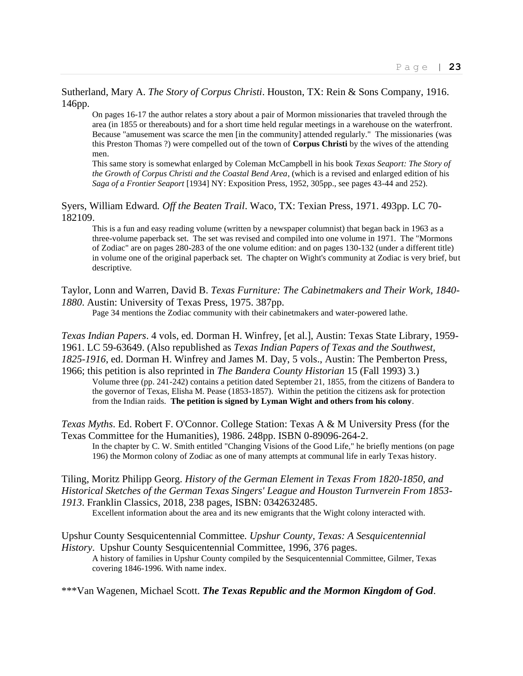Sutherland, Mary A. *The Story of Corpus Christi*. Houston, TX: Rein & Sons Company, 1916. 146pp.

On pages 16-17 the author relates a story about a pair of Mormon missionaries that traveled through the area (in 1855 or thereabouts) and for a short time held regular meetings in a warehouse on the waterfront. Because "amusement was scarce the men [in the community] attended regularly." The missionaries (was this Preston Thomas ?) were compelled out of the town of **Corpus Christi** by the wives of the attending men.

This same story is somewhat enlarged by Coleman McCampbell in his book *Texas Seaport: The Story of the Growth of Corpus Christi and the Coastal Bend Area*, (which is a revised and enlarged edition of his *Saga of a Frontier Seaport* [1934] NY: Exposition Press, 1952, 305pp., see pages 43-44 and 252).

Syers, William Edward*. Off the Beaten Trail*. Waco, TX: Texian Press, 1971. 493pp. LC 70- 182109.

This is a fun and easy reading volume (written by a newspaper columnist) that began back in 1963 as a three-volume paperback set. The set was revised and compiled into one volume in 1971. The "Mormons of Zodiac" are on pages 280-283 of the one volume edition: and on pages 130-132 (under a different title) in volume one of the original paperback set. The chapter on Wight's community at Zodiac is very brief, but descriptive.

Taylor, Lonn and Warren, David B. *Texas Furniture: The Cabinetmakers and Their Work, 1840- 1880*. Austin: University of Texas Press, 1975. 387pp.

Page 34 mentions the Zodiac community with their cabinetmakers and water-powered lathe.

*Texas Indian Papers*. 4 vols, ed. Dorman H. Winfrey, [et al.], Austin: Texas State Library, 1959- 1961. LC 59-63649. (Also republished as *Texas Indian Papers of Texas and the Southwest, 1825-1916*, ed. Dorman H. Winfrey and James M. Day, 5 vols., Austin: The Pemberton Press,

1966; this petition is also reprinted in *The Bandera County Historian* 15 (Fall 1993) 3.) Volume three (pp. 241-242) contains a petition dated September 21, 1855, from the citizens of Bandera to the governor of Texas, Elisha M. Pease (1853-1857). Within the petition the citizens ask for protection from the Indian raids. **The petition is signed by Lyman Wight and others from his colony**.

*Texas Myths*. Ed. Robert F. O'Connor. College Station: Texas A & M University Press (for the Texas Committee for the Humanities), 1986. 248pp. ISBN 0-89096-264-2.

In the chapter by C. W. Smith entitled "Changing Visions of the Good Life," he briefly mentions (on page 196) the Mormon colony of Zodiac as one of many attempts at communal life in early Texas history.

Tiling, Moritz Philipp Georg. *History of the German Element in Texas From 1820-1850, and Historical Sketches of the German Texas Singers' League and Houston Turnverein From 1853- 1913*. Franklin Classics, 2018, 238 pages, ISBN: 0342632485.

Excellent information about the area and its new emigrants that the Wight colony interacted with.

Upshur County Sesquicentennial Committee*. Upshur County, Texas: A Sesquicentennial History*. Upshur County Sesquicentennial Committee, 1996, 376 pages.

A history of families in Upshur County compiled by the Sesquicentennial Committee, Gilmer, Texas covering 1846-1996. With name index.

\*\*\*Van Wagenen, Michael Scott. *The Texas Republic and the Mormon Kingdom of God*.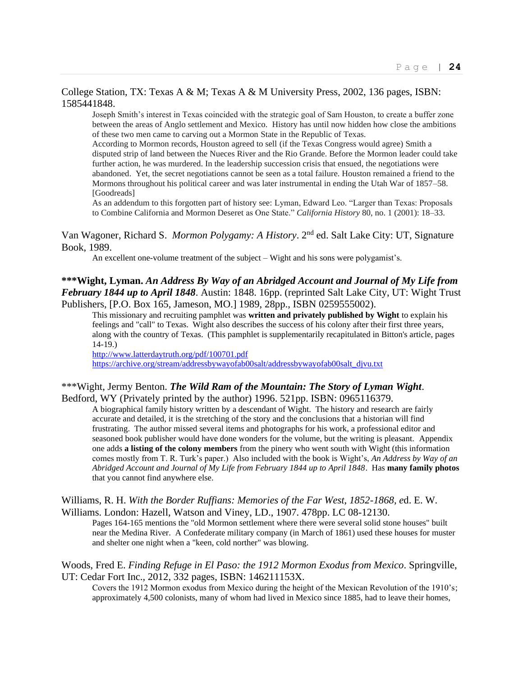## College Station, TX: Texas A & M; Texas A & M University Press, 2002, 136 pages, ISBN: 1585441848.

Joseph Smith's interest in Texas coincided with the strategic goal of Sam Houston, to create a buffer zone between the areas of Anglo settlement and Mexico. History has until now hidden how close the ambitions of these two men came to carving out a Mormon State in the Republic of Texas.

According to Mormon records, Houston agreed to sell (if the Texas Congress would agree) Smith a disputed strip of land between the Nueces River and the Rio Grande. Before the Mormon leader could take further action, he was murdered. In the leadership succession crisis that ensued, the negotiations were abandoned. Yet, the secret negotiations cannot be seen as a total failure. Houston remained a friend to the Mormons throughout his political career and was later instrumental in ending the Utah War of 1857–58. [Goodreads]

As an addendum to this forgotten part of history see: Lyman, Edward Leo. "Larger than Texas: Proposals to Combine California and Mormon Deseret as One State." *California History* 80, no. 1 (2001): 18–33.

Van Wagoner, Richard S. *Mormon Polygamy: A History*. 2nd ed. Salt Lake City: UT, Signature Book, 1989.

An excellent one-volume treatment of the subject – Wight and his sons were polygamist's.

## **\*\*\*Wight, Lyman.** *An Address By Way of an Abridged Account and Journal of My Life from February 1844 up to April 1848*. Austin: 1848. 16pp. (reprinted Salt Lake City, UT: Wight Trust Publishers, [P.O. Box 165, Jameson, MO.] 1989, 28pp., ISBN 0259555002).

This missionary and recruiting pamphlet was **written and privately published by Wight** to explain his feelings and "call" to Texas. Wight also describes the success of his colony after their first three years, along with the country of Texas. (This pamphlet is supplementarily recapitulated in Bitton's article, pages 14-19.)

<http://www.latterdaytruth.org/pdf/100701.pdf> [https://archive.org/stream/addressbywayofab00salt/addressbywayofab00salt\\_djvu.txt](https://archive.org/stream/addressbywayofab00salt/addressbywayofab00salt_djvu.txt)

## \*\*\*Wight, Jermy Benton. *The Wild Ram of the Mountain: The Story of Lyman Wight*. Bedford, WY (Privately printed by the author) 1996. 521pp. ISBN: 0965116379.

A biographical family history written by a descendant of Wight. The history and research are fairly accurate and detailed, it is the stretching of the story and the conclusions that a historian will find frustrating. The author missed several items and photographs for his work, a professional editor and seasoned book publisher would have done wonders for the volume, but the writing is pleasant. Appendix one adds **a listing of the colony members** from the pinery who went south with Wight (this information comes mostly from T. R. Turk's paper.) Also included with the book is Wight's, *An Address by Way of an Abridged Account and Journal of My Life from February 1844 up to April 1848*. Has **many family photos** that you cannot find anywhere else.

#### Williams, R. H. *With the Border Ruffians: Memories of the Far West, 1852-1868, e*d. E. W. Williams. London: Hazell, Watson and Viney, LD., 1907. 478pp. LC 08-12130.

Pages 164-165 mentions the "old Mormon settlement where there were several solid stone houses" built near the Medina River. A Confederate military company (in March of 1861) used these houses for muster and shelter one night when a "keen, cold norther" was blowing.

## Woods, Fred E. *Finding Refuge in El Paso: the 1912 Mormon Exodus from Mexico*. Springville, UT: Cedar Fort Inc., 2012, 332 pages, ISBN: 146211153X.

Covers the 1912 Mormon exodus from Mexico during the height of the Mexican Revolution of the 1910's; approximately 4,500 colonists, many of whom had lived in Mexico since 1885, had to leave their homes,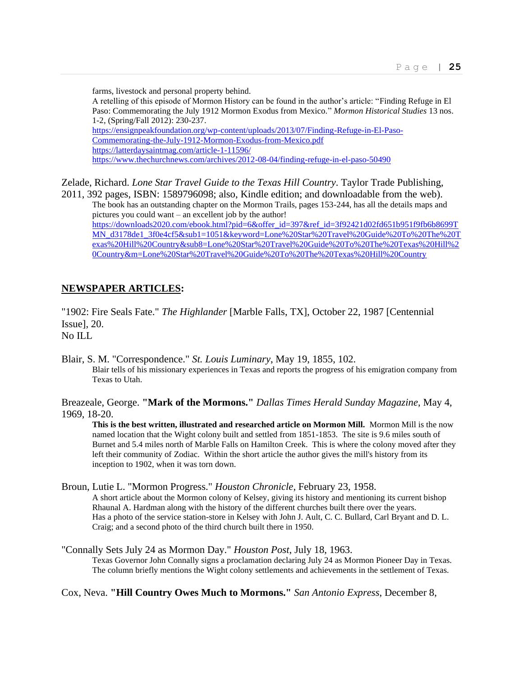farms, livestock and personal property behind. A retelling of this episode of Mormon History can be found in the author's article: "Finding Refuge in El Paso: Commemorating the July 1912 Mormon Exodus from Mexico." *Mormon Historical Studies* 13 nos. 1-2, (Spring/Fall 2012): 230-237. [https://ensignpeakfoundation.org/wp-content/uploads/2013/07/Finding-Refuge-in-El-Paso-](https://ensignpeakfoundation.org/wp-content/uploads/2013/07/Finding-Refuge-in-El-Paso-Commemorating-the-July-1912-Mormon-Exodus-from-Mexico.pdf)[Commemorating-the-July-1912-Mormon-Exodus-from-Mexico.pdf](https://ensignpeakfoundation.org/wp-content/uploads/2013/07/Finding-Refuge-in-El-Paso-Commemorating-the-July-1912-Mormon-Exodus-from-Mexico.pdf) <https://latterdaysaintmag.com/article-1-11596/> <https://www.thechurchnews.com/archives/2012-08-04/finding-refuge-in-el-paso-50490>

Zelade, Richard. *Lone Star Travel Guide to the Texas Hill Country*. Taylor Trade Publishing, 2011, 392 pages, ISBN: 1589796098; also, Kindle edition; and downloadable from the web).

The book has an outstanding chapter on the Mormon Trails, pages 153-244, has all the details maps and pictures you could want – an excellent job by the author! [https://downloads2020.com/ebook.html?pid=6&offer\\_id=397&ref\\_id=3f92421d02fd651b951f9fb6b8699T](https://downloads2020.com/ebook.html?pid=6&offer_id=397&ref_id=3f92421d02fd651b951f9fb6b8699TMN_d3178de1_3f0e4cf5&sub1=1051&keyword=Lone%20Star%20Travel%20Guide%20To%20The%20Texas%20Hill%20Country&sub8=Lone%20Star%20Travel%20Guide%20To%20The%20Texas%20Hill%20Country&m=Lone%20Star%20Travel%20Guide%20To%20The%20Texas%20Hill%20Country) [MN\\_d3178de1\\_3f0e4cf5&sub1=1051&keyword=Lone%20Star%20Travel%20Guide%20To%20The%20T](https://downloads2020.com/ebook.html?pid=6&offer_id=397&ref_id=3f92421d02fd651b951f9fb6b8699TMN_d3178de1_3f0e4cf5&sub1=1051&keyword=Lone%20Star%20Travel%20Guide%20To%20The%20Texas%20Hill%20Country&sub8=Lone%20Star%20Travel%20Guide%20To%20The%20Texas%20Hill%20Country&m=Lone%20Star%20Travel%20Guide%20To%20The%20Texas%20Hill%20Country) [exas%20Hill%20Country&sub8=Lone%20Star%20Travel%20Guide%20To%20The%20Texas%20Hill%2](https://downloads2020.com/ebook.html?pid=6&offer_id=397&ref_id=3f92421d02fd651b951f9fb6b8699TMN_d3178de1_3f0e4cf5&sub1=1051&keyword=Lone%20Star%20Travel%20Guide%20To%20The%20Texas%20Hill%20Country&sub8=Lone%20Star%20Travel%20Guide%20To%20The%20Texas%20Hill%20Country&m=Lone%20Star%20Travel%20Guide%20To%20The%20Texas%20Hill%20Country) [0Country&m=Lone%20Star%20Travel%20Guide%20To%20The%20Texas%20Hill%20Country](https://downloads2020.com/ebook.html?pid=6&offer_id=397&ref_id=3f92421d02fd651b951f9fb6b8699TMN_d3178de1_3f0e4cf5&sub1=1051&keyword=Lone%20Star%20Travel%20Guide%20To%20The%20Texas%20Hill%20Country&sub8=Lone%20Star%20Travel%20Guide%20To%20The%20Texas%20Hill%20Country&m=Lone%20Star%20Travel%20Guide%20To%20The%20Texas%20Hill%20Country)

## **NEWSPAPER ARTICLES:**

"1902: Fire Seals Fate." *The Highlander* [Marble Falls, TX], October 22, 1987 [Centennial Issue], 20. No ILL

Blair, S. M. "Correspondence." *St. Louis Luminary*, May 19, 1855, 102. Blair tells of his missionary experiences in Texas and reports the progress of his emigration company from Texas to Utah.

Breazeale, George. **"Mark of the Mormons."** *Dallas Times Herald Sunday Magazine*, May 4, 1969, 18-20.

**This is the best written, illustrated and researched article on Mormon Mill.** Mormon Mill is the now named location that the Wight colony built and settled from 1851-1853. The site is 9.6 miles south of Burnet and 5.4 miles north of Marble Falls on Hamilton Creek. This is where the colony moved after they left their community of Zodiac. Within the short article the author gives the mill's history from its inception to 1902, when it was torn down.

Broun, Lutie L. "Mormon Progress." *Houston Chronicle*, February 23, 1958. A short article about the Mormon colony of Kelsey, giving its history and mentioning its current bishop Rhaunal A. Hardman along with the history of the different churches built there over the years. Has a photo of the service station-store in Kelsey with John J. Ault, C. C. Bullard, Carl Bryant and D. L. Craig; and a second photo of the third church built there in 1950.

"Connally Sets July 24 as Mormon Day." *Houston Post*, July 18, 1963. Texas Governor John Connally signs a proclamation declaring July 24 as Mormon Pioneer Day in Texas. The column briefly mentions the Wight colony settlements and achievements in the settlement of Texas.

Cox, Neva. **"Hill Country Owes Much to Mormons."** *San Antonio Express*, December 8,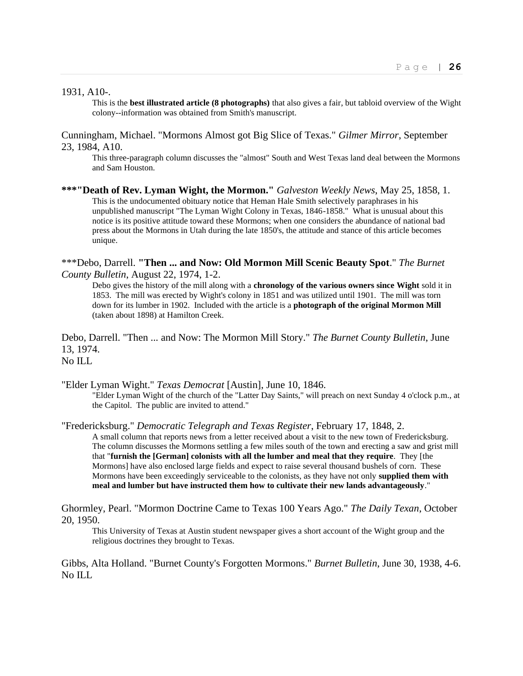1931, A10-.

This is the **best illustrated article (8 photographs)** that also gives a fair, but tabloid overview of the Wight colony--information was obtained from Smith's manuscript.

Cunningham, Michael. "Mormons Almost got Big Slice of Texas." *Gilmer Mirror*, September 23, 1984, A10.

This three-paragraph column discusses the "almost" South and West Texas land deal between the Mormons and Sam Houston.

**\*\*\*"Death of Rev. Lyman Wight, the Mormon."** *Galveston Weekly News*, May 25, 1858, 1. This is the undocumented obituary notice that Heman Hale Smith selectively paraphrases in his unpublished manuscript "The Lyman Wight Colony in Texas, 1846-1858." What is unusual about this notice is its positive attitude toward these Mormons; when one considers the abundance of national bad press about the Mormons in Utah during the late 1850's, the attitude and stance of this article becomes unique.

\*\*\*Debo, Darrell. **"Then ... and Now: Old Mormon Mill Scenic Beauty Spot**." *The Burnet County Bulletin*, August 22, 1974, 1-2.

Debo gives the history of the mill along with a **chronology of the various owners since Wight** sold it in 1853. The mill was erected by Wight's colony in 1851 and was utilized until 1901. The mill was torn down for its lumber in 1902. Included with the article is a **photograph of the original Mormon Mill** (taken about 1898) at Hamilton Creek.

Debo, Darrell. "Then ... and Now: The Mormon Mill Story." *The Burnet County Bulletin*, June 13, 1974. No ILL

"Elder Lyman Wight." *Texas Democrat* [Austin], June 10, 1846.

"Elder Lyman Wight of the church of the "Latter Day Saints," will preach on next Sunday 4 o'clock p.m., at the Capitol. The public are invited to attend."

"Fredericksburg." *Democratic Telegraph and Texas Register*, February 17, 1848, 2.

A small column that reports news from a letter received about a visit to the new town of Fredericksburg. The column discusses the Mormons settling a few miles south of the town and erecting a saw and grist mill that "**furnish the [German] colonists with all the lumber and meal that they require**. They [the Mormons] have also enclosed large fields and expect to raise several thousand bushels of corn. These Mormons have been exceedingly serviceable to the colonists, as they have not only **supplied them with meal and lumber but have instructed them how to cultivate their new lands advantageously**."

Ghormley, Pearl. "Mormon Doctrine Came to Texas 100 Years Ago." *The Daily Texan*, October 20, 1950.

This University of Texas at Austin student newspaper gives a short account of the Wight group and the religious doctrines they brought to Texas.

Gibbs, Alta Holland. "Burnet County's Forgotten Mormons." *Burnet Bulletin*, June 30, 1938, 4-6. No ILL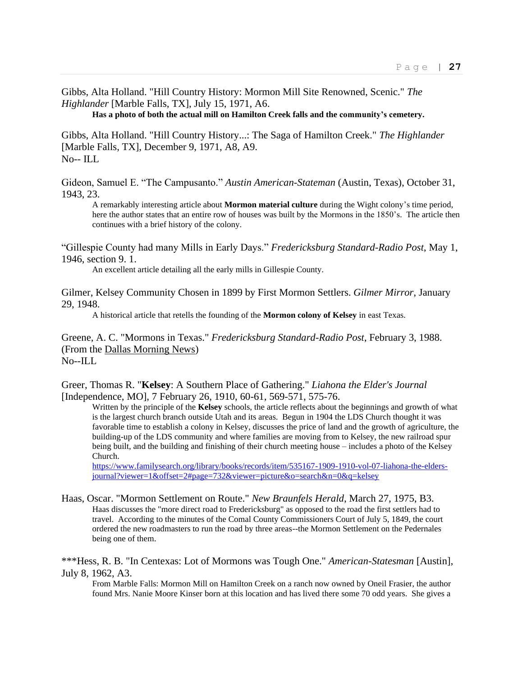Gibbs, Alta Holland. "Hill Country History: Mormon Mill Site Renowned, Scenic." *The Highlander* [Marble Falls, TX], July 15, 1971, A6.

**Has a photo of both the actual mill on Hamilton Creek falls and the community's cemetery.**

Gibbs, Alta Holland. "Hill Country History...: The Saga of Hamilton Creek." *The Highlander* [Marble Falls, TX], December 9, 1971, A8, A9.  $No$ -- ILL

Gideon, Samuel E. "The Campusanto." *Austin American-Stateman* (Austin, Texas), October 31, 1943, 23.

A remarkably interesting article about **Mormon material culture** during the Wight colony's time period, here the author states that an entire row of houses was built by the Mormons in the 1850's. The article then continues with a brief history of the colony.

"Gillespie County had many Mills in Early Days." *Fredericksburg Standard-Radio Post*, May 1, 1946, section 9. 1.

An excellent article detailing all the early mills in Gillespie County.

Gilmer, Kelsey Community Chosen in 1899 by First Mormon Settlers. *Gilmer Mirror*, January 29, 1948.

A historical article that retells the founding of the **Mormon colony of Kelsey** in east Texas.

Greene, A. C. "Mormons in Texas." *Fredericksburg Standard-Radio Post*, February 3, 1988. (From the Dallas Morning News)  $No$ --ILL

Greer, Thomas R. "**Kelsey**: A Southern Place of Gathering." *Liahona the Elder's Journal* [Independence, MO], 7 February 26, 1910, 60-61, 569-571, 575-76.

Written by the principle of the **Kelsey** schools, the article reflects about the beginnings and growth of what is the largest church branch outside Utah and its areas. Begun in 1904 the LDS Church thought it was favorable time to establish a colony in Kelsey, discusses the price of land and the growth of agriculture, the building-up of the LDS community and where families are moving from to Kelsey, the new railroad spur being built, and the building and finishing of their church meeting house – includes a photo of the Kelsey Church.

[https://www.familysearch.org/library/books/records/item/535167-1909-1910-vol-07-liahona-the-elders](https://www.familysearch.org/library/books/records/item/535167-1909-1910-vol-07-liahona-the-elders-journal?viewer=1&offset=2#page=732&viewer=picture&o=search&n=0&q=kelsey)[journal?viewer=1&offset=2#page=732&viewer=picture&o=search&n=0&q=kelsey](https://www.familysearch.org/library/books/records/item/535167-1909-1910-vol-07-liahona-the-elders-journal?viewer=1&offset=2#page=732&viewer=picture&o=search&n=0&q=kelsey)

Haas, Oscar. "Mormon Settlement on Route." *New Braunfels Herald*, March 27, 1975, B3. Haas discusses the "more direct road to Fredericksburg" as opposed to the road the first settlers had to travel. According to the minutes of the Comal County Commissioners Court of July 5, 1849, the court ordered the new roadmasters to run the road by three areas--the Mormon Settlement on the Pedernales being one of them.

\*\*\*Hess, R. B. "In Centexas: Lot of Mormons was Tough One." *American-Statesman* [Austin], July 8, 1962, A3.

From Marble Falls: Mormon Mill on Hamilton Creek on a ranch now owned by Oneil Frasier, the author found Mrs. Nanie Moore Kinser born at this location and has lived there some 70 odd years. She gives a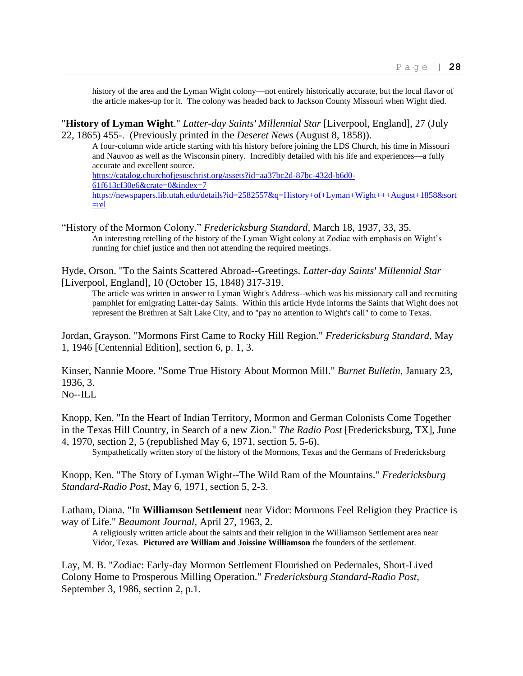history of the area and the Lyman Wight colony—not entirely historically accurate, but the local flavor of the article makes-up for it. The colony was headed back to Jackson County Missouri when Wight died.

"**History of Lyman Wight**." *Latter-day Saints' Millennial Star* [Liverpool, England], 27 (July 22, 1865) 455-. (Previously printed in the *Deseret News* (August 8, 1858)).

A four-column wide article starting with his history before joining the LDS Church, his time in Missouri and Nauvoo as well as the Wisconsin pinery. Incredibly detailed with his life and experiences—a fully accurate and excellent source. [https://catalog.churchofjesuschrist.org/assets?id=aa37bc2d-87bc-432d-b6d0-](https://catalog.churchofjesuschrist.org/assets?id=aa37bc2d-87bc-432d-b6d0-61f613cf30e6&crate=0&index=7) [61f613cf30e6&crate=0&index=7](https://catalog.churchofjesuschrist.org/assets?id=aa37bc2d-87bc-432d-b6d0-61f613cf30e6&crate=0&index=7) [https://newspapers.lib.utah.edu/details?id=2582557&q=History+of+Lyman+Wight+++August+1858&sort](https://newspapers.lib.utah.edu/details?id=2582557&q=History+of+Lyman+Wight+++August+1858&sort=rel)

"History of the Mormon Colony." *Fredericksburg Standard*, March 18, 1937, 33, 35. An interesting retelling of the history of the Lyman Wight colony at Zodiac with emphasis on Wight's running for chief justice and then not attending the required meetings.

[=rel](https://newspapers.lib.utah.edu/details?id=2582557&q=History+of+Lyman+Wight+++August+1858&sort=rel)

Hyde, Orson. "To the Saints Scattered Abroad--Greetings. *Latter-day Saints' Millennial Star* [Liverpool, England], 10 (October 15, 1848) 317-319.

The article was written in answer to Lyman Wight's Address--which was his missionary call and recruiting pamphlet for emigrating Latter-day Saints. Within this article Hyde informs the Saints that Wight does not represent the Brethren at Salt Lake City, and to "pay no attention to Wight's call" to come to Texas.

Jordan, Grayson. "Mormons First Came to Rocky Hill Region." *Fredericksburg Standard*, May 1, 1946 [Centennial Edition], section 6, p. 1, 3.

Kinser, Nannie Moore. "Some True History About Mormon Mill." *Burnet Bulletin*, January 23, 1936, 3. No--ILL

Knopp, Ken. "In the Heart of Indian Territory, Mormon and German Colonists Come Together in the Texas Hill Country, in Search of a new Zion." *The Radio Post* [Fredericksburg, TX], June 4, 1970, section 2, 5 (republished May 6, 1971, section 5, 5-6).

Sympathetically written story of the history of the Mormons, Texas and the Germans of Fredericksburg

Knopp, Ken. "The Story of Lyman Wight--The Wild Ram of the Mountains." *Fredericksburg Standard-Radio Post*, May 6, 1971, section 5, 2-3.

Latham, Diana. "In **Williamson Settlement** near Vidor: Mormons Feel Religion they Practice is way of Life." *Beaumont Journal*, April 27, 1963, 2.

A religiously written article about the saints and their religion in the Williamson Settlement area near Vidor, Texas. **Pictured are William and Joissine Williamson** the founders of the settlement.

Lay, M. B. "Zodiac: Early-day Mormon Settlement Flourished on Pedernales, Short-Lived Colony Home to Prosperous Milling Operation." *Fredericksburg Standard-Radio Post*, September 3, 1986, section 2, p.1.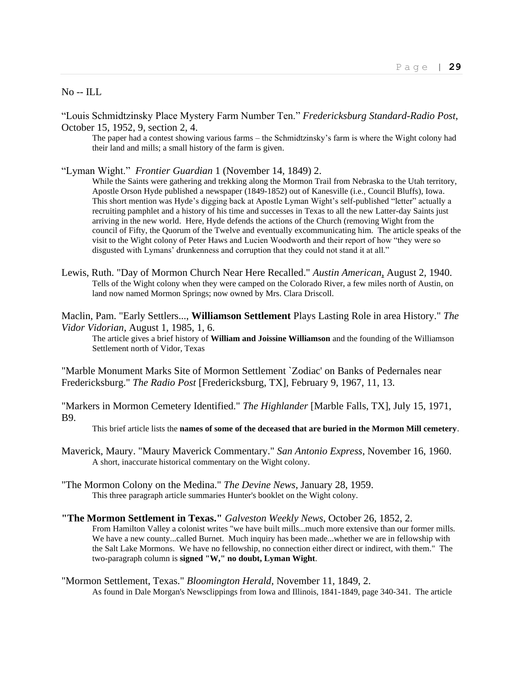No -- ILL

"Louis Schmidtzinsky Place Mystery Farm Number Ten." *Fredericksburg Standard-Radio Post*, October 15, 1952, 9, section 2, 4.

The paper had a contest showing various farms – the Schmidtzinsky's farm is where the Wight colony had their land and mills; a small history of the farm is given.

"Lyman Wight." *Frontier Guardian* 1 (November 14, 1849) 2.

While the Saints were gathering and trekking along the Mormon Trail from Nebraska to the Utah territory, Apostle Orson Hyde published a newspaper (1849-1852) out of Kanesville (i.e., Council Bluffs), Iowa. This short mention was Hyde's digging back at Apostle Lyman Wight's self-published "letter" actually a recruiting pamphlet and a history of his time and successes in Texas to all the new Latter-day Saints just arriving in the new world. Here, Hyde defends the actions of the Church (removing Wight from the council of Fifty, the Quorum of the Twelve and eventually excommunicating him. The article speaks of the visit to the Wight colony of Peter Haws and Lucien Woodworth and their report of how "they were so disgusted with Lymans' drunkenness and corruption that they could not stand it at all."

Lewis, Ruth. "Day of Mormon Church Near Here Recalled." *Austin American*, August 2, 1940. Tells of the Wight colony when they were camped on the Colorado River, a few miles north of Austin, on land now named Mormon Springs; now owned by Mrs. Clara Driscoll.

Maclin, Pam. "Early Settlers..., **Williamson Settlement** Plays Lasting Role in area History." *The Vidor Vidorian*, August 1, 1985, 1, 6.

The article gives a brief history of **William and Joissine Williamson** and the founding of the Williamson Settlement north of Vidor, Texas

"Marble Monument Marks Site of Mormon Settlement `Zodiac' on Banks of Pedernales near Fredericksburg." *The Radio Post* [Fredericksburg, TX], February 9, 1967, 11, 13.

"Markers in Mormon Cemetery Identified." *The Highlander* [Marble Falls, TX], July 15, 1971, B9.

This brief article lists the **names of some of the deceased that are buried in the Mormon Mill cemetery**.

Maverick, Maury. "Maury Maverick Commentary." *San Antonio Express*, November 16, 1960. A short, inaccurate historical commentary on the Wight colony.

"The Mormon Colony on the Medina." *The Devine News*, January 28, 1959. This three paragraph article summaries Hunter's booklet on the Wight colony.

#### **"The Mormon Settlement in Texas."** *Galveston Weekly News*, October 26, 1852, 2.

From Hamilton Valley a colonist writes "we have built mills...much more extensive than our former mills. We have a new county...called Burnet. Much inquiry has been made...whether we are in fellowship with the Salt Lake Mormons. We have no fellowship, no connection either direct or indirect, with them." The two-paragraph column is **signed "W," no doubt, Lyman Wight**.

"Mormon Settlement, Texas." *Bloomington Herald*, November 11, 1849, 2. As found in Dale Morgan's Newsclippings from Iowa and Illinois, 1841-1849, page 340-341. The article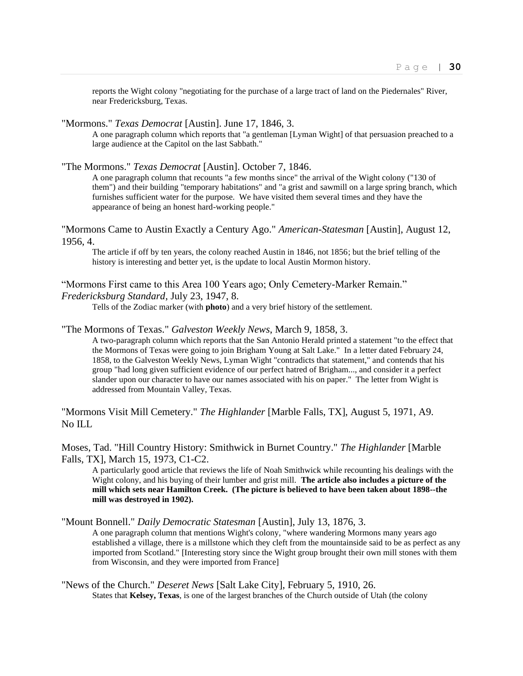reports the Wight colony "negotiating for the purchase of a large tract of land on the Piedernales" River, near Fredericksburg, Texas.

"Mormons." *Texas Democrat* [Austin]. June 17, 1846, 3.

A one paragraph column which reports that "a gentleman [Lyman Wight] of that persuasion preached to a large audience at the Capitol on the last Sabbath."

"The Mormons." *Texas Democrat* [Austin]. October 7, 1846.

A one paragraph column that recounts "a few months since" the arrival of the Wight colony ("130 of them") and their building "temporary habitations" and "a grist and sawmill on a large spring branch, which furnishes sufficient water for the purpose. We have visited them several times and they have the appearance of being an honest hard-working people."

"Mormons Came to Austin Exactly a Century Ago." *American-Statesman* [Austin], August 12, 1956, 4.

The article if off by ten years, the colony reached Austin in 1846, not 1856; but the brief telling of the history is interesting and better yet, is the update to local Austin Mormon history.

"Mormons First came to this Area 100 Years ago; Only Cemetery-Marker Remain." *Fredericksburg Standard*, July 23, 1947, 8.

Tells of the Zodiac marker (with **photo**) and a very brief history of the settlement.

#### "The Mormons of Texas." *Galveston Weekly News*, March 9, 1858, 3.

A two-paragraph column which reports that the San Antonio Herald printed a statement "to the effect that the Mormons of Texas were going to join Brigham Young at Salt Lake." In a letter dated February 24, 1858, to the Galveston Weekly News, Lyman Wight "contradicts that statement," and contends that his group "had long given sufficient evidence of our perfect hatred of Brigham..., and consider it a perfect slander upon our character to have our names associated with his on paper." The letter from Wight is addressed from Mountain Valley, Texas.

"Mormons Visit Mill Cemetery." *The Highlander* [Marble Falls, TX], August 5, 1971, A9. No ILL

Moses, Tad. "Hill Country History: Smithwick in Burnet Country." *The Highlander* [Marble Falls, TX], March 15, 1973, C1-C2.

A particularly good article that reviews the life of Noah Smithwick while recounting his dealings with the Wight colony, and his buying of their lumber and grist mill. **The article also includes a picture of the mill which sets near Hamilton Creek. (The picture is believed to have been taken about 1898--the mill was destroyed in 1902).**

"Mount Bonnell." *Daily Democratic Statesman* [Austin], July 13, 1876, 3.

A one paragraph column that mentions Wight's colony, "where wandering Mormons many years ago established a village, there is a millstone which they cleft from the mountainside said to be as perfect as any imported from Scotland." [Interesting story since the Wight group brought their own mill stones with them from Wisconsin, and they were imported from France]

"News of the Church." *Deseret News* [Salt Lake City], February 5, 1910, 26. States that **Kelsey, Texas**, is one of the largest branches of the Church outside of Utah (the colony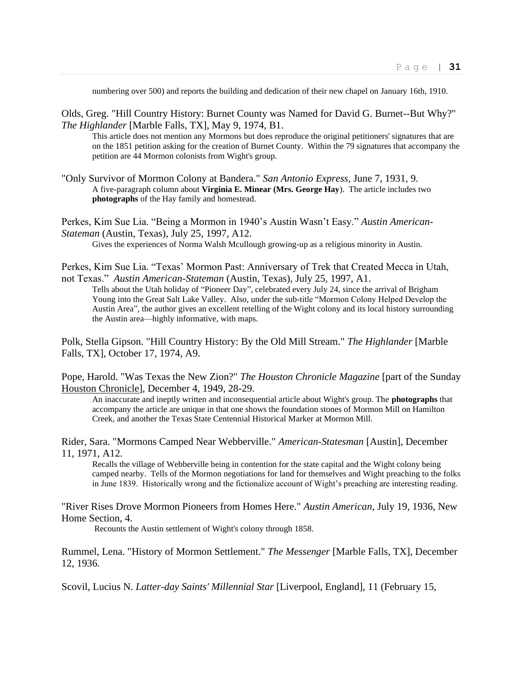numbering over 500) and reports the building and dedication of their new chapel on January 16th, 1910.

Olds, Greg. "Hill Country History: Burnet County was Named for David G. Burnet--But Why?" *The Highlander* [Marble Falls, TX], May 9, 1974, B1.

This article does not mention any Mormons but does reproduce the original petitioners' signatures that are on the 1851 petition asking for the creation of Burnet County. Within the 79 signatures that accompany the petition are 44 Mormon colonists from Wight's group.

"Only Survivor of Mormon Colony at Bandera." *San Antonio Express*, June 7, 1931, 9. A five-paragraph column about **Virginia E. Minear (Mrs. George Hay**). The article includes two **photographs** of the Hay family and homestead.

Perkes, Kim Sue Lia. "Being a Mormon in 1940's Austin Wasn't Easy." *Austin American-Stateman* (Austin, Texas), July 25, 1997, A12.

Gives the experiences of Norma Walsh Mcullough growing-up as a religious minority in Austin.

Perkes, Kim Sue Lia. "Texas' Mormon Past: Anniversary of Trek that Created Mecca in Utah, not Texas." *Austin American-Stateman* (Austin, Texas), July 25, 1997, A1.

Tells about the Utah holiday of "Pioneer Day", celebrated every July 24, since the arrival of Brigham Young into the Great Salt Lake Valley. Also, under the sub-title "Mormon Colony Helped Develop the Austin Area", the author gives an excellent retelling of the Wight colony and its local history surrounding the Austin area—highly informative, with maps.

Polk, Stella Gipson. "Hill Country History: By the Old Mill Stream." *The Highlander* [Marble Falls, TX], October 17, 1974, A9.

Pope, Harold. "Was Texas the New Zion?" *The Houston Chronicle Magazine* [part of the Sunday Houston Chronicle], December 4, 1949, 28-29.

An inaccurate and ineptly written and inconsequential article about Wight's group. The **photographs** that accompany the article are unique in that one shows the foundation stones of Mormon Mill on Hamilton Creek, and another the Texas State Centennial Historical Marker at Mormon Mill.

Rider, Sara. "Mormons Camped Near Webberville." *American-Statesman* [Austin], December 11, 1971, A12.

Recalls the village of Webberville being in contention for the state capital and the Wight colony being camped nearby. Tells of the Mormon negotiations for land for themselves and Wight preaching to the folks in June 1839. Historically wrong and the fictionalize account of Wight's preaching are interesting reading.

"River Rises Drove Mormon Pioneers from Homes Here." *Austin American*, July 19, 1936, New Home Section, 4.

Recounts the Austin settlement of Wight's colony through 1858.

Rummel, Lena. "History of Mormon Settlement." *The Messenger* [Marble Falls, TX], December 12, 1936.

Scovil, Lucius N. *Latter-day Saints' Millennial Star* [Liverpool, England], 11 (February 15,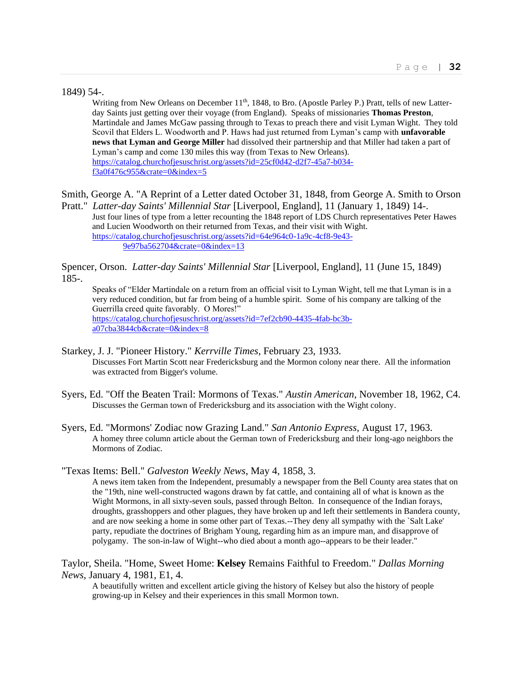1849) 54-.

Writing from New Orleans on December 11<sup>th</sup>, 1848, to Bro. (Apostle Parley P.) Pratt, tells of new Latterday Saints just getting over their voyage (from England). Speaks of missionaries **Thomas Preston**, Martindale and James McGaw passing through to Texas to preach there and visit Lyman Wight. They told Scovil that Elders L. Woodworth and P. Haws had just returned from Lyman's camp with **unfavorable news that Lyman and George Miller** had dissolved their partnership and that Miller had taken a part of Lyman's camp and come 130 miles this way (from Texas to New Orleans). [https://catalog.churchofjesuschrist.org/assets?id=25cf0d42-d2f7-45a7-b034](https://catalog.churchofjesuschrist.org/assets?id=25cf0d42-d2f7-45a7-b034-f3a0f476c955&crate=0&index=5) [f3a0f476c955&crate=0&index=5](https://catalog.churchofjesuschrist.org/assets?id=25cf0d42-d2f7-45a7-b034-f3a0f476c955&crate=0&index=5)

Smith, George A. "A Reprint of a Letter dated October 31, 1848, from George A. Smith to Orson

Pratt." *Latter-day Saints' Millennial Star* [Liverpool, England], 11 (January 1, 1849) 14-. Just four lines of type from a letter recounting the 1848 report of LDS Church representatives Peter Hawes and Lucien Woodworth on their returned from Texas, and their visit with Wight. [https://catalog.churchofjesuschrist.org/assets?id=64e964c0-1a9c-4cf8-9e43-](https://catalog.churchofjesuschrist.org/assets?id=64e964c0-1a9c-4cf8-9e43-9e97ba562704&crate=0&index=13) [9e97ba562704&crate=0&index=13](https://catalog.churchofjesuschrist.org/assets?id=64e964c0-1a9c-4cf8-9e43-9e97ba562704&crate=0&index=13)

Spencer, Orson. *Latter-day Saints' Millennial Star* [Liverpool, England], 11 (June 15, 1849) 185-.

Speaks of "Elder Martindale on a return from an official visit to Lyman Wight, tell me that Lyman is in a very reduced condition, but far from being of a humble spirit. Some of his company are talking of the Guerrilla creed quite favorably. O Mores!" [https://catalog.churchofjesuschrist.org/assets?id=7ef2cb90-4435-4fab-bc3b](https://catalog.churchofjesuschrist.org/assets?id=7ef2cb90-4435-4fab-bc3b-a07cba3844cb&crate=0&index=8)[a07cba3844cb&crate=0&index=8](https://catalog.churchofjesuschrist.org/assets?id=7ef2cb90-4435-4fab-bc3b-a07cba3844cb&crate=0&index=8)

- Starkey, J. J. "Pioneer History." *Kerrville Times*, February 23, 1933. Discusses Fort Martin Scott near Fredericksburg and the Mormon colony near there. All the information was extracted from Bigger's volume.
- Syers, Ed. "Off the Beaten Trail: Mormons of Texas." *Austin American*, November 18, 1962, C4. Discusses the German town of Fredericksburg and its association with the Wight colony.
- Syers, Ed. "Mormons' Zodiac now Grazing Land." *San Antonio Express*, August 17, 1963. A homey three column article about the German town of Fredericksburg and their long-ago neighbors the Mormons of Zodiac.

"Texas Items: Bell." *Galveston Weekly News*, May 4, 1858, 3.

A news item taken from the Independent, presumably a newspaper from the Bell County area states that on the "19th, nine well-constructed wagons drawn by fat cattle, and containing all of what is known as the Wight Mormons, in all sixty-seven souls, passed through Belton. In consequence of the Indian forays, droughts, grasshoppers and other plagues, they have broken up and left their settlements in Bandera county, and are now seeking a home in some other part of Texas.--They deny all sympathy with the `Salt Lake' party, repudiate the doctrines of Brigham Young, regarding him as an impure man, and disapprove of polygamy. The son-in-law of Wight--who died about a month ago--appears to be their leader."

## Taylor, Sheila. "Home, Sweet Home: **Kelsey** Remains Faithful to Freedom." *Dallas Morning News*, January 4, 1981, E1, 4.

A beautifully written and excellent article giving the history of Kelsey but also the history of people growing-up in Kelsey and their experiences in this small Mormon town.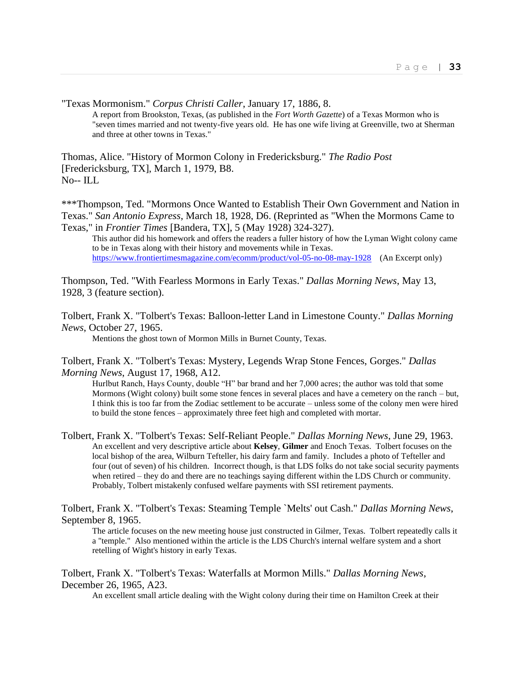"Texas Mormonism." *Corpus Christi Caller*, January 17, 1886, 8.

A report from Brookston, Texas, (as published in the *Fort Worth Gazette*) of a Texas Mormon who is "seven times married and not twenty-five years old. He has one wife living at Greenville, two at Sherman and three at other towns in Texas."

Thomas, Alice. "History of Mormon Colony in Fredericksburg." *The Radio Post* [Fredericksburg, TX], March 1, 1979, B8. No-- ILL

\*\*\*Thompson, Ted. "Mormons Once Wanted to Establish Their Own Government and Nation in Texas." *San Antonio Express*, March 18, 1928, D6. (Reprinted as "When the Mormons Came to Texas," in *Frontier Times* [Bandera, TX], 5 (May 1928) 324-327).

This author did his homework and offers the readers a fuller history of how the Lyman Wight colony came to be in Texas along with their history and movements while in Texas. <https://www.frontiertimesmagazine.com/ecomm/product/vol-05-no-08-may-1928>(An Excerpt only)

Thompson, Ted. "With Fearless Mormons in Early Texas." *Dallas Morning News*, May 13, 1928, 3 (feature section).

Tolbert, Frank X. "Tolbert's Texas: Balloon-letter Land in Limestone County." *Dallas Morning News*, October 27, 1965.

Mentions the ghost town of Mormon Mills in Burnet County, Texas.

Tolbert, Frank X. "Tolbert's Texas: Mystery, Legends Wrap Stone Fences, Gorges." *Dallas Morning News*, August 17, 1968, A12.

Hurlbut Ranch, Hays County, double "H" bar brand and her 7,000 acres; the author was told that some Mormons (Wight colony) built some stone fences in several places and have a cemetery on the ranch – but, I think this is too far from the Zodiac settlement to be accurate – unless some of the colony men were hired to build the stone fences – approximately three feet high and completed with mortar.

Tolbert, Frank X. "Tolbert's Texas: Self-Reliant People." *Dallas Morning News*, June 29, 1963. An excellent and very descriptive article about **Kelsey**, **Gilmer** and Enoch Texas. Tolbert focuses on the local bishop of the area, Wilburn Tefteller, his dairy farm and family. Includes a photo of Tefteller and four (out of seven) of his children. Incorrect though, is that LDS folks do not take social security payments when retired – they do and there are no teachings saying different within the LDS Church or community. Probably, Tolbert mistakenly confused welfare payments with SSI retirement payments.

Tolbert, Frank X. "Tolbert's Texas: Steaming Temple `Melts' out Cash." *Dallas Morning News*, September 8, 1965.

The article focuses on the new meeting house just constructed in Gilmer, Texas. Tolbert repeatedly calls it a "temple." Also mentioned within the article is the LDS Church's internal welfare system and a short retelling of Wight's history in early Texas.

Tolbert, Frank X. "Tolbert's Texas: Waterfalls at Mormon Mills." *Dallas Morning News*, December 26, 1965, A23.

An excellent small article dealing with the Wight colony during their time on Hamilton Creek at their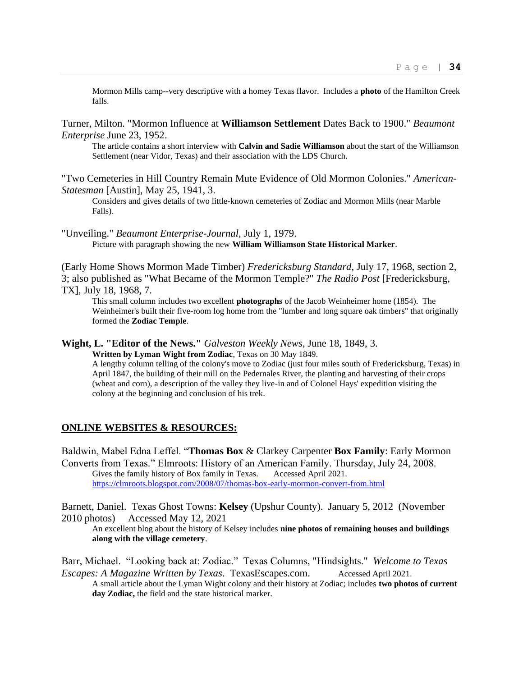Mormon Mills camp--very descriptive with a homey Texas flavor. Includes a **photo** of the Hamilton Creek falls.

Turner, Milton. "Mormon Influence at **Williamson Settlement** Dates Back to 1900." *Beaumont Enterprise* June 23, 1952.

The article contains a short interview with **Calvin and Sadie Williamson** about the start of the Williamson Settlement (near Vidor, Texas) and their association with the LDS Church.

"Two Cemeteries in Hill Country Remain Mute Evidence of Old Mormon Colonies." *American-Statesman* [Austin], May 25, 1941, 3.

Considers and gives details of two little-known cemeteries of Zodiac and Mormon Mills (near Marble Falls).

"Unveiling." *Beaumont Enterprise-Journal*, July 1, 1979. Picture with paragraph showing the new **William Williamson State Historical Marker**.

(Early Home Shows Mormon Made Timber) *Fredericksburg Standard*, July 17, 1968, section 2, 3; also published as "What Became of the Mormon Temple?" *The Radio Post* [Fredericksburg, TX], July 18, 1968, 7.

This small column includes two excellent **photographs** of the Jacob Weinheimer home (1854). The Weinheimer's built their five-room log home from the "lumber and long square oak timbers" that originally formed the **Zodiac Temple**.

**Wight, L. "Editor of the News."** *Galveston Weekly News*, June 18, 1849, 3.

**Written by Lyman Wight from Zodiac**, Texas on 30 May 1849.

A lengthy column telling of the colony's move to Zodiac (just four miles south of Fredericksburg, Texas) in April 1847, the building of their mill on the Pedernales River, the planting and harvesting of their crops (wheat and corn), a description of the valley they live-in and of Colonel Hays' expedition visiting the colony at the beginning and conclusion of his trek.

#### **ONLINE WEBSITES & RESOURCES:**

Baldwin, Mabel Edna Leffel. "**Thomas Box** & Clarkey Carpenter **Box Family**: Early Mormon Converts from Texas." Elmroots: History of an American Family. Thursday, July 24, 2008. Gives the family history of Box family in Texas. Accessed April 2021. <https://clmroots.blogspot.com/2008/07/thomas-box-early-mormon-convert-from.html>

Barnett, Daniel. Texas Ghost Towns: **Kelsey** (Upshur County). January 5, 2012 (November 2010 photos) Accessed May 12, 2021

An excellent blog about the history of Kelsey includes **nine photos of remaining houses and buildings along with the village cemetery**.

Barr, Michael. "Looking back at: Zodiac." Texas Columns, "Hindsights." *Welcome to Texas Escapes: A Magazine Written by Texas*. TexasEscapes.com. Accessed April 2021.

A small article about the Lyman Wight colony and their history at Zodiac; includes **two photos of current day Zodiac,** the field and the state historical marker.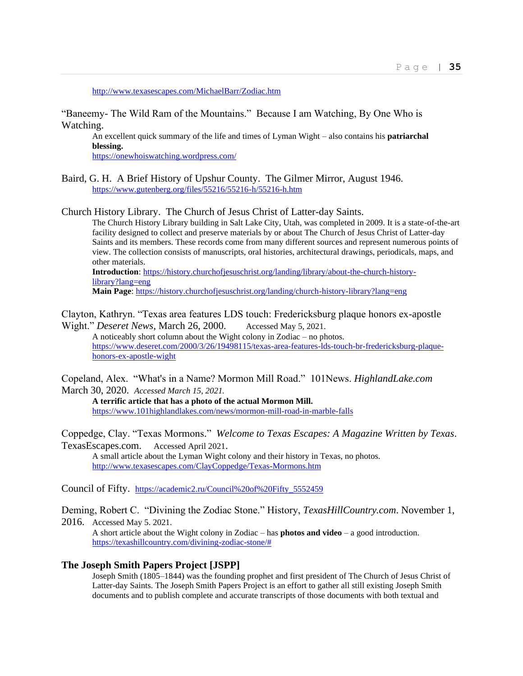<http://www.texasescapes.com/MichaelBarr/Zodiac.htm>

"Baneemy- The Wild Ram of the Mountains." Because I am Watching, By One Who is Watching.

An excellent quick summary of the life and times of Lyman Wight – also contains his **patriarchal blessing.**

<https://onewhoiswatching.wordpress.com/>

Baird, G. H. A Brief History of Upshur County. The Gilmer Mirror, August 1946. <https://www.gutenberg.org/files/55216/55216-h/55216-h.htm>

Church History Library. The Church of Jesus Christ of Latter-day Saints.

The Church History Library building in Salt Lake City, Utah, was completed in 2009. It is a state-of-the-art facility designed to collect and preserve materials by or about The Church of Jesus Christ of Latter-day Saints and its members. These records come from many different sources and represent numerous points of view. The collection consists of manuscripts, oral histories, architectural drawings, periodicals, maps, and other materials.

**Introduction**[: https://history.churchofjesuschrist.org/landing/library/about-the-church-history](https://history.churchofjesuschrist.org/landing/library/about-the-church-history-library?lang=eng)[library?lang=eng](https://history.churchofjesuschrist.org/landing/library/about-the-church-history-library?lang=eng)

**Main Page**:<https://history.churchofjesuschrist.org/landing/church-history-library?lang=eng>

Clayton, Kathryn. "Texas area features LDS touch: Fredericksburg plaque honors ex-apostle Wight." *Deseret News*, March 26, 2000. Accessed May 5, 2021.

A noticeably short column about the Wight colony in Zodiac – no photos. [https://www.deseret.com/2000/3/26/19498115/texas-area-features-lds-touch-br-fredericksburg-plaque](https://www.deseret.com/2000/3/26/19498115/texas-area-features-lds-touch-br-fredericksburg-plaque-honors-ex-apostle-wight)[honors-ex-apostle-wight](https://www.deseret.com/2000/3/26/19498115/texas-area-features-lds-touch-br-fredericksburg-plaque-honors-ex-apostle-wight)

Copeland, Alex. "What's in a Name? Mormon Mill Road." 101News. *HighlandLake.com* March 30, 2020. *Accessed March 15, 2021.*

**A terrific article that has a photo of the actual Mormon Mill.** <https://www.101highlandlakes.com/news/mormon-mill-road-in-marble-falls>

Coppedge, Clay. "Texas Mormons." *Welcome to Texas Escapes: A Magazine Written by Texas*. TexasEscapes.com. Accessed April 2021.

A small article about the Lyman Wight colony and their history in Texas, no photos. <http://www.texasescapes.com/ClayCoppedge/Texas-Mormons.htm>

Council of Fifty. [https://academic2.ru/Council%20of%20Fifty\\_5552459](https://academic2.ru/Council%20of%20Fifty_5552459)

Deming, Robert C. "Divining the Zodiac Stone." History, *TexasHillCountry.com*. November 1, 2016. Accessed May 5. 2021.

A short article about the Wight colony in Zodiac – has **photos and video** – a good introduction. [https://texashillcountry.com/divining-zodiac-stone/#](https://texashillcountry.com/divining-zodiac-stone/)

#### **The Joseph Smith Papers Project [JSPP]**

Joseph Smith (1805–1844) was the founding prophet and first president of The Church of Jesus Christ of Latter-day Saints. The Joseph Smith Papers Project is an effort to gather all still existing Joseph Smith documents and to publish complete and accurate transcripts of those documents with both textual and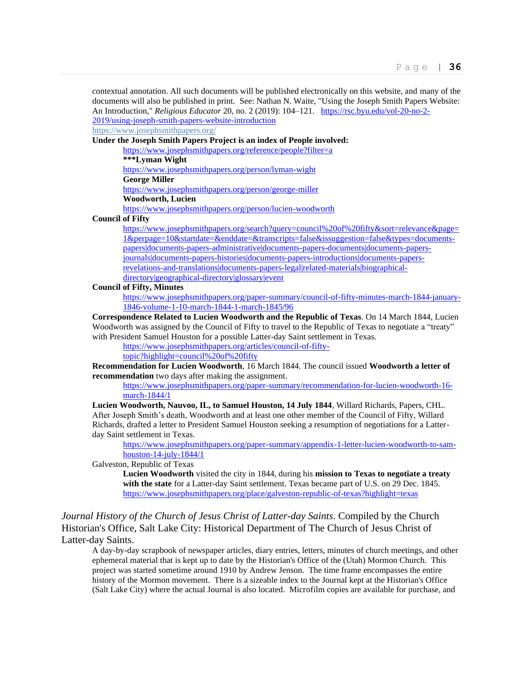contextual annotation. All such documents will be published electronically on this website, and many of the documents will also be published in print. See: Nathan N. Waite, "Using the Joseph Smith Papers Website: An Introduction," *Religious Educator* 20, no. 2 (2019): 104–121. [https://rsc.byu.edu/vol-20-no-2-](https://rsc.byu.edu/vol-20-no-2-2019/using-joseph-smith-papers-website-introduction) [2019/using-joseph-smith-papers-website-introduction](https://rsc.byu.edu/vol-20-no-2-2019/using-joseph-smith-papers-website-introduction)

<https://www.josephsmithpapers.org/>

**Under the Joseph Smith Papers Project is an index of People involved:**

<https://www.josephsmithpapers.org/reference/people?filter=a>

**\*\*\*Lyman Wight**

<https://www.josephsmithpapers.org/person/lyman-wight>

**George Miller**

<https://www.josephsmithpapers.org/person/george-miller>

**Woodworth, Lucien**

<https://www.josephsmithpapers.org/person/lucien-woodworth>

**Council of Fifty**

[https://www.josephsmithpapers.org/search?query=council%20of%20fifty&sort=relevance&page=](https://www.josephsmithpapers.org/search?query=council%20of%20fifty&sort=relevance&page=1&perpage=10&startdate=&enddate=&transcripts=false&issuggestion=false&types=documents-papers|documents-papers-administrative|documents-papers-documents|documents-papers-journals|documents-papers-histories|documents-papers-introductions|documents-papers-revelations-and-translations|documents-papers-legal|related-materials|biographical-directory|geographical-directory|glossary|event) [1&perpage=10&startdate=&enddate=&transcripts=false&issuggestion=false&types=documents](https://www.josephsmithpapers.org/search?query=council%20of%20fifty&sort=relevance&page=1&perpage=10&startdate=&enddate=&transcripts=false&issuggestion=false&types=documents-papers|documents-papers-administrative|documents-papers-documents|documents-papers-journals|documents-papers-histories|documents-papers-introductions|documents-papers-revelations-and-translations|documents-papers-legal|related-materials|biographical-directory|geographical-directory|glossary|event)[papers|documents-papers-administrative|documents-papers-documents|documents-papers](https://www.josephsmithpapers.org/search?query=council%20of%20fifty&sort=relevance&page=1&perpage=10&startdate=&enddate=&transcripts=false&issuggestion=false&types=documents-papers|documents-papers-administrative|documents-papers-documents|documents-papers-journals|documents-papers-histories|documents-papers-introductions|documents-papers-revelations-and-translations|documents-papers-legal|related-materials|biographical-directory|geographical-directory|glossary|event)[journals|documents-papers-histories|documents-papers-introductions|documents-papers](https://www.josephsmithpapers.org/search?query=council%20of%20fifty&sort=relevance&page=1&perpage=10&startdate=&enddate=&transcripts=false&issuggestion=false&types=documents-papers|documents-papers-administrative|documents-papers-documents|documents-papers-journals|documents-papers-histories|documents-papers-introductions|documents-papers-revelations-and-translations|documents-papers-legal|related-materials|biographical-directory|geographical-directory|glossary|event)[revelations-and-translations|documents-papers-legal|related-materials|biographical](https://www.josephsmithpapers.org/search?query=council%20of%20fifty&sort=relevance&page=1&perpage=10&startdate=&enddate=&transcripts=false&issuggestion=false&types=documents-papers|documents-papers-administrative|documents-papers-documents|documents-papers-journals|documents-papers-histories|documents-papers-introductions|documents-papers-revelations-and-translations|documents-papers-legal|related-materials|biographical-directory|geographical-directory|glossary|event)[directory|geographical-directory|glossary|event](https://www.josephsmithpapers.org/search?query=council%20of%20fifty&sort=relevance&page=1&perpage=10&startdate=&enddate=&transcripts=false&issuggestion=false&types=documents-papers|documents-papers-administrative|documents-papers-documents|documents-papers-journals|documents-papers-histories|documents-papers-introductions|documents-papers-revelations-and-translations|documents-papers-legal|related-materials|biographical-directory|geographical-directory|glossary|event)

**Council of Fifty, Minutes**

[https://www.josephsmithpapers.org/paper-summary/council-of-fifty-minutes-march-1844-january-](https://www.josephsmithpapers.org/paper-summary/council-of-fifty-minutes-march-1844-january-1846-volume-1-10-march-1844-1-march-1845/96)[1846-volume-1-10-march-1844-1-march-1845/96](https://www.josephsmithpapers.org/paper-summary/council-of-fifty-minutes-march-1844-january-1846-volume-1-10-march-1844-1-march-1845/96)

**Correspondence Related to Lucien Woodworth and the Republic of Texas**. On 14 March 1844, Lucien Woodworth was assigned by the Council of Fifty to travel to the Republic of Texas to negotiate a "treaty" with President Samuel Houston for a possible Latter-day Saint settlement in Texas.

[https://www.josephsmithpapers.org/articles/council-of-fifty-](https://www.josephsmithpapers.org/articles/council-of-fifty-topic?highlight=council%20of%20fifty)

[topic?highlight=council%20of%20fifty](https://www.josephsmithpapers.org/articles/council-of-fifty-topic?highlight=council%20of%20fifty)

**Recommendation for Lucien Woodworth**, 16 March 1844. The council issued **Woodworth a letter of recommendation** two days after making the assignment.

[https://www.josephsmithpapers.org/paper-summary/recommendation-for-lucien-woodworth-16](https://www.josephsmithpapers.org/paper-summary/recommendation-for-lucien-woodworth-16-march-1844/1) [march-1844/1](https://www.josephsmithpapers.org/paper-summary/recommendation-for-lucien-woodworth-16-march-1844/1)

**Lucien Woodworth, Nauvoo, IL, to Samuel Houston, 14 July 1844**, Willard Richards, Papers, CHL. After Joseph Smith's death, Woodworth and at least one other member of the Council of Fifty, Willard Richards, drafted a letter to President Samuel Houston seeking a resumption of negotiations for a Latterday Saint settlement in Texas.

[https://www.josephsmithpapers.org/paper-summary/appendix-1-letter-lucien-woodworth-to-sam](https://www.josephsmithpapers.org/paper-summary/appendix-1-letter-lucien-woodworth-to-sam-houston-14-july-1844/1)[houston-14-july-1844/1](https://www.josephsmithpapers.org/paper-summary/appendix-1-letter-lucien-woodworth-to-sam-houston-14-july-1844/1)

Galveston, Republic of Texas

**Lucien Woodworth** visited the city in 1844, during his **mission to Texas to negotiate a treaty with the state** for a Latter-day Saint settlement. Texas became part of U.S. on 29 Dec. 1845. <https://www.josephsmithpapers.org/place/galveston-republic-of-texas?highlight=texas>

*Journal History of the Church of Jesus Christ of Latter-day Saints*. Compiled by the Church Historian's Office, Salt Lake City: Historical Department of The Church of Jesus Christ of Latter-day Saints.

A day-by-day scrapbook of newspaper articles, diary entries, letters, minutes of church meetings, and other ephemeral material that is kept up to date by the Historian's Office of the (Utah) Mormon Church. This project was started sometime around 1910 by Andrew Jenson. The time frame encompasses the entire history of the Mormon movement. There is a sizeable index to the Journal kept at the Historian's Office (Salt Lake City) where the actual Journal is also located. Microfilm copies are available for purchase, and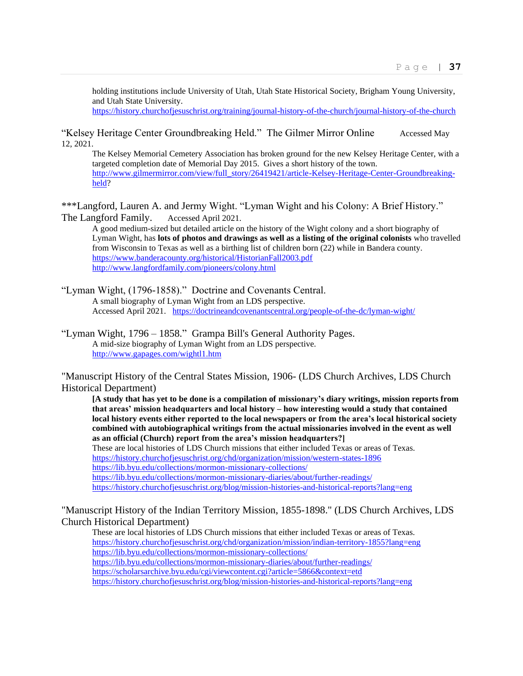holding institutions include University of Utah, Utah State Historical Society, Brigham Young University, and Utah State University.

<https://history.churchofjesuschrist.org/training/journal-history-of-the-church/journal-history-of-the-church>

"Kelsey Heritage Center Groundbreaking Held." The Gilmer Mirror Online Accessed May 12, 2021.

The Kelsey Memorial Cemetery Association has broken ground for the new Kelsey Heritage Center, with a targeted completion date of Memorial Day 2015. Gives a short history of the town. [http://www.gilmermirror.com/view/full\\_story/26419421/article-Kelsey-Heritage-Center-Groundbreaking](http://www.gilmermirror.com/view/full_story/26419421/article-Kelsey-Heritage-Center-Groundbreaking-held)[held?](http://www.gilmermirror.com/view/full_story/26419421/article-Kelsey-Heritage-Center-Groundbreaking-held)

\*\*\*Langford, Lauren A. and Jermy Wight. "Lyman Wight and his Colony: A Brief History." The Langford Family. Accessed April 2021.

A good medium-sized but detailed article on the history of the Wight colony and a short biography of Lyman Wight, has **lots of photos and drawings as well as a listing of the original colonists** who travelled from Wisconsin to Texas as well as a birthing list of children born (22) while in Bandera county. <https://www.banderacounty.org/historical/HistorianFall2003.pdf> <http://www.langfordfamily.com/pioneers/colony.html>

"Lyman Wight, (1796-1858)." Doctrine and Covenants Central. A small biography of Lyman Wight from an LDS perspective. Accessed April 2021. <https://doctrineandcovenantscentral.org/people-of-the-dc/lyman-wight/>

"Lyman Wight, 1796 – 1858." Grampa Bill's General Authority Pages. A mid-size biography of Lyman Wight from an LDS perspective. <http://www.gapages.com/wightl1.htm>

"Manuscript History of the Central States Mission, 1906- (LDS Church Archives, LDS Church Historical Department)

**[A study that has yet to be done is a compilation of missionary's diary writings, mission reports from that areas' mission headquarters and local history – how interesting would a study that contained local history events either reported to the local newspapers or from the area's local historical society combined with autobiographical writings from the actual missionaries involved in the event as well as an official (Church) report from the area's mission headquarters?]** These are local histories of LDS Church missions that either included Texas or areas of Texas. <https://history.churchofjesuschrist.org/chd/organization/mission/western-states-1896> <https://lib.byu.edu/collections/mormon-missionary-collections/> <https://lib.byu.edu/collections/mormon-missionary-diaries/about/further-readings/>

<https://history.churchofjesuschrist.org/blog/mission-histories-and-historical-reports?lang=eng>

"Manuscript History of the Indian Territory Mission, 1855-1898." (LDS Church Archives, LDS Church Historical Department)

These are local histories of LDS Church missions that either included Texas or areas of Texas. <https://history.churchofjesuschrist.org/chd/organization/mission/indian-territory-1855?lang=eng> <https://lib.byu.edu/collections/mormon-missionary-collections/> <https://lib.byu.edu/collections/mormon-missionary-diaries/about/further-readings/> <https://scholarsarchive.byu.edu/cgi/viewcontent.cgi?article=5866&context=etd> <https://history.churchofjesuschrist.org/blog/mission-histories-and-historical-reports?lang=eng>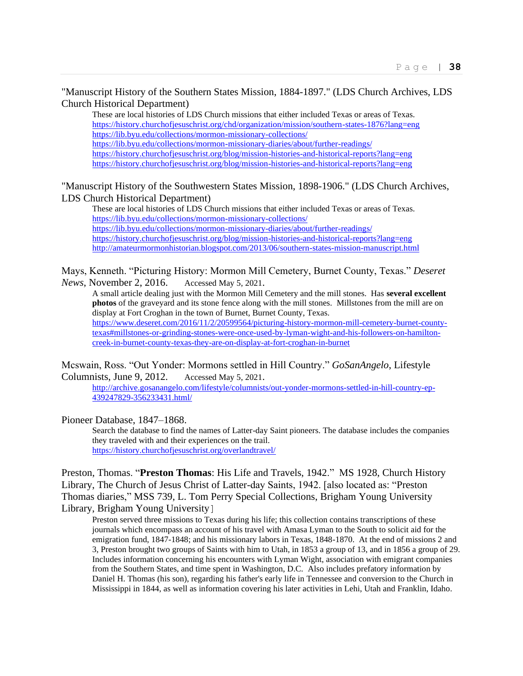"Manuscript History of the Southern States Mission, 1884-1897." (LDS Church Archives, LDS Church Historical Department)

These are local histories of LDS Church missions that either included Texas or areas of Texas. <https://history.churchofjesuschrist.org/chd/organization/mission/southern-states-1876?lang=eng> <https://lib.byu.edu/collections/mormon-missionary-collections/> <https://lib.byu.edu/collections/mormon-missionary-diaries/about/further-readings/> <https://history.churchofjesuschrist.org/blog/mission-histories-and-historical-reports?lang=eng> <https://history.churchofjesuschrist.org/blog/mission-histories-and-historical-reports?lang=eng>

"Manuscript History of the Southwestern States Mission, 1898-1906." (LDS Church Archives, LDS Church Historical Department)

These are local histories of LDS Church missions that either included Texas or areas of Texas. <https://lib.byu.edu/collections/mormon-missionary-collections/> <https://lib.byu.edu/collections/mormon-missionary-diaries/about/further-readings/> <https://history.churchofjesuschrist.org/blog/mission-histories-and-historical-reports?lang=eng> <http://amateurmormonhistorian.blogspot.com/2013/06/southern-states-mission-manuscript.html>

Mays, Kenneth. "Picturing History: Mormon Mill Cemetery, Burnet County, Texas." *Deseret News*, November 2, 2016. Accessed May 5, 2021.

A small article dealing just with the Mormon Mill Cemetery and the mill stones. Has **several excellent photos** of the graveyard and its stone fence along with the mill stones. Millstones from the mill are on display at Fort Croghan in the town of Burnet, Burnet County, Texas. [https://www.deseret.com/2016/11/2/20599564/picturing-history-mormon-mill-cemetery-burnet-county](https://www.deseret.com/2016/11/2/20599564/picturing-history-mormon-mill-cemetery-burnet-county-texas#millstones-or-grinding-stones-were-once-used-by-lyman-wight-and-his-followers-on-hamilton-creek-in-burnet-county-texas-they-are-on-display-at-fort-croghan-in-burnet)[texas#millstones-or-grinding-stones-were-once-used-by-lyman-wight-and-his-followers-on-hamilton](https://www.deseret.com/2016/11/2/20599564/picturing-history-mormon-mill-cemetery-burnet-county-texas#millstones-or-grinding-stones-were-once-used-by-lyman-wight-and-his-followers-on-hamilton-creek-in-burnet-county-texas-they-are-on-display-at-fort-croghan-in-burnet)[creek-in-burnet-county-texas-they-are-on-display-at-fort-croghan-in-burnet](https://www.deseret.com/2016/11/2/20599564/picturing-history-mormon-mill-cemetery-burnet-county-texas#millstones-or-grinding-stones-were-once-used-by-lyman-wight-and-his-followers-on-hamilton-creek-in-burnet-county-texas-they-are-on-display-at-fort-croghan-in-burnet)

Mcswain, Ross. "Out Yonder: Mormons settled in Hill Country." *GoSanAngelo*, Lifestyle Columnists, June 9, 2012. Accessed May 5, 2021.

[http://archive.gosanangelo.com/lifestyle/columnists/out-yonder-mormons-settled-in-hill-country-ep-](http://archive.gosanangelo.com/lifestyle/columnists/out-yonder-mormons-settled-in-hill-country-ep-439247829-356233431.html/)[439247829-356233431.html/](http://archive.gosanangelo.com/lifestyle/columnists/out-yonder-mormons-settled-in-hill-country-ep-439247829-356233431.html/)

Pioneer Database, 1847–1868.

Search the database to find the names of Latter-day Saint pioneers. The database includes the companies they traveled with and their experiences on the trail. <https://history.churchofjesuschrist.org/overlandtravel/>

Preston, Thomas. "**Preston Thomas**: His Life and Travels, 1942." MS 1928, Church History Library, The Church of Jesus Christ of Latter-day Saints, 1942. [also located as: "Preston Thomas diaries," MSS 739, L. Tom Perry Special Collections, Brigham Young University Library, Brigham Young University]

Preston served three missions to Texas during his life; this collection contains transcriptions of these journals which encompass an account of his travel with Amasa Lyman to the South to solicit aid for the emigration fund, 1847-1848; and his missionary labors in Texas, 1848-1870. At the end of missions 2 and 3, Preston brought two groups of Saints with him to Utah, in 1853 a group of 13, and in 1856 a group of 29. Includes information concerning his encounters with Lyman Wight, association with emigrant companies from the Southern States, and time spent in Washington, D.C. Also includes prefatory information by Daniel H. Thomas (his son), regarding his father's early life in Tennessee and conversion to the Church in Mississippi in 1844, as well as information covering his later activities in Lehi, Utah and Franklin, Idaho.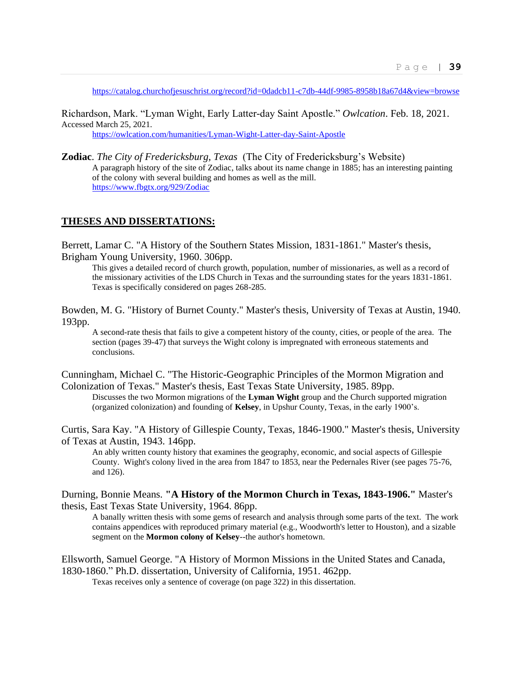<https://catalog.churchofjesuschrist.org/record?id=0dadcb11-c7db-44df-9985-8958b18a67d4&view=browse>

Richardson, Mark. "Lyman Wight, Early Latter-day Saint Apostle." *Owlcation*. Feb. 18, 2021. Accessed March 25, 2021.

<https://owlcation.com/humanities/Lyman-Wight-Latter-day-Saint-Apostle>

**Zodiac**. *The City of Fredericksburg, Texas* (The City of Fredericksburg's Website) A paragraph history of the site of Zodiac, talks about its name change in 1885; has an interesting painting of the colony with several building and homes as well as the mill. <https://www.fbgtx.org/929/Zodiac>

## **THESES AND DISSERTATIONS:**

Berrett, Lamar C. "A History of the Southern States Mission, 1831-1861." Master's thesis, Brigham Young University, 1960. 306pp.

This gives a detailed record of church growth, population, number of missionaries, as well as a record of the missionary activities of the LDS Church in Texas and the surrounding states for the years 1831-1861. Texas is specifically considered on pages 268-285.

Bowden, M. G. "History of Burnet County." Master's thesis, University of Texas at Austin, 1940. 193pp.

A second-rate thesis that fails to give a competent history of the county, cities, or people of the area. The section (pages 39-47) that surveys the Wight colony is impregnated with erroneous statements and conclusions.

Cunningham, Michael C. "The Historic-Geographic Principles of the Mormon Migration and Colonization of Texas." Master's thesis, East Texas State University, 1985. 89pp.

Discusses the two Mormon migrations of the **Lyman Wight** group and the Church supported migration (organized colonization) and founding of **Kelsey**, in Upshur County, Texas, in the early 1900's.

Curtis, Sara Kay. "A History of Gillespie County, Texas, 1846-1900." Master's thesis, University of Texas at Austin, 1943. 146pp.

An ably written county history that examines the geography, economic, and social aspects of Gillespie County. Wight's colony lived in the area from 1847 to 1853, near the Pedernales River (see pages 75-76, and 126).

Durning, Bonnie Means. **"A History of the Mormon Church in Texas, 1843-1906."** Master's thesis, East Texas State University, 1964. 86pp.

A banally written thesis with some gems of research and analysis through some parts of the text. The work contains appendices with reproduced primary material (e.g., Woodworth's letter to Houston), and a sizable segment on the **Mormon colony of Kelsey**--the author's hometown.

Ellsworth, Samuel George. "A History of Mormon Missions in the United States and Canada, 1830-1860." Ph.D. dissertation, University of California, 1951. 462pp.

Texas receives only a sentence of coverage (on page 322) in this dissertation.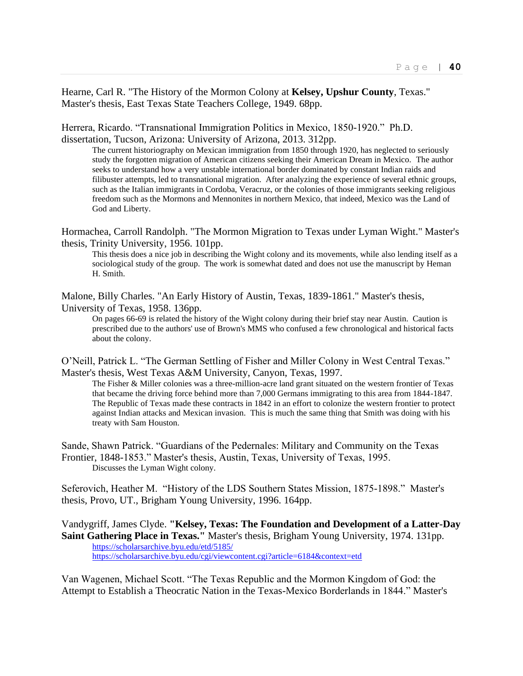Hearne, Carl R. "The History of the Mormon Colony at **Kelsey, Upshur County**, Texas." Master's thesis, East Texas State Teachers College, 1949. 68pp.

Herrera, Ricardo. "Transnational Immigration Politics in Mexico, 1850-1920." Ph.D. dissertation, Tucson, Arizona: University of Arizona, 2013. 312pp.

The current historiography on Mexican immigration from 1850 through 1920, has neglected to seriously study the forgotten migration of American citizens seeking their American Dream in Mexico. The author seeks to understand how a very unstable international border dominated by constant Indian raids and filibuster attempts, led to transnational migration. After analyzing the experience of several ethnic groups, such as the Italian immigrants in Cordoba, Veracruz, or the colonies of those immigrants seeking religious freedom such as the Mormons and Mennonites in northern Mexico, that indeed, Mexico was the Land of God and Liberty.

Hormachea, Carroll Randolph. "The Mormon Migration to Texas under Lyman Wight." Master's thesis, Trinity University, 1956. 101pp.

This thesis does a nice job in describing the Wight colony and its movements, while also lending itself as a sociological study of the group. The work is somewhat dated and does not use the manuscript by Heman H. Smith.

Malone, Billy Charles. "An Early History of Austin, Texas, 1839-1861." Master's thesis, University of Texas, 1958. 136pp.

On pages 66-69 is related the history of the Wight colony during their brief stay near Austin. Caution is prescribed due to the authors' use of Brown's MMS who confused a few chronological and historical facts about the colony.

O'Neill, Patrick L. "The German Settling of Fisher and Miller Colony in West Central Texas." Master's thesis, West Texas A&M University, Canyon, Texas, 1997.

The Fisher & Miller colonies was a three-million-acre land grant situated on the western frontier of Texas that became the driving force behind more than 7,000 Germans immigrating to this area from 1844-1847. The Republic of Texas made these contracts in 1842 in an effort to colonize the western frontier to protect against Indian attacks and Mexican invasion. This is much the same thing that Smith was doing with his treaty with Sam Houston.

Sande, Shawn Patrick. "Guardians of the Pedernales: Military and Community on the Texas Frontier, 1848-1853." Master's thesis, Austin, Texas, University of Texas, 1995. Discusses the Lyman Wight colony.

Seferovich, Heather M. "History of the LDS Southern States Mission, 1875-1898." Master's thesis, Provo, UT., Brigham Young University, 1996. 164pp.

Vandygriff, James Clyde. **"Kelsey, Texas: The Foundation and Development of a Latter-Day Saint Gathering Place in Texas."** Master's thesis, Brigham Young University, 1974. 131pp. <https://scholarsarchive.byu.edu/etd/5185/> <https://scholarsarchive.byu.edu/cgi/viewcontent.cgi?article=6184&context=etd>

Van Wagenen, Michael Scott. "The Texas Republic and the Mormon Kingdom of God: the Attempt to Establish a Theocratic Nation in the Texas-Mexico Borderlands in 1844." Master's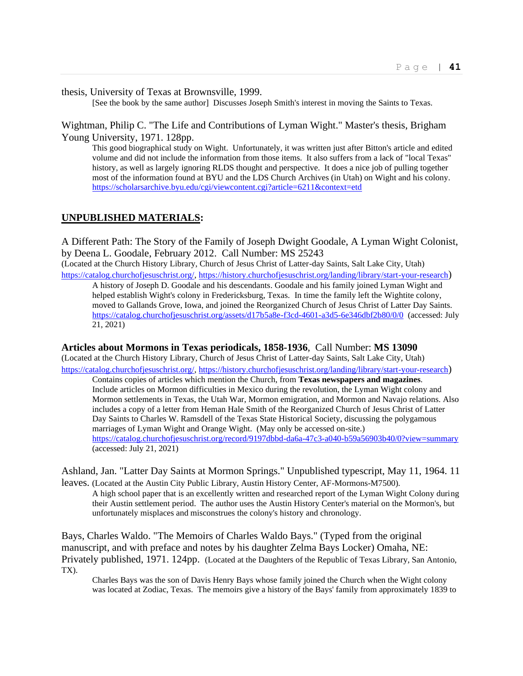thesis, University of Texas at Brownsville, 1999.

[See the book by the same author] Discusses Joseph Smith's interest in moving the Saints to Texas.

Wightman, Philip C. "The Life and Contributions of Lyman Wight." Master's thesis, Brigham Young University, 1971. 128pp.

This good biographical study on Wight. Unfortunately, it was written just after Bitton's article and edited volume and did not include the information from those items. It also suffers from a lack of "local Texas" history, as well as largely ignoring RLDS thought and perspective. It does a nice job of pulling together most of the information found at BYU and the LDS Church Archives (in Utah) on Wight and his colony. <https://scholarsarchive.byu.edu/cgi/viewcontent.cgi?article=6211&context=etd>

## **UNPUBLISHED MATERIALS:**

A Different Path: The Story of the Family of Joseph Dwight Goodale, A Lyman Wight Colonist, by Deena L. Goodale, February 2012. Call Number: MS 25243

(Located at the Church History Library, Church of Jesus Christ of Latter-day Saints, Salt Lake City, Utah) [https://catalog.churchofjesuschrist.org/,](https://catalog.churchofjesuschrist.org/)<https://history.churchofjesuschrist.org/landing/library/start-your-research>)

A history of Joseph D. Goodale and his descendants. Goodale and his family joined Lyman Wight and helped establish Wight's colony in Fredericksburg, Texas. In time the family left the Wightite colony, moved to Gallands Grove, Iowa, and joined the Reorganized Church of Jesus Christ of Latter Day Saints. <https://catalog.churchofjesuschrist.org/assets/d17b5a8e-f3cd-4601-a3d5-6e346dbf2b80/0/0>(accessed: July 21, 2021)

#### **Articles about Mormons in Texas periodicals, 1858-1936**, Call Number: **MS 13090**

(Located at the Church History Library, Church of Jesus Christ of Latter-day Saints, Salt Lake City, Utah) [https://catalog.churchofjesuschrist.org/,](https://catalog.churchofjesuschrist.org/)<https://history.churchofjesuschrist.org/landing/library/start-your-research>)

Contains copies of articles which mention the Church, from **Texas newspapers and magazines**. Include articles on Mormon difficulties in Mexico during the revolution, the Lyman Wight colony and Mormon settlements in Texas, the Utah War, Mormon emigration, and Mormon and Navajo relations. Also includes a copy of a letter from Heman Hale Smith of the Reorganized Church of Jesus Christ of Latter Day Saints to Charles W. Ramsdell of the Texas State Historical Society, discussing the polygamous marriages of Lyman Wight and Orange Wight. (May only be accessed on-site.) <https://catalog.churchofjesuschrist.org/record/9197dbbd-da6a-47c3-a040-b59a56903b40/0?view=summary> (accessed: July 21, 2021)

Ashland, Jan. "Latter Day Saints at Mormon Springs." Unpublished typescript, May 11, 1964. 11 leaves. (Located at the Austin City Public Library, Austin History Center, AF-Mormons-M7500).

A high school paper that is an excellently written and researched report of the Lyman Wight Colony during their Austin settlement period. The author uses the Austin History Center's material on the Mormon's, but unfortunately misplaces and misconstrues the colony's history and chronology.

Bays, Charles Waldo. "The Memoirs of Charles Waldo Bays." (Typed from the original manuscript, and with preface and notes by his daughter Zelma Bays Locker) Omaha, NE: Privately published, 1971. 124pp. (Located at the Daughters of the Republic of Texas Library, San Antonio, TX).

Charles Bays was the son of Davis Henry Bays whose family joined the Church when the Wight colony was located at Zodiac, Texas. The memoirs give a history of the Bays' family from approximately 1839 to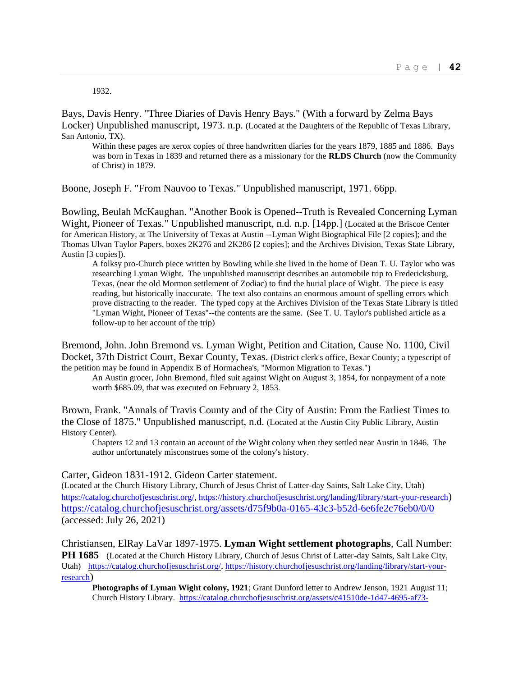1932.

Bays, Davis Henry. "Three Diaries of Davis Henry Bays." (With a forward by Zelma Bays Locker) Unpublished manuscript, 1973. n.p. (Located at the Daughters of the Republic of Texas Library, San Antonio, TX).

Within these pages are xerox copies of three handwritten diaries for the years 1879, 1885 and 1886. Bays was born in Texas in 1839 and returned there as a missionary for the **RLDS Church** (now the Community of Christ) in 1879.

Boone, Joseph F. "From Nauvoo to Texas." Unpublished manuscript, 1971. 66pp.

Bowling, Beulah McKaughan. "Another Book is Opened--Truth is Revealed Concerning Lyman Wight, Pioneer of Texas." Unpublished manuscript, n.d. n.p. [14pp.] (Located at the Briscoe Center for American History, at The University of Texas at Austin --Lyman Wight Biographical File [2 copies]; and the Thomas Ulvan Taylor Papers, boxes 2K276 and 2K286 [2 copies]; and the Archives Division, Texas State Library, Austin [3 copies]).

A folksy pro-Church piece written by Bowling while she lived in the home of Dean T. U. Taylor who was researching Lyman Wight. The unpublished manuscript describes an automobile trip to Fredericksburg, Texas, (near the old Mormon settlement of Zodiac) to find the burial place of Wight. The piece is easy reading, but historically inaccurate. The text also contains an enormous amount of spelling errors which prove distracting to the reader. The typed copy at the Archives Division of the Texas State Library is titled "Lyman Wight, Pioneer of Texas"--the contents are the same. (See T. U. Taylor's published article as a follow-up to her account of the trip)

Bremond, John. John Bremond vs. Lyman Wight, Petition and Citation, Cause No. 1100, Civil Docket, 37th District Court, Bexar County, Texas. (District clerk's office, Bexar County; a typescript of the petition may be found in Appendix B of Hormachea's, "Mormon Migration to Texas.")

An Austin grocer, John Bremond, filed suit against Wight on August 3, 1854, for nonpayment of a note worth \$685.09, that was executed on February 2, 1853.

Brown, Frank. "Annals of Travis County and of the City of Austin: From the Earliest Times to the Close of 1875." Unpublished manuscript, n.d. (Located at the Austin City Public Library, Austin History Center).

Chapters 12 and 13 contain an account of the Wight colony when they settled near Austin in 1846. The author unfortunately misconstrues some of the colony's history.

Carter, Gideon 1831-1912. Gideon Carter statement.

(Located at the Church History Library, Church of Jesus Christ of Latter-day Saints, Salt Lake City, Utah) [https://catalog.churchofjesuschrist.org/,](https://catalog.churchofjesuschrist.org/)<https://history.churchofjesuschrist.org/landing/library/start-your-research>) <https://catalog.churchofjesuschrist.org/assets/d75f9b0a-0165-43c3-b52d-6e6fe2c76eb0/0/0> (accessed: July 26, 2021)

Christiansen, ElRay LaVar 1897-1975. **Lyman Wight settlement photographs**, Call Number: **PH 1685** (Located at the Church History Library, Church of Jesus Christ of Latter-day Saints, Salt Lake City, Utah) [https://catalog.churchofjesuschrist.org/,](https://catalog.churchofjesuschrist.org/) [https://history.churchofjesuschrist.org/landing/library/start-your](https://history.churchofjesuschrist.org/landing/library/start-your-research)[research](https://history.churchofjesuschrist.org/landing/library/start-your-research))

**Photographs of Lyman Wight colony, 1921**; Grant Dunford letter to Andrew Jenson, 1921 August 11; Church History Library. [https://catalog.churchofjesuschrist.org/assets/c41510de-1d47-4695-af73-](https://catalog.churchofjesuschrist.org/assets/c41510de-1d47-4695-af73-ebdc06844320/0/8)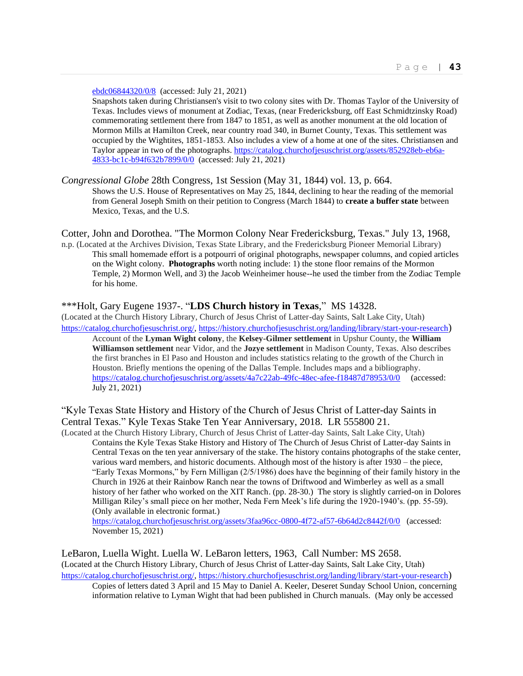[ebdc06844320/0/8](https://catalog.churchofjesuschrist.org/assets/c41510de-1d47-4695-af73-ebdc06844320/0/8) (accessed: July 21, 2021)

Snapshots taken during Christiansen's visit to two colony sites with Dr. Thomas Taylor of the University of Texas. Includes views of monument at Zodiac, Texas, (near Fredericksburg, off East Schmidtzinsky Road) commemorating settlement there from 1847 to 1851, as well as another monument at the old location of Mormon Mills at Hamilton Creek, near country road 340, in Burnet County, Texas. This settlement was occupied by the Wightites, 1851-1853. Also includes a view of a home at one of the sites. Christiansen and Taylor appear in two of the photographs. [https://catalog.churchofjesuschrist.org/assets/852928eb-eb6a-](https://catalog.churchofjesuschrist.org/assets/852928eb-eb6a-4833-bc1c-b94f632b7899/0/0)[4833-bc1c-b94f632b7899/0/0](https://catalog.churchofjesuschrist.org/assets/852928eb-eb6a-4833-bc1c-b94f632b7899/0/0) (accessed: July 21, 2021)

*Congressional Globe* 28th Congress, 1st Session (May 31, 1844) vol. 13, p. 664. Shows the U.S. House of Representatives on May 25, 1844, declining to hear the reading of the memorial from General Joseph Smith on their petition to Congress (March 1844) to **create a buffer state** between Mexico, Texas, and the U.S.

Cotter, John and Dorothea. "The Mormon Colony Near Fredericksburg, Texas." July 13, 1968,

n.p. (Located at the Archives Division, Texas State Library, and the Fredericksburg Pioneer Memorial Library) This small homemade effort is a potpourri of original photographs, newspaper columns, and copied articles on the Wight colony. **Photographs** worth noting include: 1) the stone floor remains of the Mormon Temple, 2) Mormon Well, and 3) the Jacob Weinheimer house--he used the timber from the Zodiac Temple for his home.

#### \*\*\*Holt, Gary Eugene 1937-. "**LDS Church history in Texas**," MS 14328.

(Located at the Church History Library, Church of Jesus Christ of Latter-day Saints, Salt Lake City, Utah) [https://catalog.churchofjesuschrist.org/,](https://catalog.churchofjesuschrist.org/)<https://history.churchofjesuschrist.org/landing/library/start-your-research>)

Account of the **Lyman Wight colony**, the **Kelsey-Gilmer settlement** in Upshur County, the **William Williamson settlement** near Vidor, and the **Jozye settlement** in Madison County, Texas. Also describes the first branches in El Paso and Houston and includes statistics relating to the growth of the Church in Houston. Briefly mentions the opening of the Dallas Temple. Includes maps and a bibliography. <https://catalog.churchofjesuschrist.org/assets/4a7c22ab-49fc-48ec-afee-f18487d78953/0/0>(accessed: July 21, 2021)

"Kyle Texas State History and History of the Church of Jesus Christ of Latter-day Saints in Central Texas." Kyle Texas Stake Ten Year Anniversary, 2018. LR 555800 21.

(Located at the Church History Library, Church of Jesus Christ of Latter-day Saints, Salt Lake City, Utah) Contains the Kyle Texas Stake History and History of The Church of Jesus Christ of Latter-day Saints in Central Texas on the ten year anniversary of the stake. The history contains photographs of the stake center, various ward members, and historic documents. Although most of the history is after 1930 – the piece, "Early Texas Mormons," by Fern Milligan (2/5/1986) does have the beginning of their family history in the Church in 1926 at their Rainbow Ranch near the towns of Driftwood and Wimberley as well as a small history of her father who worked on the XIT Ranch. (pp. 28-30.) The story is slightly carried-on in Dolores Milligan Riley's small piece on her mother, Neda Fern Meek's life during the 1920-1940's. (pp. 55-59). (Only available in electronic format.)

<https://catalog.churchofjesuschrist.org/assets/3faa96cc-0800-4f72-af57-6b64d2c8442f/0/0>(accessed: November 15, 2021)

LeBaron, Luella Wight. Luella W. LeBaron letters, 1963, Call Number: MS 2658. (Located at the Church History Library, Church of Jesus Christ of Latter-day Saints, Salt Lake City, Utah) [https://catalog.churchofjesuschrist.org/,](https://catalog.churchofjesuschrist.org/)<https://history.churchofjesuschrist.org/landing/library/start-your-research>) Copies of letters dated 3 April and 15 May to Daniel A. Keeler, Deseret Sunday School Union, concerning

information relative to Lyman Wight that had been published in Church manuals. (May only be accessed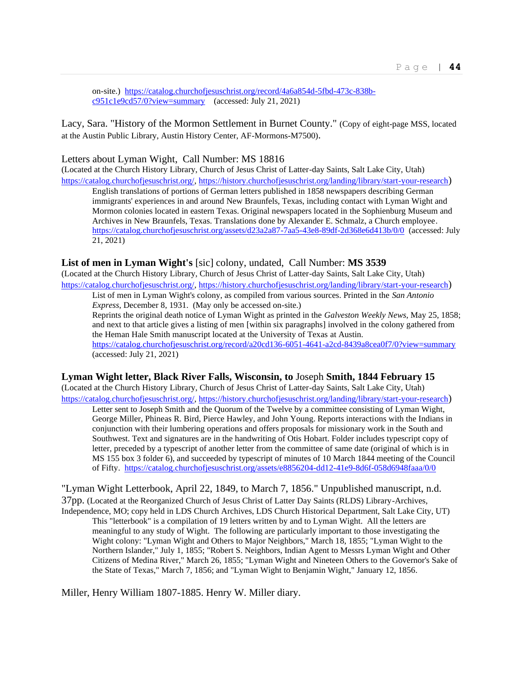on-site.) [https://catalog.churchofjesuschrist.org/record/4a6a854d-5fbd-473c-838b](https://catalog.churchofjesuschrist.org/record/4a6a854d-5fbd-473c-838b-c951c1e9cd57/0?view=summary)[c951c1e9cd57/0?view=summary](https://catalog.churchofjesuschrist.org/record/4a6a854d-5fbd-473c-838b-c951c1e9cd57/0?view=summary) (accessed: July 21, 2021)

Lacy, Sara. "History of the Mormon Settlement in Burnet County." (Copy of eight-page MSS, located at the Austin Public Library, Austin History Center, AF-Mormons-M7500).

#### Letters about Lyman Wight, Call Number: MS 18816

(Located at the Church History Library, Church of Jesus Christ of Latter-day Saints, Salt Lake City, Utah) [https://catalog.churchofjesuschrist.org/,](https://catalog.churchofjesuschrist.org/)<https://history.churchofjesuschrist.org/landing/library/start-your-research>)

English translations of portions of German letters published in 1858 newspapers describing German immigrants' experiences in and around New Braunfels, Texas, including contact with Lyman Wight and Mormon colonies located in eastern Texas. Original newspapers located in the Sophienburg Museum and Archives in New Braunfels, Texas. Translations done by Alexander E. Schmalz, a Church employee. <https://catalog.churchofjesuschrist.org/assets/d23a2a87-7aa5-43e8-89df-2d368e6d413b/0/0>(accessed: July 21, 2021)

#### **List of men in Lyman Wight's** [sic] colony, undated, Call Number: **MS 3539**

(Located at the Church History Library, Church of Jesus Christ of Latter-day Saints, Salt Lake City, Utah) [https://catalog.churchofjesuschrist.org/,](https://catalog.churchofjesuschrist.org/)<https://history.churchofjesuschrist.org/landing/library/start-your-research>)

List of men in Lyman Wight's colony, as compiled from various sources. Printed in the *San Antonio Express*, December 8, 1931. (May only be accessed on-site.)

Reprints the original death notice of Lyman Wight as printed in the *Galveston Weekly News*, May 25, 1858; and next to that article gives a listing of men [within six paragraphs] involved in the colony gathered from the Heman Hale Smith manuscript located at the University of Texas at Austin. <https://catalog.churchofjesuschrist.org/record/a20cd136-6051-4641-a2cd-8439a8cea0f7/0?view=summary> (accessed: July 21, 2021)

## **Lyman Wight letter, Black River Falls, Wisconsin, to** Joseph **Smith, 1844 February 15**

(Located at the Church History Library, Church of Jesus Christ of Latter-day Saints, Salt Lake City, Utah) [https://catalog.churchofjesuschrist.org/,](https://catalog.churchofjesuschrist.org/)<https://history.churchofjesuschrist.org/landing/library/start-your-research>)

Letter sent to Joseph Smith and the Quorum of the Twelve by a committee consisting of Lyman Wight, George Miller, Phineas R. Bird, Pierce Hawley, and John Young. Reports interactions with the Indians in conjunction with their lumbering operations and offers proposals for missionary work in the South and Southwest. Text and signatures are in the handwriting of Otis Hobart. Folder includes typescript copy of letter, preceded by a typescript of another letter from the committee of same date (original of which is in MS 155 box 3 folder 6), and succeeded by typescript of minutes of 10 March 1844 meeting of the Council of Fifty. <https://catalog.churchofjesuschrist.org/assets/e8856204-dd12-41e9-8d6f-058d6948faaa/0/0>

"Lyman Wight Letterbook, April 22, 1849, to March 7, 1856." Unpublished manuscript, n.d. 37pp. (Located at the Reorganized Church of Jesus Christ of Latter Day Saints (RLDS) Library-Archives, Independence, MO; copy held in LDS Church Archives, LDS Church Historical Department, Salt Lake City, UT) This "letterbook" is a compilation of 19 letters written by and to Lyman Wight. All the letters are meaningful to any study of Wight. The following are particularly important to those investigating the Wight colony: "Lyman Wight and Others to Major Neighbors," March 18, 1855; "Lyman Wight to the Northern Islander," July 1, 1855; "Robert S. Neighbors, Indian Agent to Messrs Lyman Wight and Other Citizens of Medina River," March 26, 1855; "Lyman Wight and Nineteen Others to the Governor's Sake of the State of Texas," March 7, 1856; and "Lyman Wight to Benjamin Wight," January 12, 1856.

Miller, Henry William 1807-1885. Henry W. Miller diary.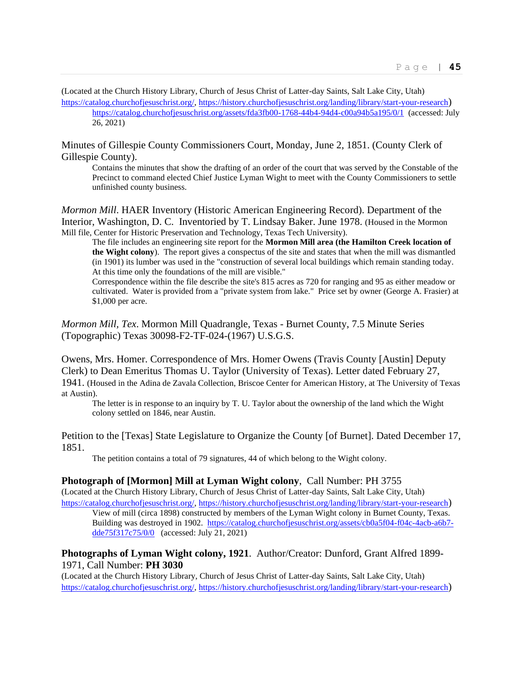(Located at the Church History Library, Church of Jesus Christ of Latter-day Saints, Salt Lake City, Utah)

[https://catalog.churchofjesuschrist.org/,](https://catalog.churchofjesuschrist.org/)<https://history.churchofjesuschrist.org/landing/library/start-your-research>) <https://catalog.churchofjesuschrist.org/assets/fda3fb00-1768-44b4-94d4-c00a94b5a195/0/1>(accessed: July 26, 2021)

Minutes of Gillespie County Commissioners Court, Monday, June 2, 1851. (County Clerk of Gillespie County).

Contains the minutes that show the drafting of an order of the court that was served by the Constable of the Precinct to command elected Chief Justice Lyman Wight to meet with the County Commissioners to settle unfinished county business.

*Mormon Mill*. HAER Inventory (Historic American Engineering Record). Department of the Interior, Washington, D. C. Inventoried by T. Lindsay Baker. June 1978. (Housed in the Mormon Mill file, Center for Historic Preservation and Technology, Texas Tech University).

The file includes an engineering site report for the **Mormon Mill area (the Hamilton Creek location of the Wight colony**). The report gives a conspectus of the site and states that when the mill was dismantled (in 1901) its lumber was used in the "construction of several local buildings which remain standing today. At this time only the foundations of the mill are visible."

Correspondence within the file describe the site's 815 acres as 720 for ranging and 95 as either meadow or cultivated. Water is provided from a "private system from lake." Price set by owner (George A. Frasier) at \$1,000 per acre.

*Mormon Mill, Tex*. Mormon Mill Quadrangle, Texas - Burnet County, 7.5 Minute Series (Topographic) Texas 30098-F2-TF-024-(1967) U.S.G.S.

Owens, Mrs. Homer. Correspondence of Mrs. Homer Owens (Travis County [Austin] Deputy Clerk) to Dean Emeritus Thomas U. Taylor (University of Texas). Letter dated February 27, 1941. (Housed in the Adina de Zavala Collection, Briscoe Center for American History, at The University of Texas at Austin).

The letter is in response to an inquiry by T. U. Taylor about the ownership of the land which the Wight colony settled on 1846, near Austin.

Petition to the [Texas] State Legislature to Organize the County [of Burnet]. Dated December 17, 1851.

The petition contains a total of 79 signatures, 44 of which belong to the Wight colony.

#### **Photograph of [Mormon] Mill at Lyman Wight colony**, Call Number: PH 3755

(Located at the Church History Library, Church of Jesus Christ of Latter-day Saints, Salt Lake City, Utah) [https://catalog.churchofjesuschrist.org/,](https://catalog.churchofjesuschrist.org/)<https://history.churchofjesuschrist.org/landing/library/start-your-research>)

View of mill (circa 1898) constructed by members of the Lyman Wight colony in Burnet County, Texas. Building was destroyed in 1902. [https://catalog.churchofjesuschrist.org/assets/cb0a5f04-f04c-4acb-a6b7](https://catalog.churchofjesuschrist.org/assets/cb0a5f04-f04c-4acb-a6b7-dde75f317c75/0/0) [dde75f317c75/0/0](https://catalog.churchofjesuschrist.org/assets/cb0a5f04-f04c-4acb-a6b7-dde75f317c75/0/0) (accessed: July 21, 2021)

## **Photographs of Lyman Wight colony, 1921**. Author/Creator: Dunford, Grant Alfred 1899- 1971, Call Number: **PH 3030**

(Located at the Church History Library, Church of Jesus Christ of Latter-day Saints, Salt Lake City, Utah) [https://catalog.churchofjesuschrist.org/,](https://catalog.churchofjesuschrist.org/)<https://history.churchofjesuschrist.org/landing/library/start-your-research>)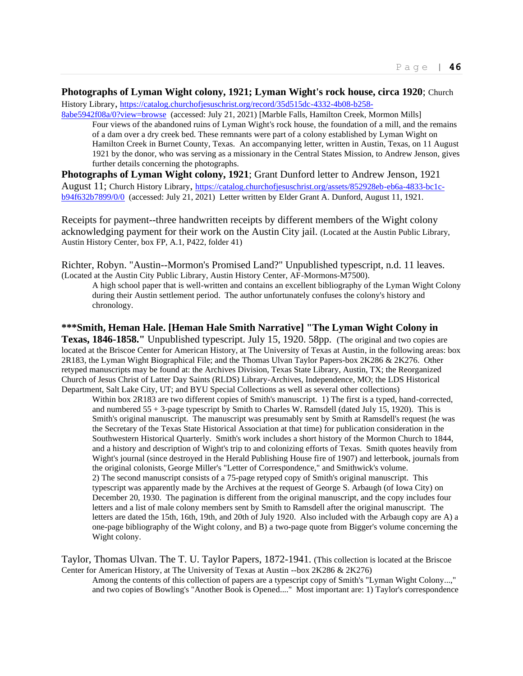## **Photographs of Lyman Wight colony, 1921; Lyman Wight's rock house, circa 1920**; Church

History Library, [https://catalog.churchofjesuschrist.org/record/35d515dc-4332-4b08-b258-](https://catalog.churchofjesuschrist.org/record/35d515dc-4332-4b08-b258-8abe5942f08a/0?view=browse)

[8abe5942f08a/0?view=browse](https://catalog.churchofjesuschrist.org/record/35d515dc-4332-4b08-b258-8abe5942f08a/0?view=browse) (accessed: July 21, 2021) [Marble Falls, Hamilton Creek, Mormon Mills] Four views of the abandoned ruins of Lyman Wight's rock house, the foundation of a mill, and the remains of a dam over a dry creek bed. These remnants were part of a colony established by Lyman Wight on Hamilton Creek in Burnet County, Texas. An accompanying letter, written in Austin, Texas, on 11 August 1921 by the donor, who was serving as a missionary in the Central States Mission, to Andrew Jenson, gives further details concerning the photographs.

**Photographs of Lyman Wight colony, 1921**; Grant Dunford letter to Andrew Jenson, 1921 August 11; Church History Library, [https://catalog.churchofjesuschrist.org/assets/852928eb-eb6a-4833-bc1c](https://catalog.churchofjesuschrist.org/assets/852928eb-eb6a-4833-bc1c-b94f632b7899/0/0)[b94f632b7899/0/0](https://catalog.churchofjesuschrist.org/assets/852928eb-eb6a-4833-bc1c-b94f632b7899/0/0) (accessed: July 21, 2021) Letter written by Elder Grant A. Dunford, August 11, 1921.

Receipts for payment--three handwritten receipts by different members of the Wight colony acknowledging payment for their work on the Austin City jail. (Located at the Austin Public Library, Austin History Center, box FP, A.1, P422, folder 41)

Richter, Robyn. "Austin--Mormon's Promised Land?" Unpublished typescript, n.d. 11 leaves. (Located at the Austin City Public Library, Austin History Center, AF-Mormons-M7500).

A high school paper that is well-written and contains an excellent bibliography of the Lyman Wight Colony during their Austin settlement period. The author unfortunately confuses the colony's history and chronology.

**\*\*\*Smith, Heman Hale. [Heman Hale Smith Narrative] "The Lyman Wight Colony in Texas, 1846-1858."** Unpublished typescript. July 15, 1920. 58pp. (The original and two copies are located at the Briscoe Center for American History, at The University of Texas at Austin, in the following areas: box 2R183, the Lyman Wight Biographical File; and the Thomas Ulvan Taylor Papers-box 2K286 & 2K276. Other retyped manuscripts may be found at: the Archives Division, Texas State Library, Austin, TX; the Reorganized Church of Jesus Christ of Latter Day Saints (RLDS) Library-Archives, Independence, MO; the LDS Historical Department, Salt Lake City, UT; and BYU Special Collections as well as several other collections)

Within box 2R183 are two different copies of Smith's manuscript. 1) The first is a typed, hand-corrected, and numbered  $55 + 3$ -page typescript by Smith to Charles W. Ramsdell (dated July 15, 1920). This is Smith's original manuscript. The manuscript was presumably sent by Smith at Ramsdell's request (he was the Secretary of the Texas State Historical Association at that time) for publication consideration in the Southwestern Historical Quarterly. Smith's work includes a short history of the Mormon Church to 1844, and a history and description of Wight's trip to and colonizing efforts of Texas. Smith quotes heavily from Wight's journal (since destroyed in the Herald Publishing House fire of 1907) and letterbook, journals from the original colonists, George Miller's "Letter of Correspondence," and Smithwick's volume. 2) The second manuscript consists of a 75-page retyped copy of Smith's original manuscript. This typescript was apparently made by the Archives at the request of George S. Arbaugh (of Iowa City) on December 20, 1930. The pagination is different from the original manuscript, and the copy includes four letters and a list of male colony members sent by Smith to Ramsdell after the original manuscript. The letters are dated the 15th, 16th, 19th, and 20th of July 1920. Also included with the Arbaugh copy are A) a one-page bibliography of the Wight colony, and B) a two-page quote from Bigger's volume concerning the Wight colony.

Taylor, Thomas Ulvan. The T. U. Taylor Papers, 1872-1941. (This collection is located at the Briscoe Center for American History, at The University of Texas at Austin --box 2K286 & 2K276)

Among the contents of this collection of papers are a typescript copy of Smith's "Lyman Wight Colony...," and two copies of Bowling's "Another Book is Opened...." Most important are: 1) Taylor's correspondence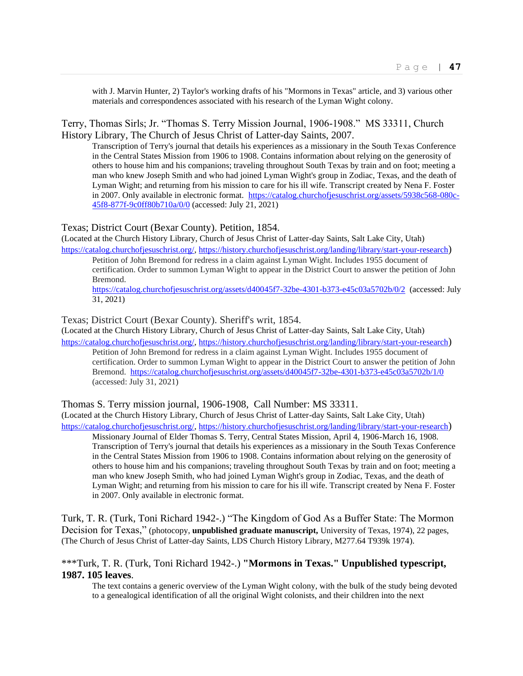with J. Marvin Hunter, 2) Taylor's working drafts of his "Mormons in Texas" article, and 3) various other materials and correspondences associated with his research of the Lyman Wight colony.

Terry, Thomas Sirls; Jr. "Thomas S. Terry Mission Journal, 1906-1908." MS 33311, Church History Library, The Church of Jesus Christ of Latter-day Saints, 2007.

Transcription of Terry's journal that details his experiences as a missionary in the South Texas Conference in the Central States Mission from 1906 to 1908. Contains information about relying on the generosity of others to house him and his companions; traveling throughout South Texas by train and on foot; meeting a man who knew Joseph Smith and who had joined Lyman Wight's group in Zodiac, Texas, and the death of Lyman Wight; and returning from his mission to care for his ill wife. Transcript created by Nena F. Foster in 2007. Only available in electronic format. https://catalog.churchofjesuschrist.org/assets/5938c568-080c-45f8-877f-9c0ff80b710a/0/0 (accessed: July 21, 2021)

#### Texas; District Court (Bexar County). Petition, 1854.

(Located at the Church History Library, Church of Jesus Christ of Latter-day Saints, Salt Lake City, Utah) https://catalog.churchofjesuschrist.org/, https://history.churchofjesuschrist.org/landing/library/start-your-research)

Petition of John Bremond for redress in a claim against Lyman Wight. Includes 1955 document of certification. Order to summon Lyman Wight to appear in the District Court to answer the petition of John Bremond.

https://catalog.churchofjesuschrist.org/assets/d40045f7-32be-4301-b373-e45c03a5702b/0/2 (accessed: July 31, 2021)

Texas; District Court (Bexar County). Sheriff's writ, 1854.

(Located at the Church History Library, Church of Jesus Christ of Latter-day Saints, Salt Lake City, Utah) https://catalog.churchofjesuschrist.org/, https://history.churchofjesuschrist.org/landing/library/start-your-research)

Petition of John Bremond for redress in a claim against Lyman Wight. Includes 1955 document of certification. Order to summon Lyman Wight to appear in the District Court to answer the petition of John Bremond. https://catalog.churchofjesuschrist.org/assets/d40045f7-32be-4301-b373-e45c03a5702b/1/0 (accessed: July 31, 2021)

Thomas S. Terry mission journal, 1906-1908, Call Number: MS 33311.

(Located at the Church History Library, Church of Jesus Christ of Latter-day Saints, Salt Lake City, Utah) https://catalog.churchofjesuschrist.org/, https://history.churchofjesuschrist.org/landing/library/start-your-research)

Missionary Journal of Elder Thomas S. Terry, Central States Mission, April 4, 1906-March 16, 1908. Transcription of Terry's journal that details his experiences as a missionary in the South Texas Conference in the Central States Mission from 1906 to 1908. Contains information about relying on the generosity of others to house him and his companions; traveling throughout South Texas by train and on foot; meeting a man who knew Joseph Smith, who had joined Lyman Wight's group in Zodiac, Texas, and the death of Lyman Wight; and returning from his mission to care for his ill wife. Transcript created by Nena F. Foster in 2007. Only available in electronic format.

Turk, T. R. (Turk, Toni Richard 1942-.) "The Kingdom of God As a Buffer State: The Mormon Decision for Texas," (photocopy, **unpublished graduate manuscript,** University of Texas, 1974), 22 pages, (The Church of Jesus Christ of Latter-day Saints, LDS Church History Library, M277.64 T939k 1974).

## \*\*\*Turk, T. R. (Turk, Toni Richard 1942-.) **"Mormons in Texas." Unpublished typescript, 1987. 105 leaves**.

The text contains a generic overview of the Lyman Wight colony, with the bulk of the study being devoted to a genealogical identification of all the original Wight colonists, and their children into the next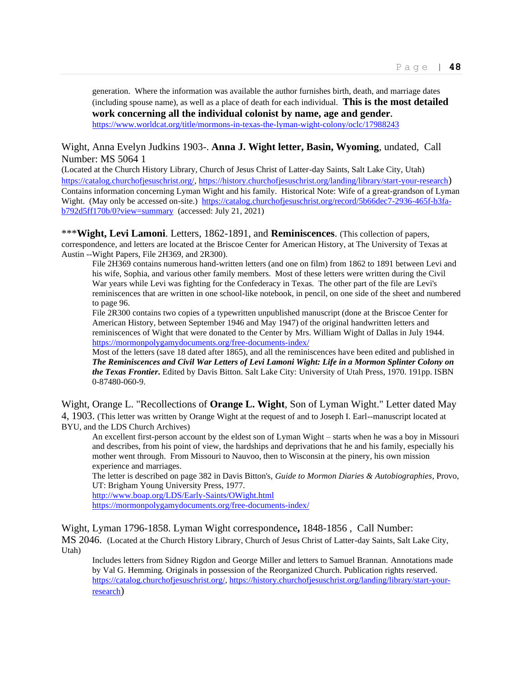generation. Where the information was available the author furnishes birth, death, and marriage dates (including spouse name), as well as a place of death for each individual. **This is the most detailed work concerning all the individual colonist by name, age and gender.** https://www.worldcat.org/title/mormons-in-texas-the-lyman-wight-colony/oclc/17988243

## Wight, Anna Evelyn Judkins 1903-. **Anna J. Wight letter, Basin, Wyoming**, undated, Call Number: MS 5064 1

(Located at the Church History Library, Church of Jesus Christ of Latter-day Saints, Salt Lake City, Utah) https://catalog.churchofjesuschrist.org/, https://history.churchofjesuschrist.org/landing/library/start-your-research) Contains information concerning Lyman Wight and his family. Historical Note: Wife of a great-grandson of Lyman Wight. (May only be accessed on-site.) https://catalog.churchofjesuschrist.org/record/5b66dec7-2936-465f-b3fab792d5ff170b/0?view=summary (accessed: July 21, 2021)

\*\*\***Wight, Levi Lamoni**. Letters, 1862-1891, and **Reminiscences**. (This collection of papers, correspondence, and letters are located at the Briscoe Center for American History, at The University of Texas at Austin --Wight Papers, File 2H369, and 2R300).

File 2H369 contains numerous hand-written letters (and one on film) from 1862 to 1891 between Levi and his wife, Sophia, and various other family members. Most of these letters were written during the Civil War years while Levi was fighting for the Confederacy in Texas. The other part of the file are Levi's reminiscences that are written in one school-like notebook, in pencil, on one side of the sheet and numbered to page 96.

File 2R300 contains two copies of a typewritten unpublished manuscript (done at the Briscoe Center for American History, between September 1946 and May 1947) of the original handwritten letters and reminiscences of Wight that were donated to the Center by Mrs. William Wight of Dallas in July 1944. https://mormonpolygamydocuments.org/free-documents-index/

Most of the letters (save 18 dated after 1865), and all the reminiscences have been edited and published in *The Reminiscences and Civil War Letters of Levi Lamoni Wight: Life in a Mormon Splinter Colony on the Texas Frontier***.** Edited by Davis Bitton. Salt Lake City: University of Utah Press, 1970. 191pp. ISBN 0-87480-060-9.

Wight, Orange L. "Recollections of **Orange L. Wight**, Son of Lyman Wight." Letter dated May 4, 1903. (This letter was written by Orange Wight at the request of and to Joseph I. Earl--manuscript located at BYU, and the LDS Church Archives)

An excellent first-person account by the eldest son of Lyman Wight – starts when he was a boy in Missouri and describes, from his point of view, the hardships and deprivations that he and his family, especially his mother went through. From Missouri to Nauvoo, then to Wisconsin at the pinery, his own mission experience and marriages.

The letter is described on page 382 in Davis Bitton's, *Guide to Mormon Diaries & Autobiographies*, Provo, UT: Brigham Young University Press, 1977.

http://www.boap.org/LDS/Early-Saints/OWight.html

https://mormonpolygamydocuments.org/free-documents-index/

Wight, Lyman 1796-1858. Lyman Wight correspondence**,** 1848-1856 , Call Number: MS 2046. (Located at the Church History Library, Church of Jesus Christ of Latter-day Saints, Salt Lake City, Utah)

Includes letters from Sidney Rigdon and George Miller and letters to Samuel Brannan. Annotations made by Val G. Hemming. Originals in possession of the Reorganized Church. Publication rights reserved. https://catalog.churchofjesuschrist.org/, https://history.churchofjesuschrist.org/landing/library/start-yourresearch)